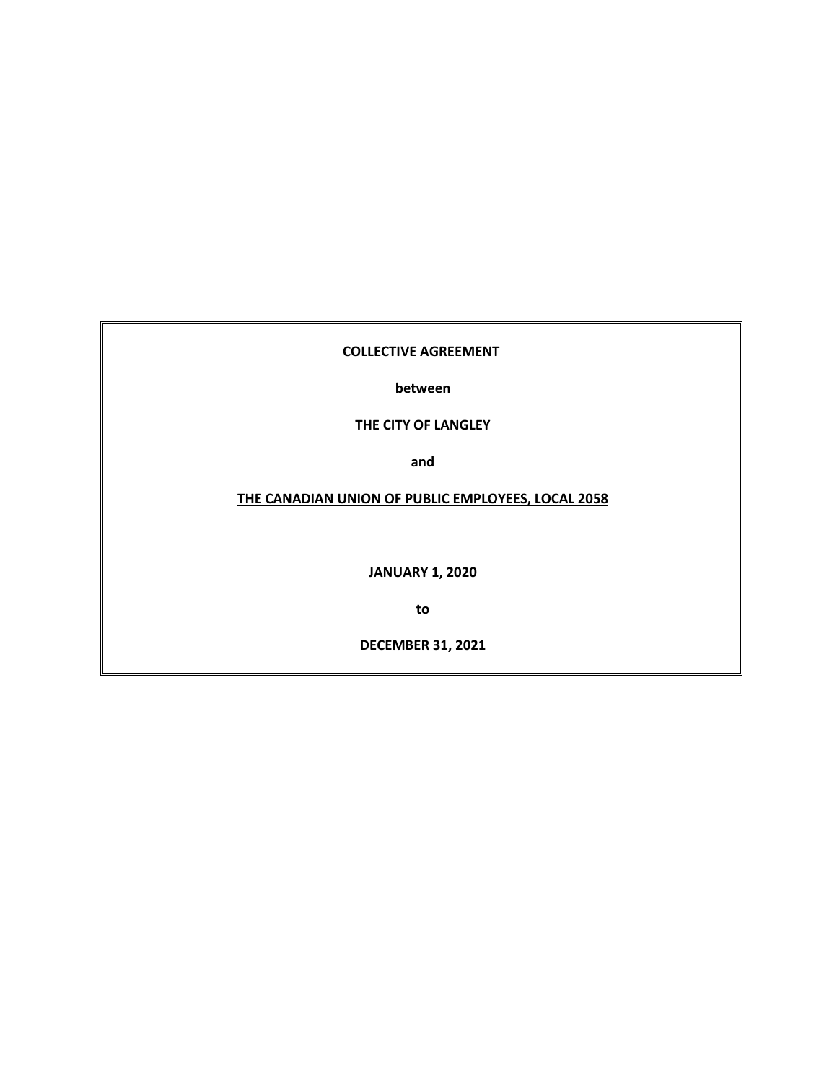## **COLLECTIVE AGREEMENT**

**between**

# **THE CITY OF LANGLEY**

**and**

# **THE CANADIAN UNION OF PUBLIC EMPLOYEES, LOCAL 2058**

**JANUARY 1, 2020**

**to**

**DECEMBER 31, 2021**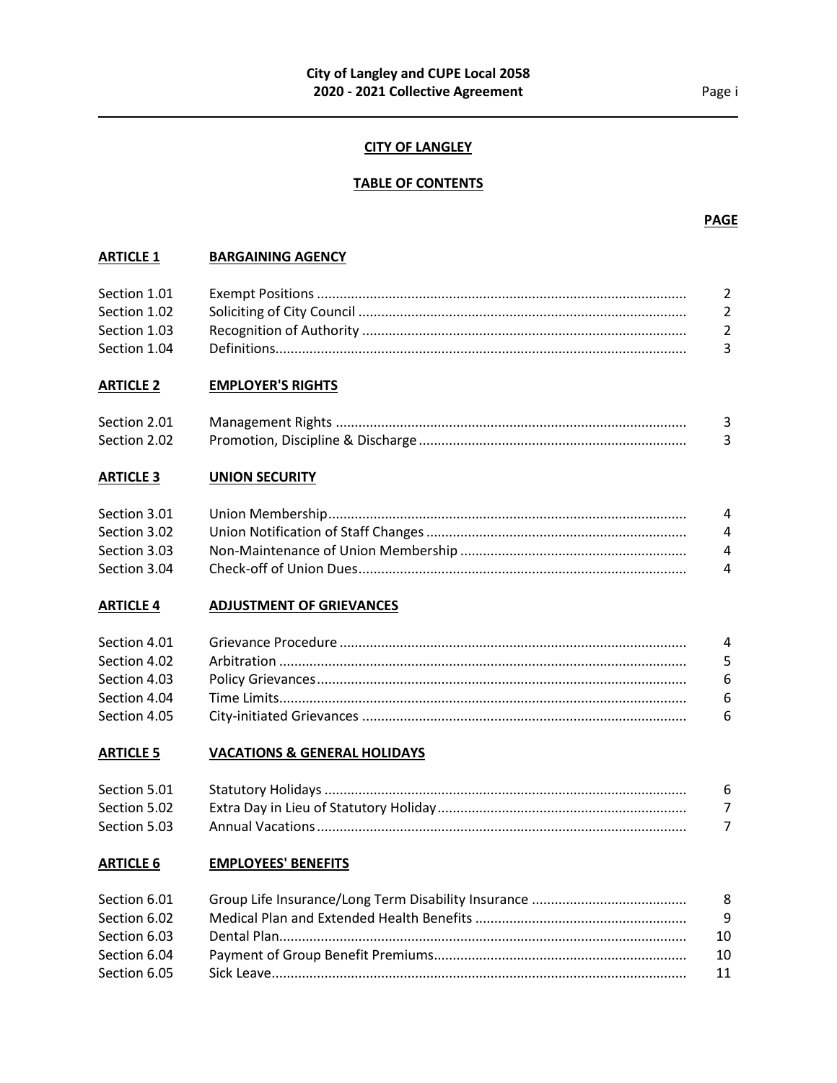## **CITY OF LANGLEY**

## **TABLE OF CONTENTS**

## **ARTICLE 1 BARGAINING AGENCY**

| Section 1.01 | - 2            |
|--------------|----------------|
| Section 1.02 | 2              |
| Section 1.03 | $\overline{2}$ |
| Section 1.04 |                |

## **ARTICLE 2 EMPLOYER'S RIGHTS**

| Section 2.01 |  |
|--------------|--|
| Section 2.02 |  |

## **ARTICLE 3 UNION SECURITY**

| Section 3.01 | $\mathbf{A}$   |
|--------------|----------------|
| Section 3.02 | $\overline{4}$ |
| Section 3.03 | 4              |
| Section 3.04 | $\overline{4}$ |

## **ARTICLE 4 ADJUSTMENT OF GRIEVANCES**

| 4    |
|------|
| $-5$ |
| - 6  |
| - 6  |
|      |
|      |

## **ARTICLE 5 VACATIONS & GENERAL HOLIDAYS**

| Section 5.01 | -6 |
|--------------|----|
| Section 5.02 |    |
| Section 5.03 |    |

## **ARTICLE 6 EMPLOYEES' BENEFITS**

| Section 6.01 | - 8 |
|--------------|-----|
| Section 6.02 | - 9 |
| Section 6.03 | 10  |
| Section 6.04 | -10 |
| Section 6.05 | 11  |

#### **PAGE**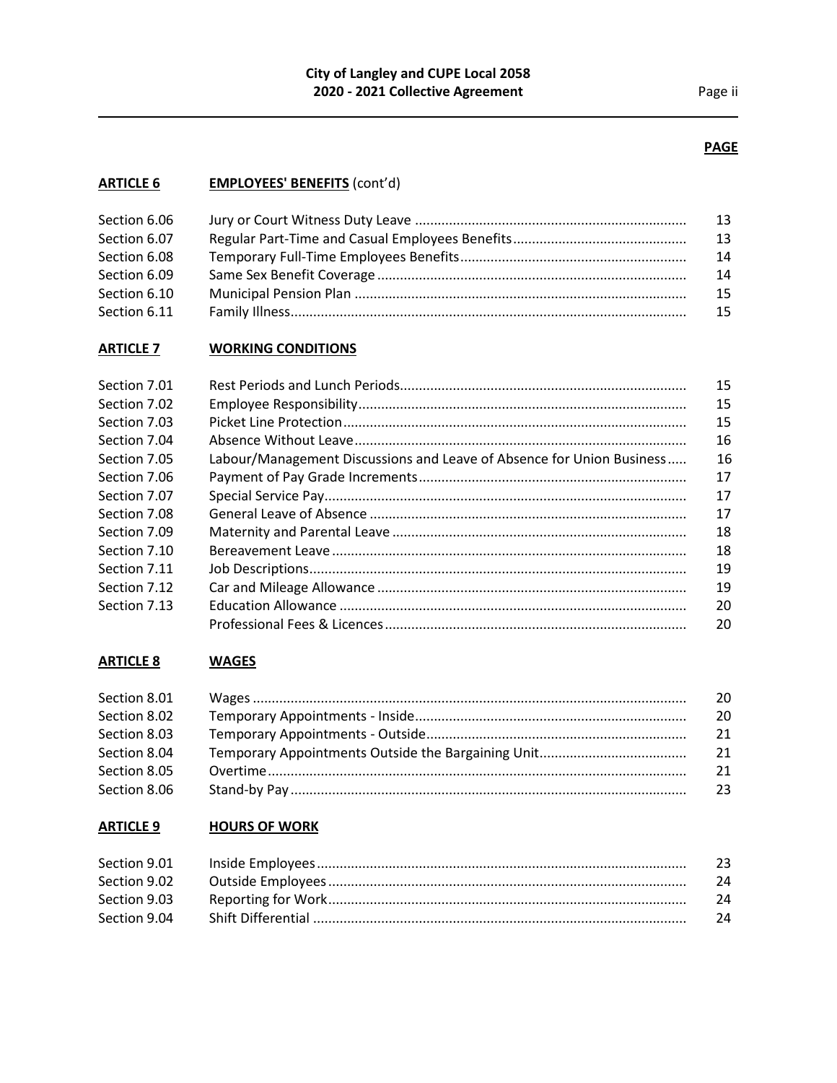# **PAGE**

# **ARTICLE 6 EMPLOYEES' BENEFITS** (cont'd)

| Section 6.06 | 13 |
|--------------|----|
| Section 6.07 | 13 |
| Section 6.08 | 14 |
| Section 6.09 | 14 |
| Section 6.10 | 15 |
| Section 6.11 | 15 |
|              |    |

# **ARTICLE 7 WORKING CONDITIONS**

| Section 7.01 |                                                                       | 15 |
|--------------|-----------------------------------------------------------------------|----|
| Section 7.02 |                                                                       | 15 |
| Section 7.03 |                                                                       | 15 |
| Section 7.04 |                                                                       | 16 |
| Section 7.05 | Labour/Management Discussions and Leave of Absence for Union Business | 16 |
| Section 7.06 |                                                                       | 17 |
| Section 7.07 |                                                                       | 17 |
| Section 7.08 |                                                                       | 17 |
| Section 7.09 |                                                                       | 18 |
| Section 7.10 |                                                                       | 18 |
| Section 7.11 |                                                                       | 19 |
| Section 7.12 |                                                                       | 19 |
| Section 7.13 |                                                                       | 20 |
|              |                                                                       | 20 |

## **ARTICLE 8 WAGES**

| Section 8.01 | 20 |
|--------------|----|
| Section 8.02 | 20 |
| Section 8.03 | 21 |
| Section 8.04 | 21 |
| Section 8.05 | 21 |
| Section 8.06 | 23 |

# **ARTICLE 9 HOURS OF WORK**

| -23 |
|-----|
| 24  |
| 24  |
| -24 |
|     |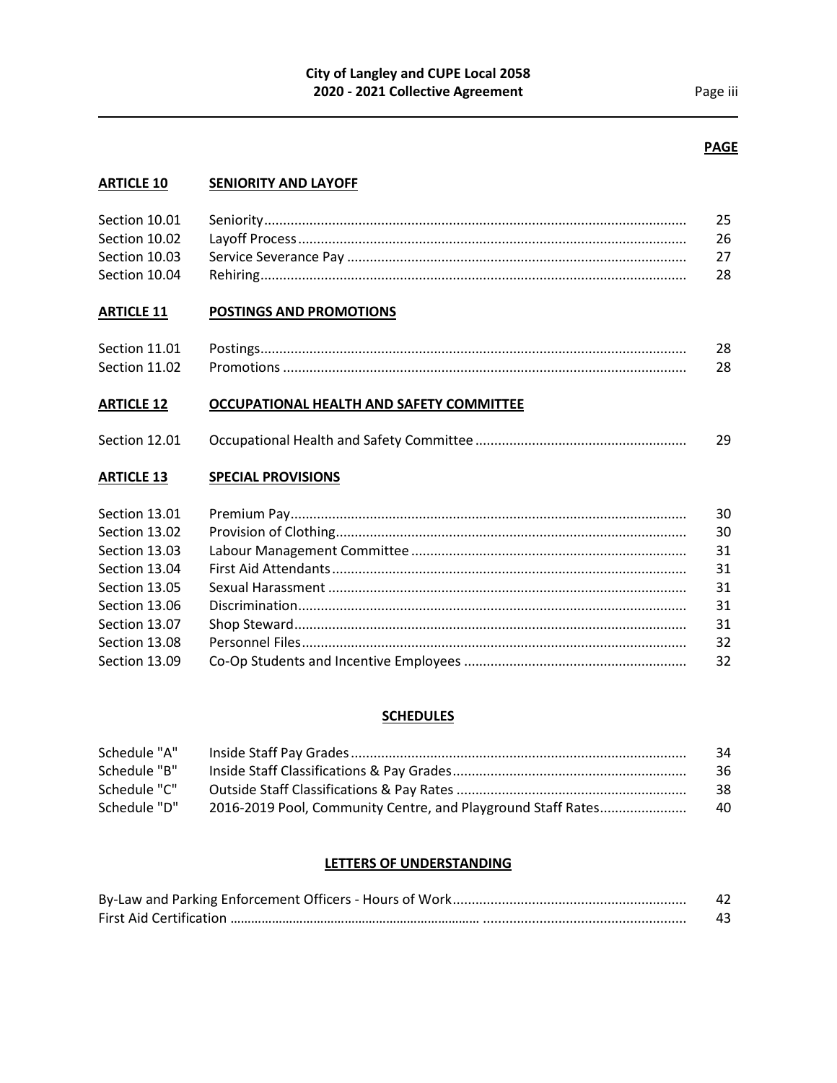## **PAGE**

## **ARTICLE 10 SENIORITY AND LAYOFF**

|               | 25  |
|---------------|-----|
|               | 26. |
| Section 10.03 |     |
| Section 10.04 | 28. |

## **ARTICLE 11 POSTINGS AND PROMOTIONS**

| Section 11.01 |                                                                                                            |  |
|---------------|------------------------------------------------------------------------------------------------------------|--|
| Section 11.02 | للمستنسسين المستنسسين المستنسسين المستنسسين المستنسسين والمستنسسين والمستنسسين المستنفرة المستنفر المستنفر |  |

## **ARTICLE 12 OCCUPATIONAL HEALTH AND SAFETY COMMITTEE**

|  | Section 12.01 |  |  |
|--|---------------|--|--|
|--|---------------|--|--|

## **ARTICLE 13 SPECIAL PROVISIONS**

| Section 13.01 | 30 |
|---------------|----|
| Section 13.02 | 30 |
| Section 13.03 | 31 |
| Section 13.04 | 31 |
| Section 13.05 | 31 |
| Section 13.06 | 31 |
| Section 13.07 | 31 |
| Section 13.08 | 32 |
| Section 13.09 | 32 |

#### **SCHEDULES**

| Schedule "A" |                                                              | 34 |
|--------------|--------------------------------------------------------------|----|
| Schedule "B" |                                                              | 36 |
| Schedule "C" |                                                              | 38 |
| Schedule "D" | 2016-2019 Pool, Community Centre, and Playground Staff Rates | 40 |

## **LETTERS OF UNDERSTANDING**

| 42 |
|----|
| 43 |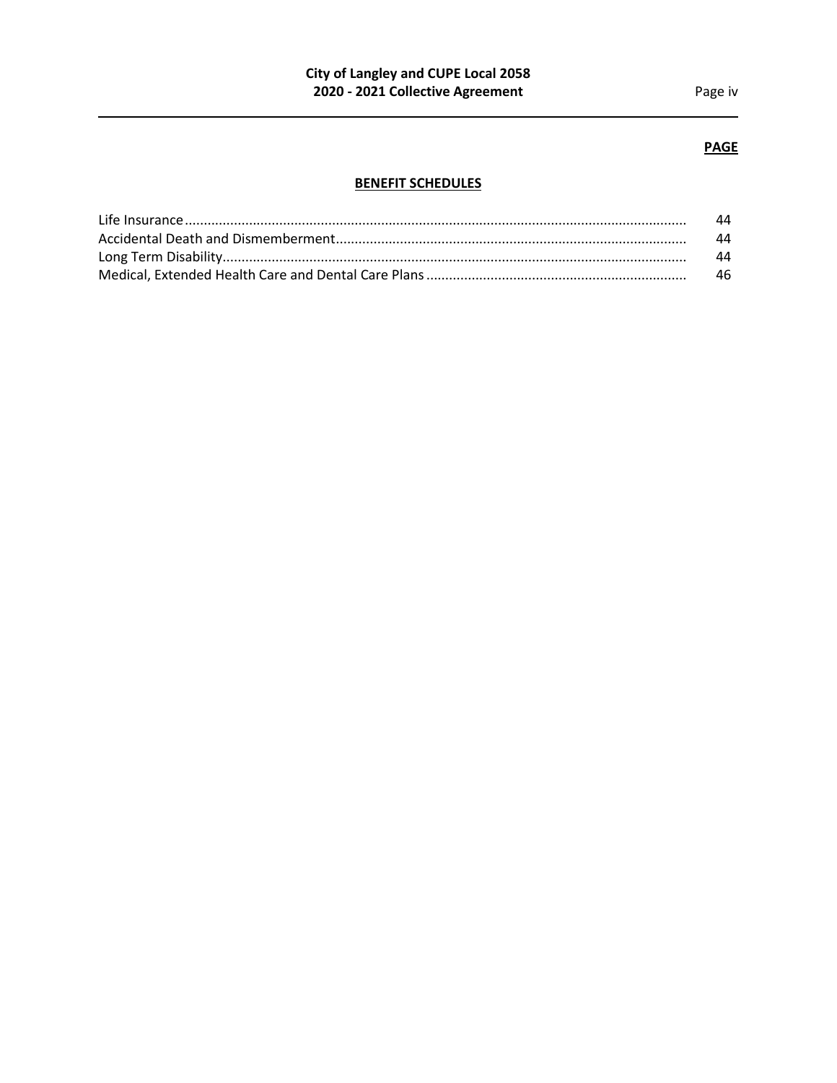# **PAGE**

# **BENEFIT SCHEDULES**

| 44  |
|-----|
| 44  |
| 44  |
| -46 |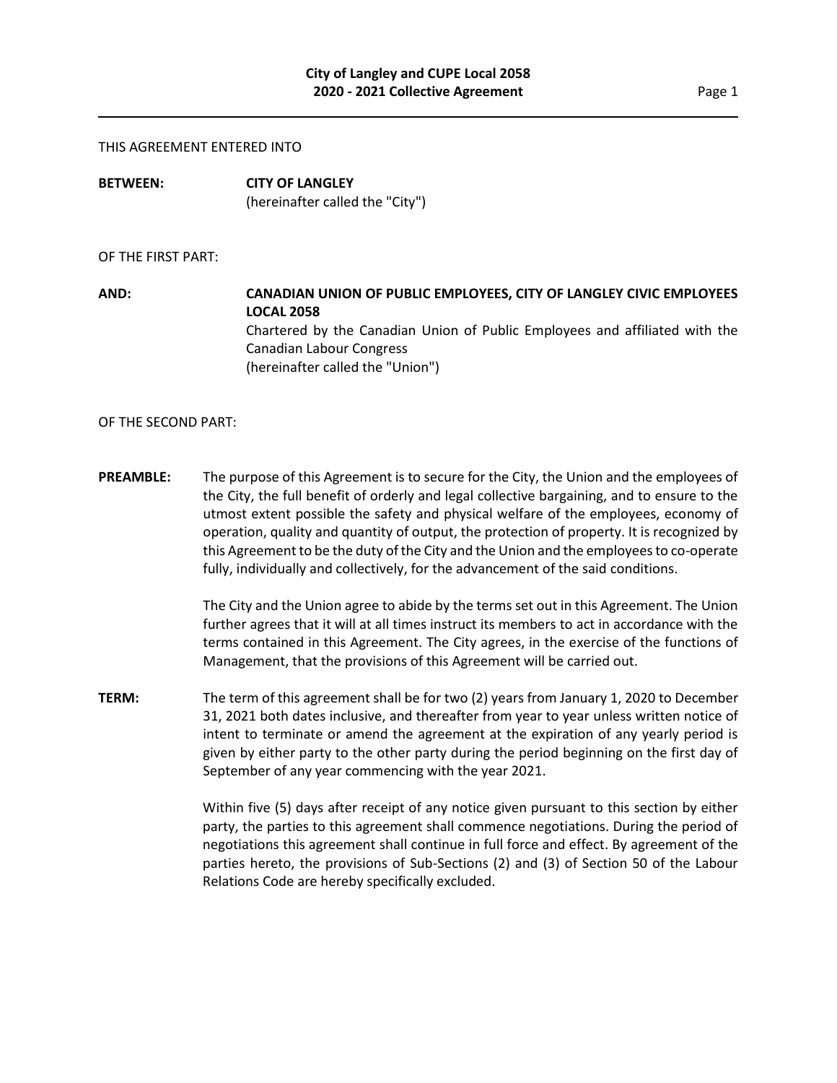#### THIS AGREEMENT ENTERED INTO

**BETWEEN: CITY OF LANGLEY** (hereinafter called the "City")

#### OF THE FIRST PART:

**AND: CANADIAN UNION OF PUBLIC EMPLOYEES, CITY OF LANGLEY CIVIC EMPLOYEES LOCAL 2058** Chartered by the Canadian Union of Public Employees and affiliated with the Canadian Labour Congress (hereinafter called the "Union")

OF THE SECOND PART:

**PREAMBLE:** The purpose of this Agreement is to secure for the City, the Union and the employees of the City, the full benefit of orderly and legal collective bargaining, and to ensure to the utmost extent possible the safety and physical welfare of the employees, economy of operation, quality and quantity of output, the protection of property. It is recognized by this Agreement to be the duty of the City and the Union and the employees to co-operate fully, individually and collectively, for the advancement of the said conditions.

> The City and the Union agree to abide by the terms set out in this Agreement. The Union further agrees that it will at all times instruct its members to act in accordance with the terms contained in this Agreement. The City agrees, in the exercise of the functions of Management, that the provisions of this Agreement will be carried out.

**TERM:** The term of this agreement shall be for two (2) years from January 1, 2020 to December 31, 2021 both dates inclusive, and thereafter from year to year unless written notice of intent to terminate or amend the agreement at the expiration of any yearly period is given by either party to the other party during the period beginning on the first day of September of any year commencing with the year 2021.

> Within five (5) days after receipt of any notice given pursuant to this section by either party, the parties to this agreement shall commence negotiations. During the period of negotiations this agreement shall continue in full force and effect. By agreement of the parties hereto, the provisions of Sub-Sections (2) and (3) of Section 50 of the Labour Relations Code are hereby specifically excluded.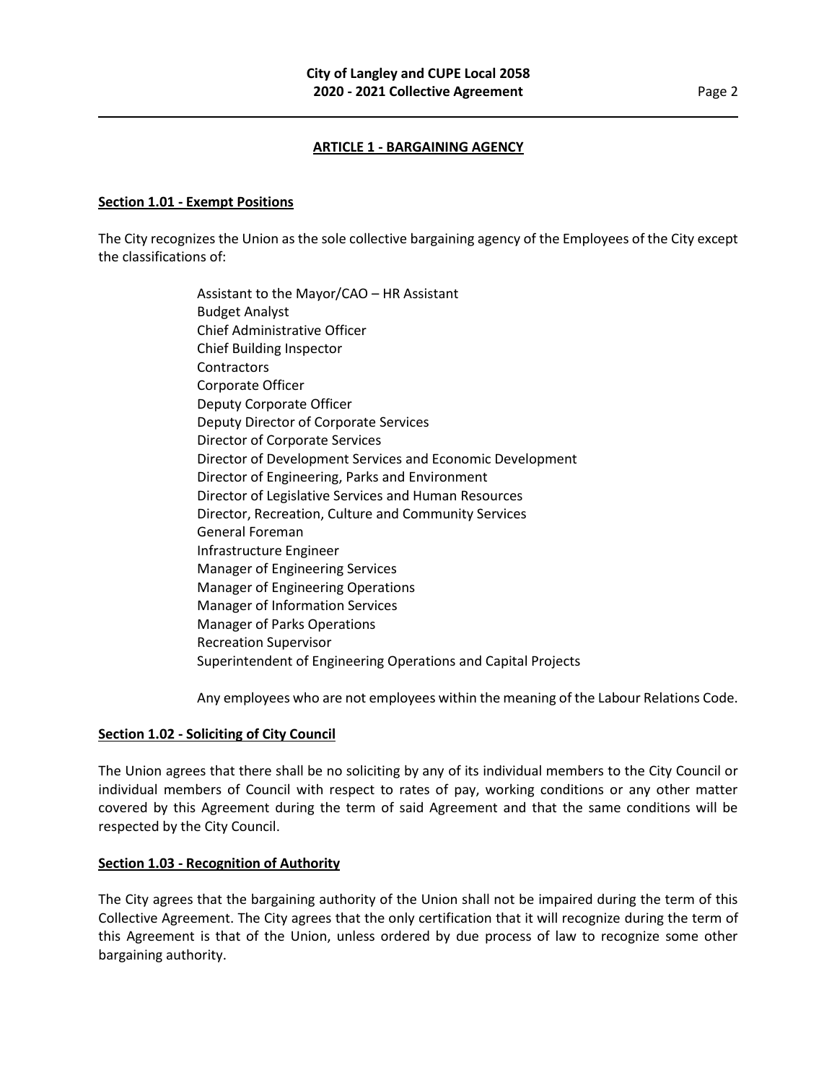## **ARTICLE 1 - BARGAINING AGENCY**

#### **Section 1.01 - Exempt Positions**

The City recognizes the Union as the sole collective bargaining agency of the Employees of the City except the classifications of:

> Assistant to the Mayor/CAO – HR Assistant Budget Analyst Chief Administrative Officer Chief Building Inspector **Contractors** Corporate Officer Deputy Corporate Officer Deputy Director of Corporate Services Director of Corporate Services Director of Development Services and Economic Development Director of Engineering, Parks and Environment Director of Legislative Services and Human Resources Director, Recreation, Culture and Community Services General Foreman Infrastructure Engineer Manager of Engineering Services Manager of Engineering Operations Manager of Information Services Manager of Parks Operations Recreation Supervisor Superintendent of Engineering Operations and Capital Projects

Any employees who are not employees within the meaning of the Labour Relations Code.

#### **Section 1.02 - Soliciting of City Council**

The Union agrees that there shall be no soliciting by any of its individual members to the City Council or individual members of Council with respect to rates of pay, working conditions or any other matter covered by this Agreement during the term of said Agreement and that the same conditions will be respected by the City Council.

#### **Section 1.03 - Recognition of Authority**

The City agrees that the bargaining authority of the Union shall not be impaired during the term of this Collective Agreement. The City agrees that the only certification that it will recognize during the term of this Agreement is that of the Union, unless ordered by due process of law to recognize some other bargaining authority.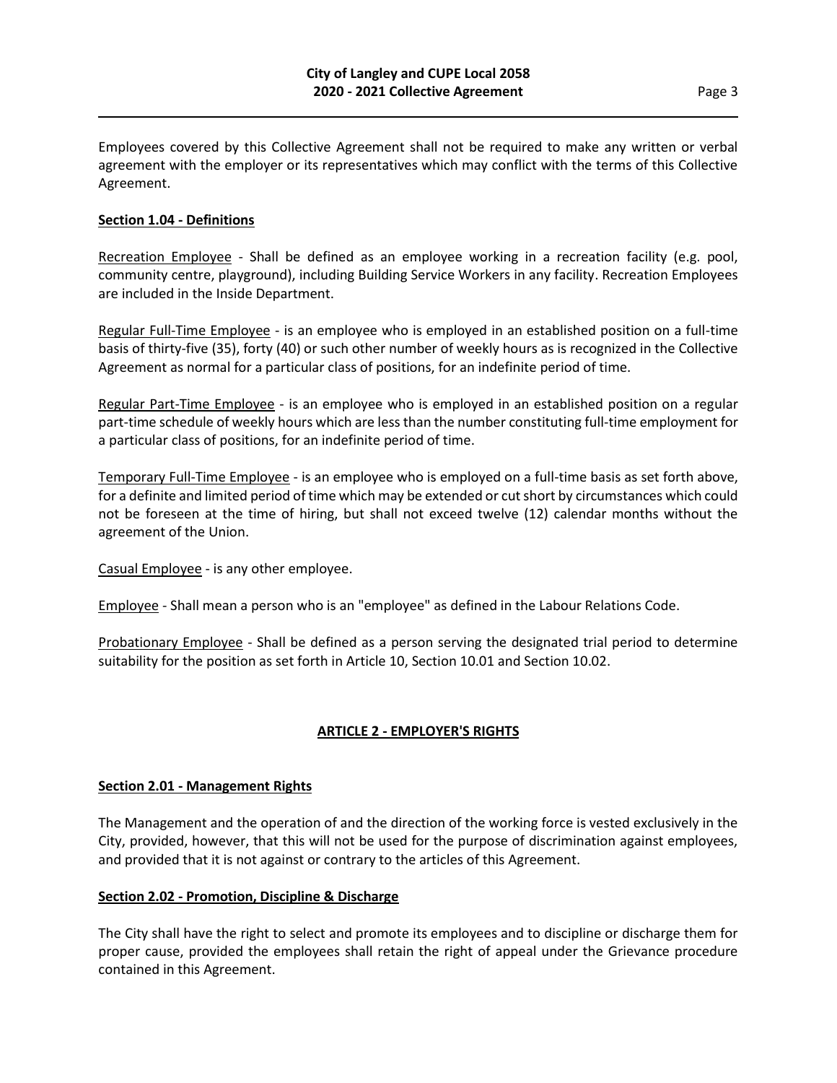Employees covered by this Collective Agreement shall not be required to make any written or verbal agreement with the employer or its representatives which may conflict with the terms of this Collective Agreement.

## **Section 1.04 - Definitions**

Recreation Employee - Shall be defined as an employee working in a recreation facility (e.g. pool, community centre, playground), including Building Service Workers in any facility. Recreation Employees are included in the Inside Department.

Regular Full-Time Employee - is an employee who is employed in an established position on a full-time basis of thirty-five (35), forty (40) or such other number of weekly hours as is recognized in the Collective Agreement as normal for a particular class of positions, for an indefinite period of time.

Regular Part-Time Employee - is an employee who is employed in an established position on a regular part-time schedule of weekly hours which are less than the number constituting full-time employment for a particular class of positions, for an indefinite period of time.

Temporary Full-Time Employee - is an employee who is employed on a full-time basis as set forth above, for a definite and limited period of time which may be extended or cut short by circumstances which could not be foreseen at the time of hiring, but shall not exceed twelve (12) calendar months without the agreement of the Union.

Casual Employee - is any other employee.

Employee - Shall mean a person who is an "employee" as defined in the Labour Relations Code.

Probationary Employee - Shall be defined as a person serving the designated trial period to determine suitability for the position as set forth in Article 10, Section 10.01 and Section 10.02.

## **ARTICLE 2 - EMPLOYER'S RIGHTS**

#### **Section 2.01 - Management Rights**

The Management and the operation of and the direction of the working force is vested exclusively in the City, provided, however, that this will not be used for the purpose of discrimination against employees, and provided that it is not against or contrary to the articles of this Agreement.

#### **Section 2.02 - Promotion, Discipline & Discharge**

The City shall have the right to select and promote its employees and to discipline or discharge them for proper cause, provided the employees shall retain the right of appeal under the Grievance procedure contained in this Agreement.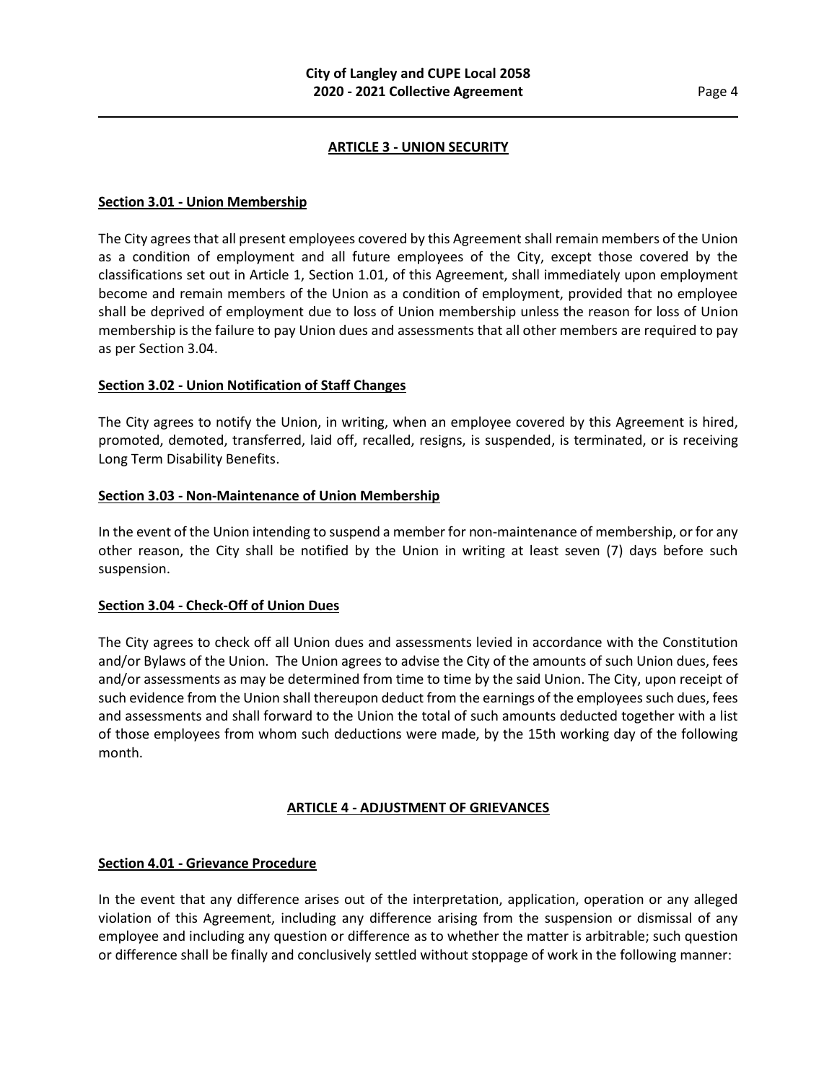## **ARTICLE 3 - UNION SECURITY**

#### **Section 3.01 - Union Membership**

The City agrees that all present employees covered by this Agreement shall remain members of the Union as a condition of employment and all future employees of the City, except those covered by the classifications set out in Article 1, Section 1.01, of this Agreement, shall immediately upon employment become and remain members of the Union as a condition of employment, provided that no employee shall be deprived of employment due to loss of Union membership unless the reason for loss of Union membership is the failure to pay Union dues and assessments that all other members are required to pay as per Section 3.04.

## **Section 3.02 - Union Notification of Staff Changes**

The City agrees to notify the Union, in writing, when an employee covered by this Agreement is hired, promoted, demoted, transferred, laid off, recalled, resigns, is suspended, is terminated, or is receiving Long Term Disability Benefits.

## **Section 3.03 - Non-Maintenance of Union Membership**

In the event of the Union intending to suspend a member for non-maintenance of membership, or for any other reason, the City shall be notified by the Union in writing at least seven (7) days before such suspension.

## **Section 3.04 - Check-Off of Union Dues**

The City agrees to check off all Union dues and assessments levied in accordance with the Constitution and/or Bylaws of the Union. The Union agrees to advise the City of the amounts of such Union dues, fees and/or assessments as may be determined from time to time by the said Union. The City, upon receipt of such evidence from the Union shall thereupon deduct from the earnings of the employees such dues, fees and assessments and shall forward to the Union the total of such amounts deducted together with a list of those employees from whom such deductions were made, by the 15th working day of the following month.

## **ARTICLE 4 - ADJUSTMENT OF GRIEVANCES**

## **Section 4.01 - Grievance Procedure**

In the event that any difference arises out of the interpretation, application, operation or any alleged violation of this Agreement, including any difference arising from the suspension or dismissal of any employee and including any question or difference as to whether the matter is arbitrable; such question or difference shall be finally and conclusively settled without stoppage of work in the following manner: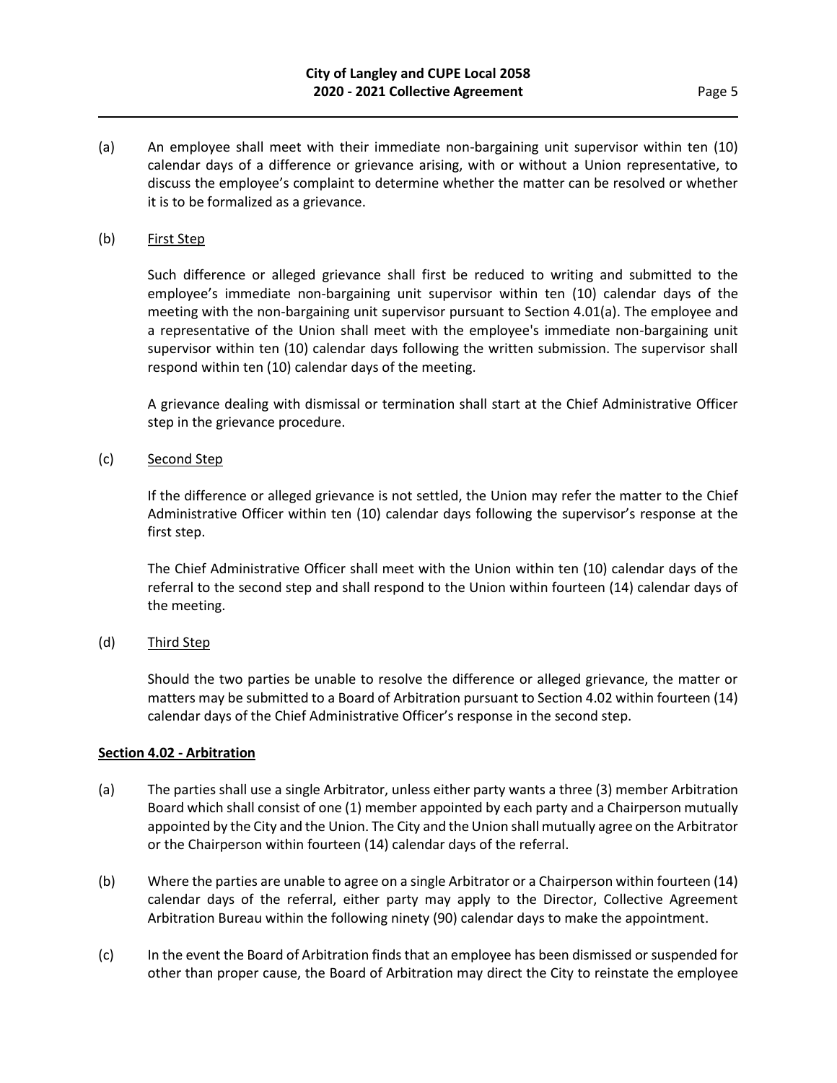(a) An employee shall meet with their immediate non-bargaining unit supervisor within ten (10) calendar days of a difference or grievance arising, with or without a Union representative, to discuss the employee's complaint to determine whether the matter can be resolved or whether it is to be formalized as a grievance.

## (b) First Step

Such difference or alleged grievance shall first be reduced to writing and submitted to the employee's immediate non-bargaining unit supervisor within ten (10) calendar days of the meeting with the non-bargaining unit supervisor pursuant to Section 4.01(a). The employee and a representative of the Union shall meet with the employee's immediate non-bargaining unit supervisor within ten (10) calendar days following the written submission. The supervisor shall respond within ten (10) calendar days of the meeting.

A grievance dealing with dismissal or termination shall start at the Chief Administrative Officer step in the grievance procedure.

(c) Second Step

If the difference or alleged grievance is not settled, the Union may refer the matter to the Chief Administrative Officer within ten (10) calendar days following the supervisor's response at the first step.

The Chief Administrative Officer shall meet with the Union within ten (10) calendar days of the referral to the second step and shall respond to the Union within fourteen (14) calendar days of the meeting.

#### (d) Third Step

Should the two parties be unable to resolve the difference or alleged grievance, the matter or matters may be submitted to a Board of Arbitration pursuant to Section 4.02 within fourteen (14) calendar days of the Chief Administrative Officer's response in the second step.

#### **Section 4.02 - Arbitration**

- (a) The parties shall use a single Arbitrator, unless either party wants a three (3) member Arbitration Board which shall consist of one (1) member appointed by each party and a Chairperson mutually appointed by the City and the Union. The City and the Union shall mutually agree on the Arbitrator or the Chairperson within fourteen (14) calendar days of the referral.
- (b) Where the parties are unable to agree on a single Arbitrator or a Chairperson within fourteen (14) calendar days of the referral, either party may apply to the Director, Collective Agreement Arbitration Bureau within the following ninety (90) calendar days to make the appointment.
- (c) In the event the Board of Arbitration finds that an employee has been dismissed or suspended for other than proper cause, the Board of Arbitration may direct the City to reinstate the employee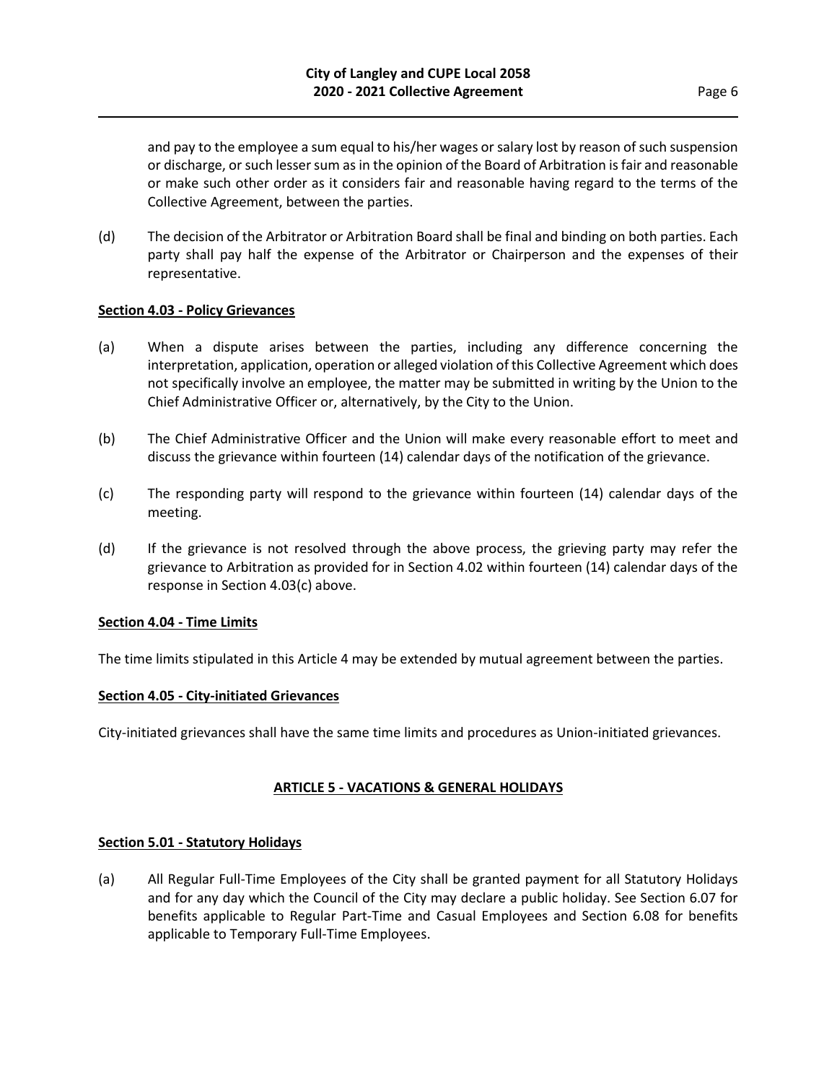and pay to the employee a sum equal to his/her wages or salary lost by reason of such suspension or discharge, or such lesser sum as in the opinion of the Board of Arbitration is fair and reasonable or make such other order as it considers fair and reasonable having regard to the terms of the Collective Agreement, between the parties.

(d) The decision of the Arbitrator or Arbitration Board shall be final and binding on both parties. Each party shall pay half the expense of the Arbitrator or Chairperson and the expenses of their representative.

#### **Section 4.03 - Policy Grievances**

- (a) When a dispute arises between the parties, including any difference concerning the interpretation, application, operation or alleged violation of this Collective Agreement which does not specifically involve an employee, the matter may be submitted in writing by the Union to the Chief Administrative Officer or, alternatively, by the City to the Union.
- (b) The Chief Administrative Officer and the Union will make every reasonable effort to meet and discuss the grievance within fourteen (14) calendar days of the notification of the grievance.
- (c) The responding party will respond to the grievance within fourteen (14) calendar days of the meeting.
- (d) If the grievance is not resolved through the above process, the grieving party may refer the grievance to Arbitration as provided for in Section 4.02 within fourteen (14) calendar days of the response in Section 4.03(c) above.

#### **Section 4.04 - Time Limits**

The time limits stipulated in this Article 4 may be extended by mutual agreement between the parties.

#### **Section 4.05 - City-initiated Grievances**

City-initiated grievances shall have the same time limits and procedures as Union-initiated grievances.

## **ARTICLE 5 - VACATIONS & GENERAL HOLIDAYS**

#### **Section 5.01 - Statutory Holidays**

(a) All Regular Full-Time Employees of the City shall be granted payment for all Statutory Holidays and for any day which the Council of the City may declare a public holiday. See Section 6.07 for benefits applicable to Regular Part-Time and Casual Employees and Section 6.08 for benefits applicable to Temporary Full-Time Employees.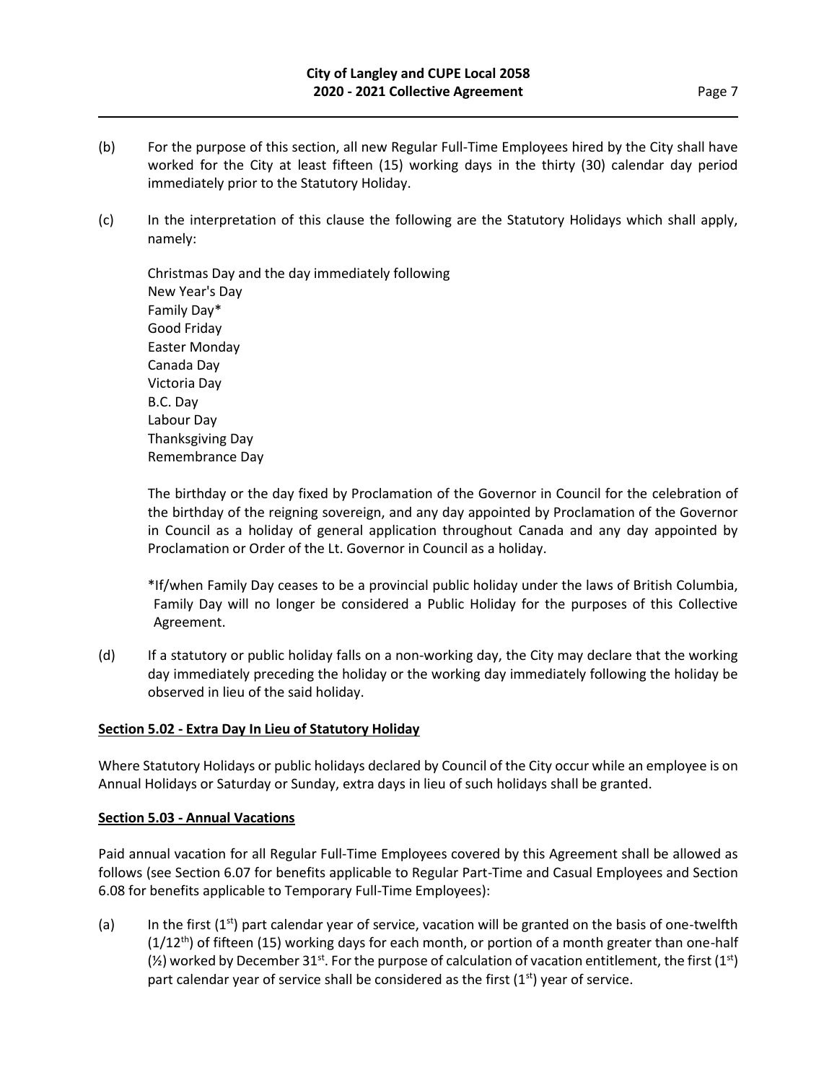- (b) For the purpose of this section, all new Regular Full-Time Employees hired by the City shall have worked for the City at least fifteen (15) working days in the thirty (30) calendar day period immediately prior to the Statutory Holiday.
- (c) In the interpretation of this clause the following are the Statutory Holidays which shall apply, namely:

Christmas Day and the day immediately following New Year's Day Family Day\* Good Friday Easter Monday Canada Day Victoria Day B.C. Day Labour Day Thanksgiving Day Remembrance Day

The birthday or the day fixed by Proclamation of the Governor in Council for the celebration of the birthday of the reigning sovereign, and any day appointed by Proclamation of the Governor in Council as a holiday of general application throughout Canada and any day appointed by Proclamation or Order of the Lt. Governor in Council as a holiday.

\*If/when Family Day ceases to be a provincial public holiday under the laws of British Columbia, Family Day will no longer be considered a Public Holiday for the purposes of this Collective Agreement.

(d) If a statutory or public holiday falls on a non-working day, the City may declare that the working day immediately preceding the holiday or the working day immediately following the holiday be observed in lieu of the said holiday.

## **Section 5.02 - Extra Day In Lieu of Statutory Holiday**

Where Statutory Holidays or public holidays declared by Council of the City occur while an employee is on Annual Holidays or Saturday or Sunday, extra days in lieu of such holidays shall be granted.

## **Section 5.03 - Annual Vacations**

Paid annual vacation for all Regular Full-Time Employees covered by this Agreement shall be allowed as follows (see Section 6.07 for benefits applicable to Regular Part-Time and Casual Employees and Section 6.08 for benefits applicable to Temporary Full-Time Employees):

(a) In the first  $(1<sup>st</sup>)$  part calendar year of service, vacation will be granted on the basis of one-twelfth  $(1/12<sup>th</sup>)$  of fifteen (15) working days for each month, or portion of a month greater than one-half  $(\frac{1}{2})$  worked by December 31<sup>st</sup>. For the purpose of calculation of vacation entitlement, the first (1<sup>st</sup>) part calendar year of service shall be considered as the first  $(1<sup>st</sup>)$  year of service.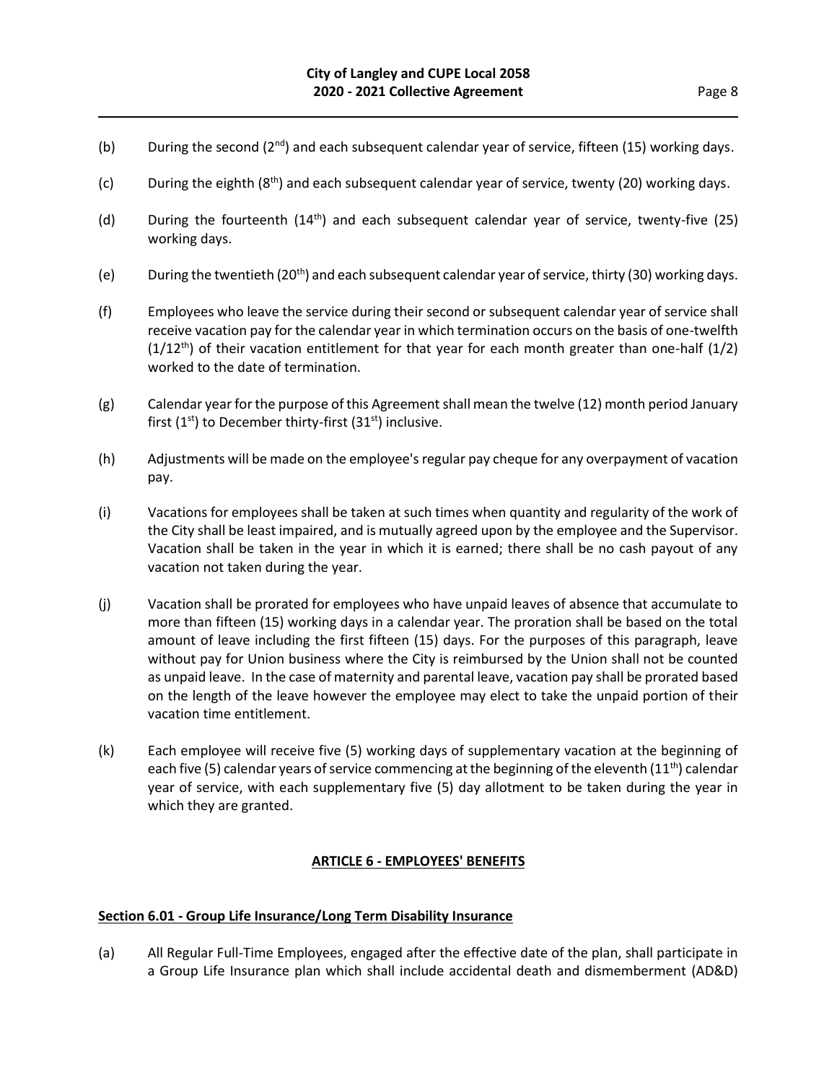- (b) During the second ( $2^{nd}$ ) and each subsequent calendar year of service, fifteen (15) working days.
- (c) During the eighth  $(8<sup>th</sup>)$  and each subsequent calendar year of service, twenty (20) working days.
- (d) During the fourteenth  $(14<sup>th</sup>)$  and each subsequent calendar year of service, twenty-five (25) working days.
- (e) During the twentieth  $(20<sup>th</sup>)$  and each subsequent calendar year of service, thirty (30) working days.
- (f) Employees who leave the service during their second or subsequent calendar year of service shall receive vacation pay for the calendar year in which termination occurs on the basis of one-twelfth  $(1/12<sup>th</sup>)$  of their vacation entitlement for that year for each month greater than one-half  $(1/2)$ worked to the date of termination.
- (g) Calendar year for the purpose of this Agreement shall mean the twelve (12) month period January first  $(1<sup>st</sup>)$  to December thirty-first  $(31<sup>st</sup>)$  inclusive.
- (h) Adjustments will be made on the employee's regular pay cheque for any overpayment of vacation pay.
- (i) Vacations for employees shall be taken at such times when quantity and regularity of the work of the City shall be least impaired, and is mutually agreed upon by the employee and the Supervisor. Vacation shall be taken in the year in which it is earned; there shall be no cash payout of any vacation not taken during the year.
- (j) Vacation shall be prorated for employees who have unpaid leaves of absence that accumulate to more than fifteen (15) working days in a calendar year. The proration shall be based on the total amount of leave including the first fifteen (15) days. For the purposes of this paragraph, leave without pay for Union business where the City is reimbursed by the Union shall not be counted as unpaid leave. In the case of maternity and parental leave, vacation pay shall be prorated based on the length of the leave however the employee may elect to take the unpaid portion of their vacation time entitlement.
- (k) Each employee will receive five (5) working days of supplementary vacation at the beginning of each five (5) calendar years of service commencing at the beginning of the eleventh  $(11<sup>th</sup>)$  calendar year of service, with each supplementary five (5) day allotment to be taken during the year in which they are granted.

#### **ARTICLE 6 - EMPLOYEES' BENEFITS**

#### **Section 6.01 - Group Life Insurance/Long Term Disability Insurance**

(a) All Regular Full-Time Employees, engaged after the effective date of the plan, shall participate in a Group Life Insurance plan which shall include accidental death and dismemberment (AD&D)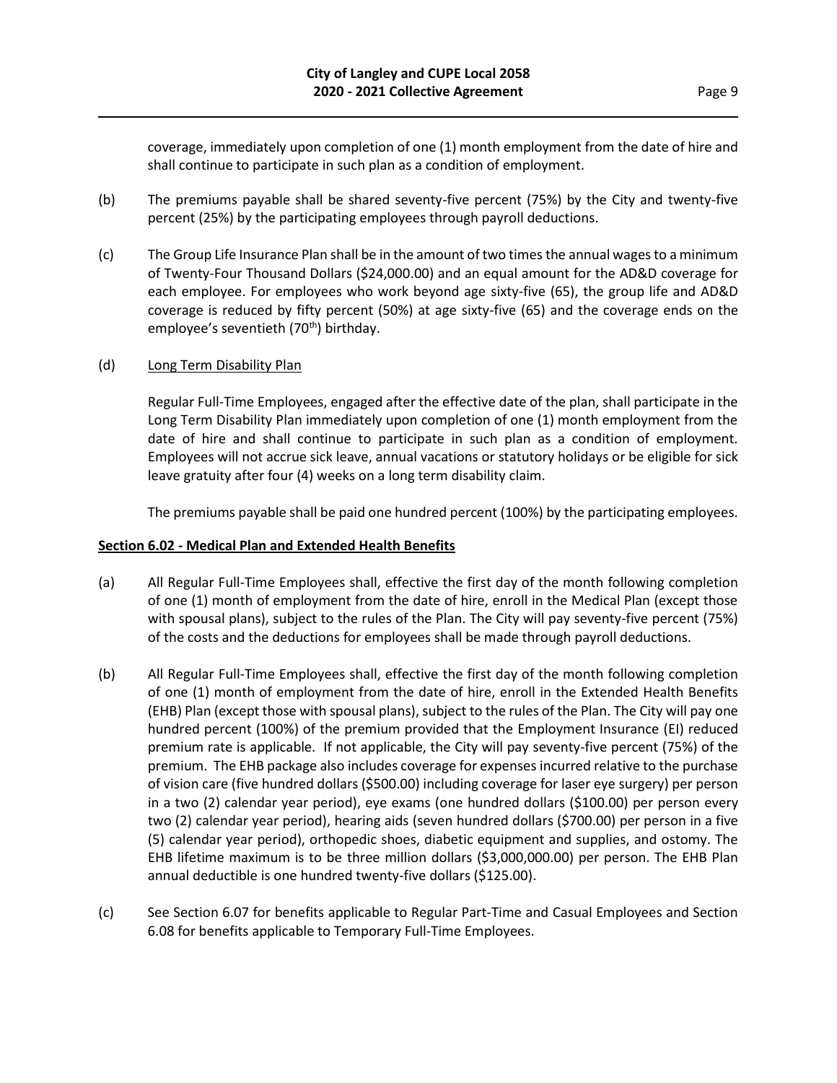coverage, immediately upon completion of one (1) month employment from the date of hire and shall continue to participate in such plan as a condition of employment.

- (b) The premiums payable shall be shared seventy-five percent (75%) by the City and twenty-five percent (25%) by the participating employees through payroll deductions.
- (c) The Group Life Insurance Plan shall be in the amount of two times the annual wages to a minimum of Twenty-Four Thousand Dollars (\$24,000.00) and an equal amount for the AD&D coverage for each employee. For employees who work beyond age sixty-five (65), the group life and AD&D coverage is reduced by fifty percent (50%) at age sixty-five (65) and the coverage ends on the employee's seventieth (70<sup>th</sup>) birthday.

#### (d) Long Term Disability Plan

Regular Full-Time Employees, engaged after the effective date of the plan, shall participate in the Long Term Disability Plan immediately upon completion of one (1) month employment from the date of hire and shall continue to participate in such plan as a condition of employment. Employees will not accrue sick leave, annual vacations or statutory holidays or be eligible for sick leave gratuity after four (4) weeks on a long term disability claim.

The premiums payable shall be paid one hundred percent (100%) by the participating employees.

#### **Section 6.02 - Medical Plan and Extended Health Benefits**

- (a) All Regular Full-Time Employees shall, effective the first day of the month following completion of one (1) month of employment from the date of hire, enroll in the Medical Plan (except those with spousal plans), subject to the rules of the Plan. The City will pay seventy-five percent (75%) of the costs and the deductions for employees shall be made through payroll deductions.
- (b) All Regular Full-Time Employees shall, effective the first day of the month following completion of one (1) month of employment from the date of hire, enroll in the Extended Health Benefits (EHB) Plan (except those with spousal plans), subject to the rules of the Plan. The City will pay one hundred percent (100%) of the premium provided that the Employment Insurance (EI) reduced premium rate is applicable. If not applicable, the City will pay seventy-five percent (75%) of the premium. The EHB package also includes coverage for expenses incurred relative to the purchase of vision care (five hundred dollars (\$500.00) including coverage for laser eye surgery) per person in a two (2) calendar year period), eye exams (one hundred dollars (\$100.00) per person every two (2) calendar year period), hearing aids (seven hundred dollars (\$700.00) per person in a five (5) calendar year period), orthopedic shoes, diabetic equipment and supplies, and ostomy. The EHB lifetime maximum is to be three million dollars (\$3,000,000.00) per person. The EHB Plan annual deductible is one hundred twenty-five dollars (\$125.00).
- (c) See Section 6.07 for benefits applicable to Regular Part-Time and Casual Employees and Section 6.08 for benefits applicable to Temporary Full-Time Employees.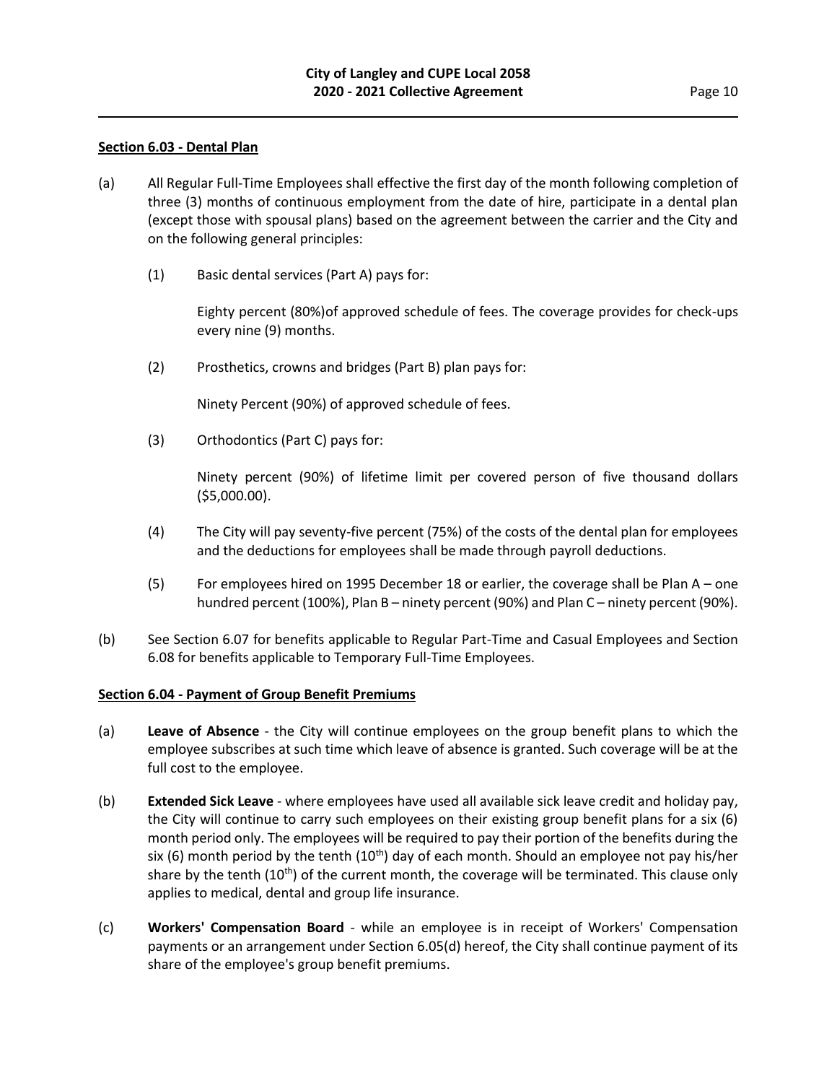#### **Section 6.03 - Dental Plan**

- (a) All Regular Full-Time Employees shall effective the first day of the month following completion of three (3) months of continuous employment from the date of hire, participate in a dental plan (except those with spousal plans) based on the agreement between the carrier and the City and on the following general principles:
	- (1) Basic dental services (Part A) pays for:

Eighty percent (80%)of approved schedule of fees. The coverage provides for check-ups every nine (9) months.

(2) Prosthetics, crowns and bridges (Part B) plan pays for:

Ninety Percent (90%) of approved schedule of fees.

(3) Orthodontics (Part C) pays for:

Ninety percent (90%) of lifetime limit per covered person of five thousand dollars (\$5,000.00).

- (4) The City will pay seventy-five percent (75%) of the costs of the dental plan for employees and the deductions for employees shall be made through payroll deductions.
- (5) For employees hired on 1995 December 18 or earlier, the coverage shall be Plan A one hundred percent (100%), Plan B – ninety percent (90%) and Plan C – ninety percent (90%).
- (b) See Section 6.07 for benefits applicable to Regular Part-Time and Casual Employees and Section 6.08 for benefits applicable to Temporary Full-Time Employees.

#### **Section 6.04 - Payment of Group Benefit Premiums**

- (a) **Leave of Absence** the City will continue employees on the group benefit plans to which the employee subscribes at such time which leave of absence is granted. Such coverage will be at the full cost to the employee.
- (b) **Extended Sick Leave** where employees have used all available sick leave credit and holiday pay, the City will continue to carry such employees on their existing group benefit plans for a six (6) month period only. The employees will be required to pay their portion of the benefits during the six (6) month period by the tenth  $(10<sup>th</sup>)$  day of each month. Should an employee not pay his/her share by the tenth (10<sup>th</sup>) of the current month, the coverage will be terminated. This clause only applies to medical, dental and group life insurance.
- (c) **Workers' Compensation Board** while an employee is in receipt of Workers' Compensation payments or an arrangement under Section 6.05(d) hereof, the City shall continue payment of its share of the employee's group benefit premiums.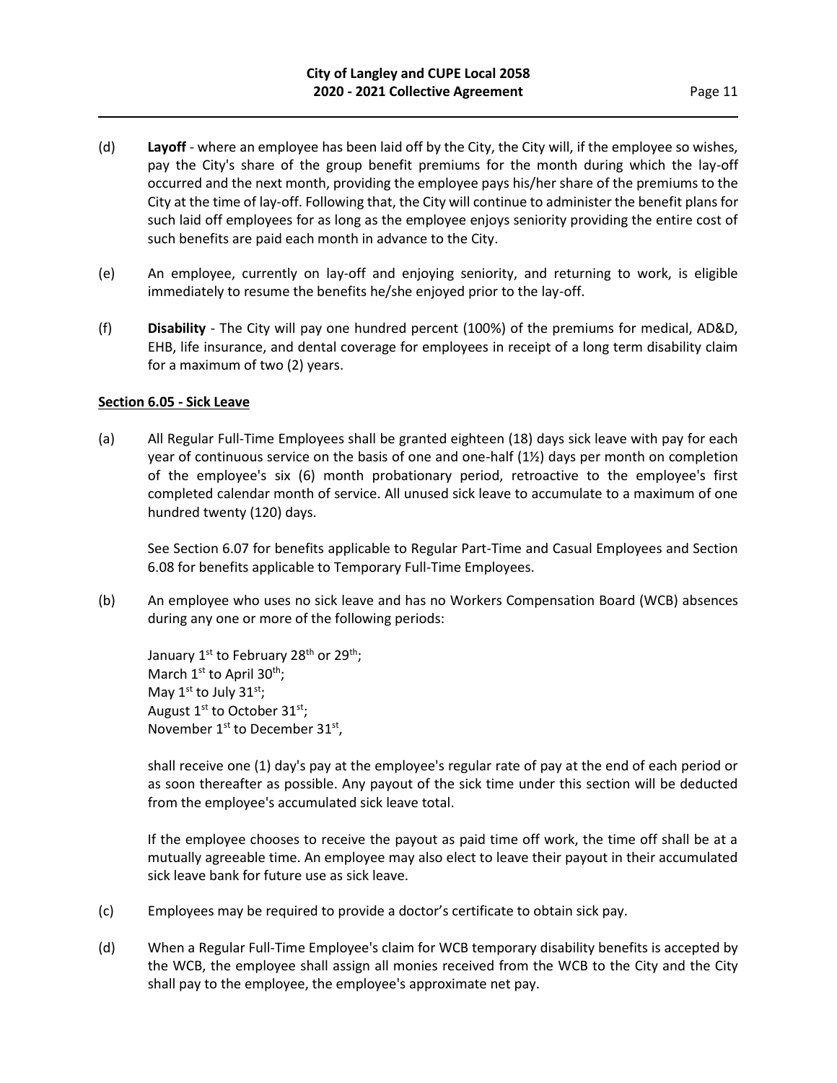- (d) **Layoff** where an employee has been laid off by the City, the City will, if the employee so wishes, pay the City's share of the group benefit premiums for the month during which the lay-off occurred and the next month, providing the employee pays his/her share of the premiums to the City at the time of lay-off. Following that, the City will continue to administer the benefit plans for such laid off employees for as long as the employee enjoys seniority providing the entire cost of such benefits are paid each month in advance to the City.
- (e) An employee, currently on lay-off and enjoying seniority, and returning to work, is eligible immediately to resume the benefits he/she enjoyed prior to the lay-off.
- (f) **Disability**  The City will pay one hundred percent (100%) of the premiums for medical, AD&D, EHB, life insurance, and dental coverage for employees in receipt of a long term disability claim for a maximum of two (2) years.

## **Section 6.05 - Sick Leave**

(a) All Regular Full-Time Employees shall be granted eighteen (18) days sick leave with pay for each year of continuous service on the basis of one and one-half (1½) days per month on completion of the employee's six (6) month probationary period, retroactive to the employee's first completed calendar month of service. All unused sick leave to accumulate to a maximum of one hundred twenty (120) days.

See Section 6.07 for benefits applicable to Regular Part-Time and Casual Employees and Section 6.08 for benefits applicable to Temporary Full-Time Employees.

(b) An employee who uses no sick leave and has no Workers Compensation Board (WCB) absences during any one or more of the following periods:

January 1st to February 28<sup>th</sup> or 29<sup>th</sup>; March  $1<sup>st</sup>$  to April 30<sup>th</sup>; May  $1^{\text{st}}$  to July  $31^{\text{st}}$ ; August  $1^{st}$  to October  $31^{st}$ ; November 1<sup>st</sup> to December 31<sup>st</sup>,

shall receive one (1) day's pay at the employee's regular rate of pay at the end of each period or as soon thereafter as possible. Any payout of the sick time under this section will be deducted from the employee's accumulated sick leave total.

If the employee chooses to receive the payout as paid time off work, the time off shall be at a mutually agreeable time. An employee may also elect to leave their payout in their accumulated sick leave bank for future use as sick leave.

- (c) Employees may be required to provide a doctor's certificate to obtain sick pay.
- (d) When a Regular Full-Time Employee's claim for WCB temporary disability benefits is accepted by the WCB, the employee shall assign all monies received from the WCB to the City and the City shall pay to the employee, the employee's approximate net pay.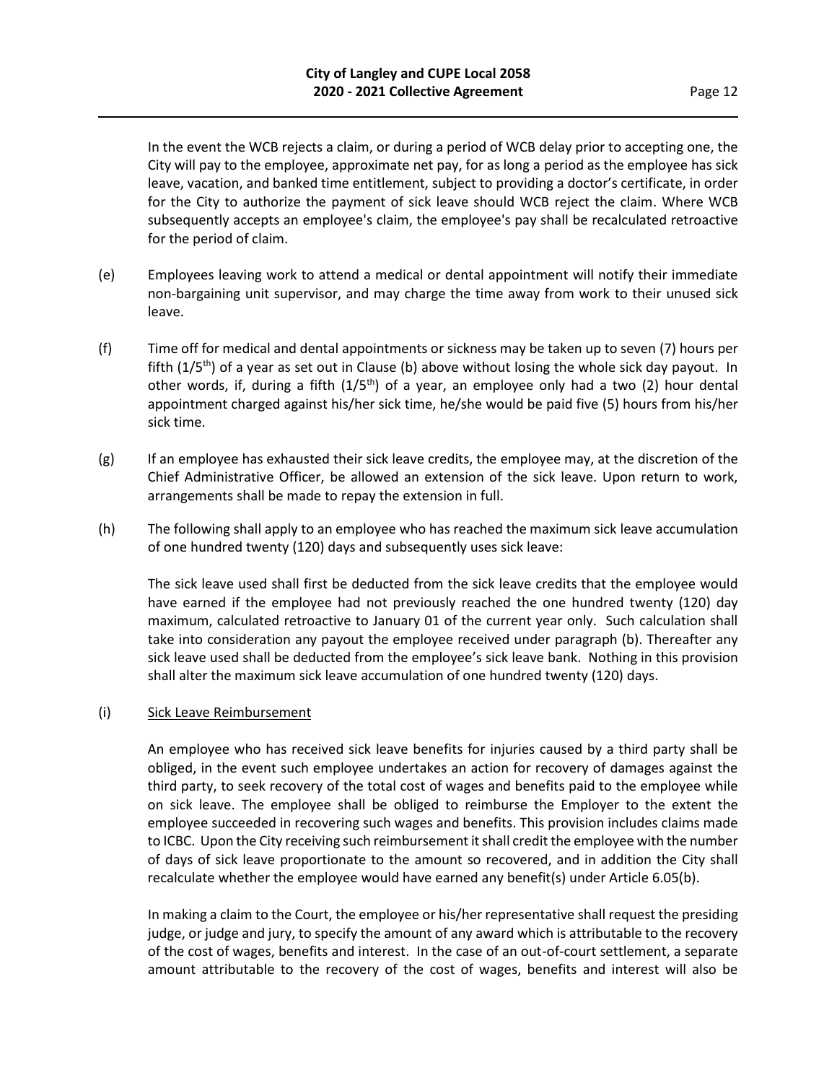In the event the WCB rejects a claim, or during a period of WCB delay prior to accepting one, the City will pay to the employee, approximate net pay, for as long a period as the employee has sick leave, vacation, and banked time entitlement, subject to providing a doctor's certificate, in order for the City to authorize the payment of sick leave should WCB reject the claim. Where WCB subsequently accepts an employee's claim, the employee's pay shall be recalculated retroactive for the period of claim.

- (e) Employees leaving work to attend a medical or dental appointment will notify their immediate non-bargaining unit supervisor, and may charge the time away from work to their unused sick leave.
- (f) Time off for medical and dental appointments or sickness may be taken up to seven (7) hours per fifth (1/5<sup>th</sup>) of a year as set out in Clause (b) above without losing the whole sick day payout. In other words, if, during a fifth  $(1/5<sup>th</sup>)$  of a year, an employee only had a two (2) hour dental appointment charged against his/her sick time, he/she would be paid five (5) hours from his/her sick time.
- (g) If an employee has exhausted their sick leave credits, the employee may, at the discretion of the Chief Administrative Officer, be allowed an extension of the sick leave. Upon return to work, arrangements shall be made to repay the extension in full.
- (h) The following shall apply to an employee who has reached the maximum sick leave accumulation of one hundred twenty (120) days and subsequently uses sick leave:

The sick leave used shall first be deducted from the sick leave credits that the employee would have earned if the employee had not previously reached the one hundred twenty (120) day maximum, calculated retroactive to January 01 of the current year only. Such calculation shall take into consideration any payout the employee received under paragraph (b). Thereafter any sick leave used shall be deducted from the employee's sick leave bank. Nothing in this provision shall alter the maximum sick leave accumulation of one hundred twenty (120) days.

#### (i) Sick Leave Reimbursement

An employee who has received sick leave benefits for injuries caused by a third party shall be obliged, in the event such employee undertakes an action for recovery of damages against the third party, to seek recovery of the total cost of wages and benefits paid to the employee while on sick leave. The employee shall be obliged to reimburse the Employer to the extent the employee succeeded in recovering such wages and benefits. This provision includes claims made to ICBC. Upon the City receiving such reimbursement it shall credit the employee with the number of days of sick leave proportionate to the amount so recovered, and in addition the City shall recalculate whether the employee would have earned any benefit(s) under Article 6.05(b).

In making a claim to the Court, the employee or his/her representative shall request the presiding judge, or judge and jury, to specify the amount of any award which is attributable to the recovery of the cost of wages, benefits and interest. In the case of an out-of-court settlement, a separate amount attributable to the recovery of the cost of wages, benefits and interest will also be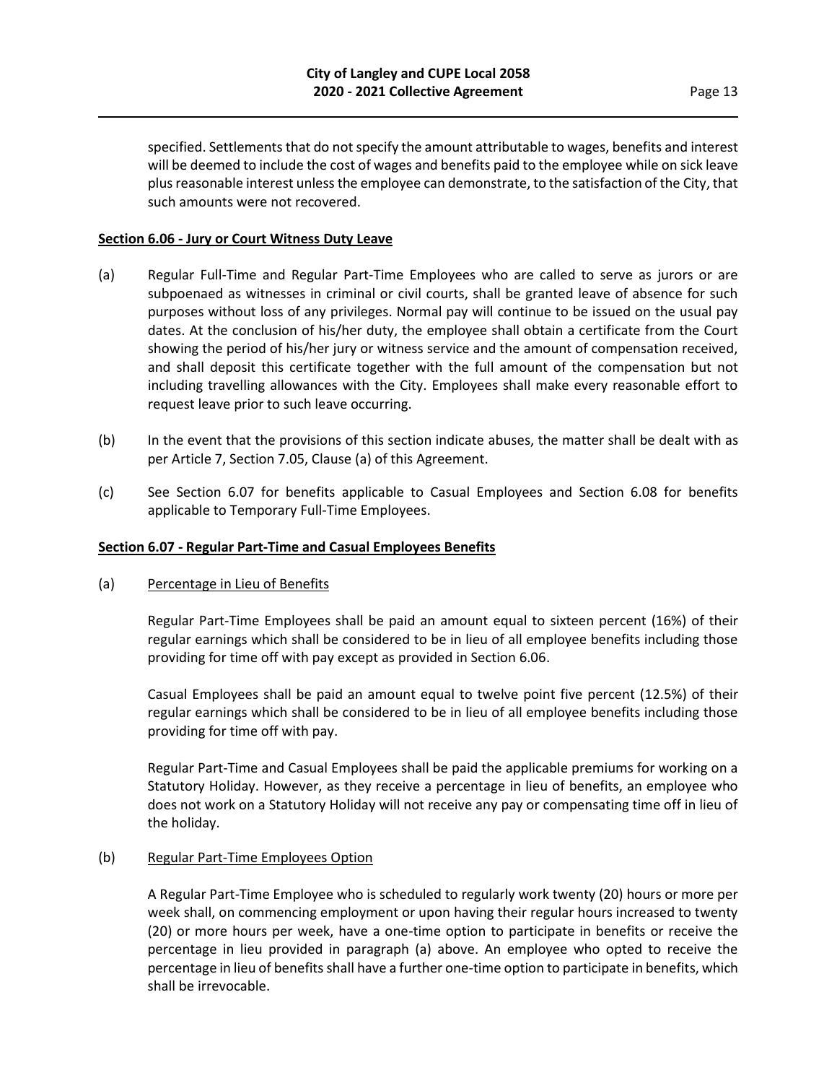specified. Settlements that do not specify the amount attributable to wages, benefits and interest will be deemed to include the cost of wages and benefits paid to the employee while on sick leave plus reasonable interest unless the employee can demonstrate, to the satisfaction of the City, that such amounts were not recovered.

#### **Section 6.06 - Jury or Court Witness Duty Leave**

- (a) Regular Full-Time and Regular Part-Time Employees who are called to serve as jurors or are subpoenaed as witnesses in criminal or civil courts, shall be granted leave of absence for such purposes without loss of any privileges. Normal pay will continue to be issued on the usual pay dates. At the conclusion of his/her duty, the employee shall obtain a certificate from the Court showing the period of his/her jury or witness service and the amount of compensation received, and shall deposit this certificate together with the full amount of the compensation but not including travelling allowances with the City. Employees shall make every reasonable effort to request leave prior to such leave occurring.
- (b) In the event that the provisions of this section indicate abuses, the matter shall be dealt with as per Article 7, Section 7.05, Clause (a) of this Agreement.
- (c) See Section 6.07 for benefits applicable to Casual Employees and Section 6.08 for benefits applicable to Temporary Full-Time Employees.

#### **Section 6.07 - Regular Part-Time and Casual Employees Benefits**

#### (a) Percentage in Lieu of Benefits

Regular Part-Time Employees shall be paid an amount equal to sixteen percent (16%) of their regular earnings which shall be considered to be in lieu of all employee benefits including those providing for time off with pay except as provided in Section 6.06.

Casual Employees shall be paid an amount equal to twelve point five percent (12.5%) of their regular earnings which shall be considered to be in lieu of all employee benefits including those providing for time off with pay.

Regular Part-Time and Casual Employees shall be paid the applicable premiums for working on a Statutory Holiday. However, as they receive a percentage in lieu of benefits, an employee who does not work on a Statutory Holiday will not receive any pay or compensating time off in lieu of the holiday.

#### (b) Regular Part-Time Employees Option

A Regular Part-Time Employee who is scheduled to regularly work twenty (20) hours or more per week shall, on commencing employment or upon having their regular hours increased to twenty (20) or more hours per week, have a one-time option to participate in benefits or receive the percentage in lieu provided in paragraph (a) above. An employee who opted to receive the percentage in lieu of benefits shall have a further one-time option to participate in benefits, which shall be irrevocable.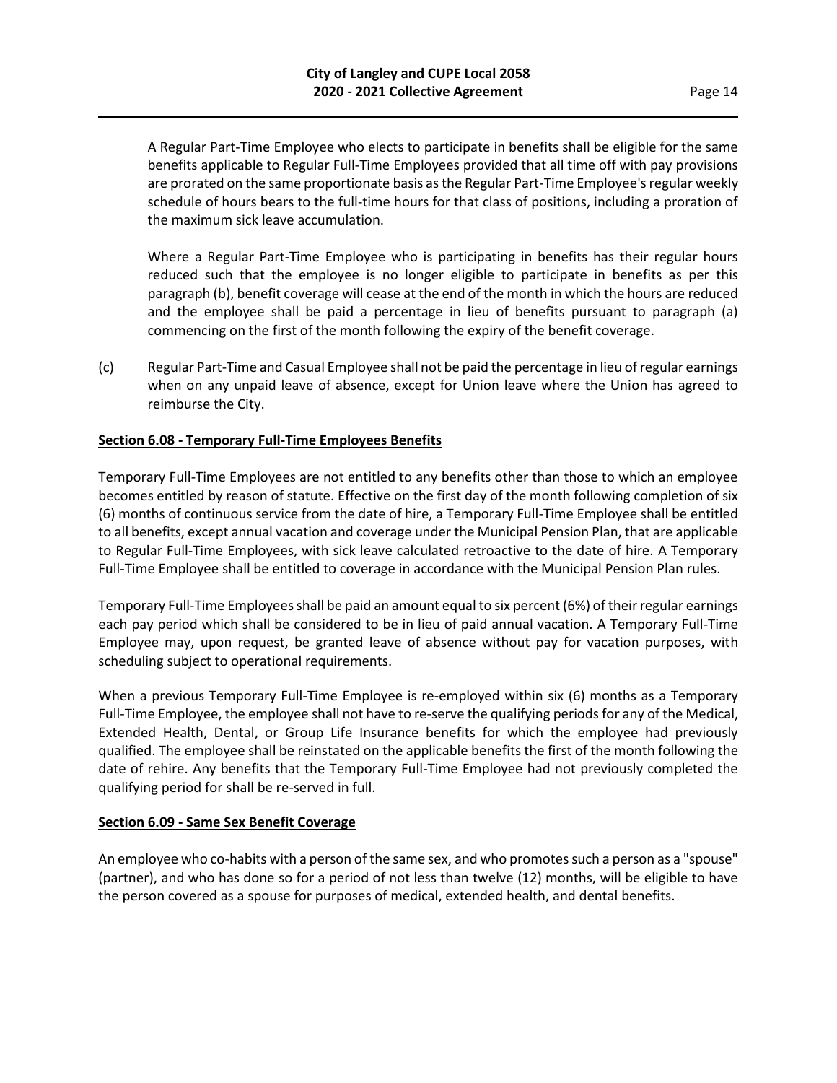A Regular Part-Time Employee who elects to participate in benefits shall be eligible for the same benefits applicable to Regular Full-Time Employees provided that all time off with pay provisions are prorated on the same proportionate basis as the Regular Part-Time Employee's regular weekly schedule of hours bears to the full-time hours for that class of positions, including a proration of the maximum sick leave accumulation.

Where a Regular Part-Time Employee who is participating in benefits has their regular hours reduced such that the employee is no longer eligible to participate in benefits as per this paragraph (b), benefit coverage will cease at the end of the month in which the hours are reduced and the employee shall be paid a percentage in lieu of benefits pursuant to paragraph (a) commencing on the first of the month following the expiry of the benefit coverage.

(c) Regular Part-Time and Casual Employee shall not be paid the percentage in lieu of regular earnings when on any unpaid leave of absence, except for Union leave where the Union has agreed to reimburse the City.

## **Section 6.08 - Temporary Full-Time Employees Benefits**

Temporary Full-Time Employees are not entitled to any benefits other than those to which an employee becomes entitled by reason of statute. Effective on the first day of the month following completion of six (6) months of continuous service from the date of hire, a Temporary Full-Time Employee shall be entitled to all benefits, except annual vacation and coverage under the Municipal Pension Plan, that are applicable to Regular Full-Time Employees, with sick leave calculated retroactive to the date of hire. A Temporary Full-Time Employee shall be entitled to coverage in accordance with the Municipal Pension Plan rules.

Temporary Full-Time Employees shall be paid an amount equal to six percent (6%) of their regular earnings each pay period which shall be considered to be in lieu of paid annual vacation. A Temporary Full-Time Employee may, upon request, be granted leave of absence without pay for vacation purposes, with scheduling subject to operational requirements.

When a previous Temporary Full-Time Employee is re-employed within six (6) months as a Temporary Full-Time Employee, the employee shall not have to re-serve the qualifying periods for any of the Medical, Extended Health, Dental, or Group Life Insurance benefits for which the employee had previously qualified. The employee shall be reinstated on the applicable benefits the first of the month following the date of rehire. Any benefits that the Temporary Full-Time Employee had not previously completed the qualifying period for shall be re-served in full.

#### **Section 6.09 - Same Sex Benefit Coverage**

An employee who co-habits with a person of the same sex, and who promotes such a person as a "spouse" (partner), and who has done so for a period of not less than twelve (12) months, will be eligible to have the person covered as a spouse for purposes of medical, extended health, and dental benefits.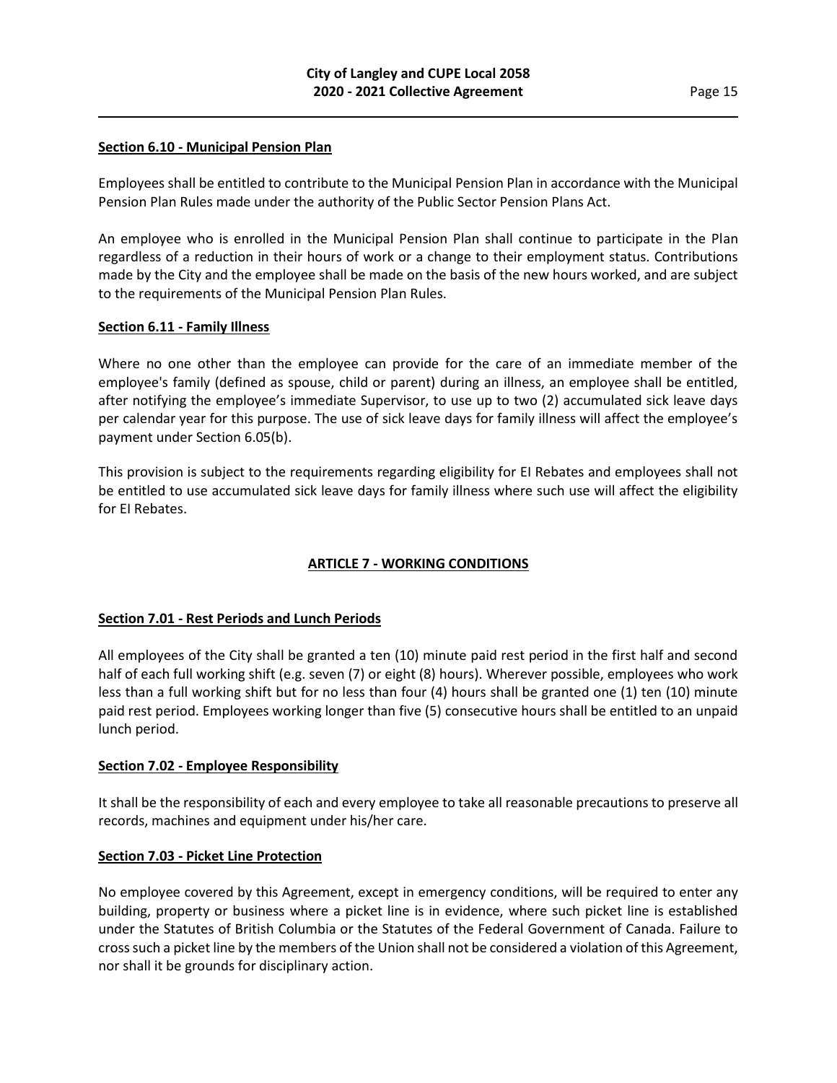#### **Section 6.10 - Municipal Pension Plan**

Employees shall be entitled to contribute to the Municipal Pension Plan in accordance with the Municipal Pension Plan Rules made under the authority of the Public Sector Pension Plans Act.

An employee who is enrolled in the Municipal Pension Plan shall continue to participate in the Plan regardless of a reduction in their hours of work or a change to their employment status. Contributions made by the City and the employee shall be made on the basis of the new hours worked, and are subject to the requirements of the Municipal Pension Plan Rules.

## **Section 6.11 - Family Illness**

Where no one other than the employee can provide for the care of an immediate member of the employee's family (defined as spouse, child or parent) during an illness, an employee shall be entitled, after notifying the employee's immediate Supervisor, to use up to two (2) accumulated sick leave days per calendar year for this purpose. The use of sick leave days for family illness will affect the employee's payment under Section 6.05(b).

This provision is subject to the requirements regarding eligibility for EI Rebates and employees shall not be entitled to use accumulated sick leave days for family illness where such use will affect the eligibility for EI Rebates.

## **ARTICLE 7 - WORKING CONDITIONS**

## **Section 7.01 - Rest Periods and Lunch Periods**

All employees of the City shall be granted a ten (10) minute paid rest period in the first half and second half of each full working shift (e.g. seven (7) or eight (8) hours). Wherever possible, employees who work less than a full working shift but for no less than four (4) hours shall be granted one (1) ten (10) minute paid rest period. Employees working longer than five (5) consecutive hours shall be entitled to an unpaid lunch period.

#### **Section 7.02 - Employee Responsibility**

It shall be the responsibility of each and every employee to take all reasonable precautions to preserve all records, machines and equipment under his/her care.

#### **Section 7.03 - Picket Line Protection**

No employee covered by this Agreement, except in emergency conditions, will be required to enter any building, property or business where a picket line is in evidence, where such picket line is established under the Statutes of British Columbia or the Statutes of the Federal Government of Canada. Failure to cross such a picket line by the members of the Union shall not be considered a violation of this Agreement, nor shall it be grounds for disciplinary action.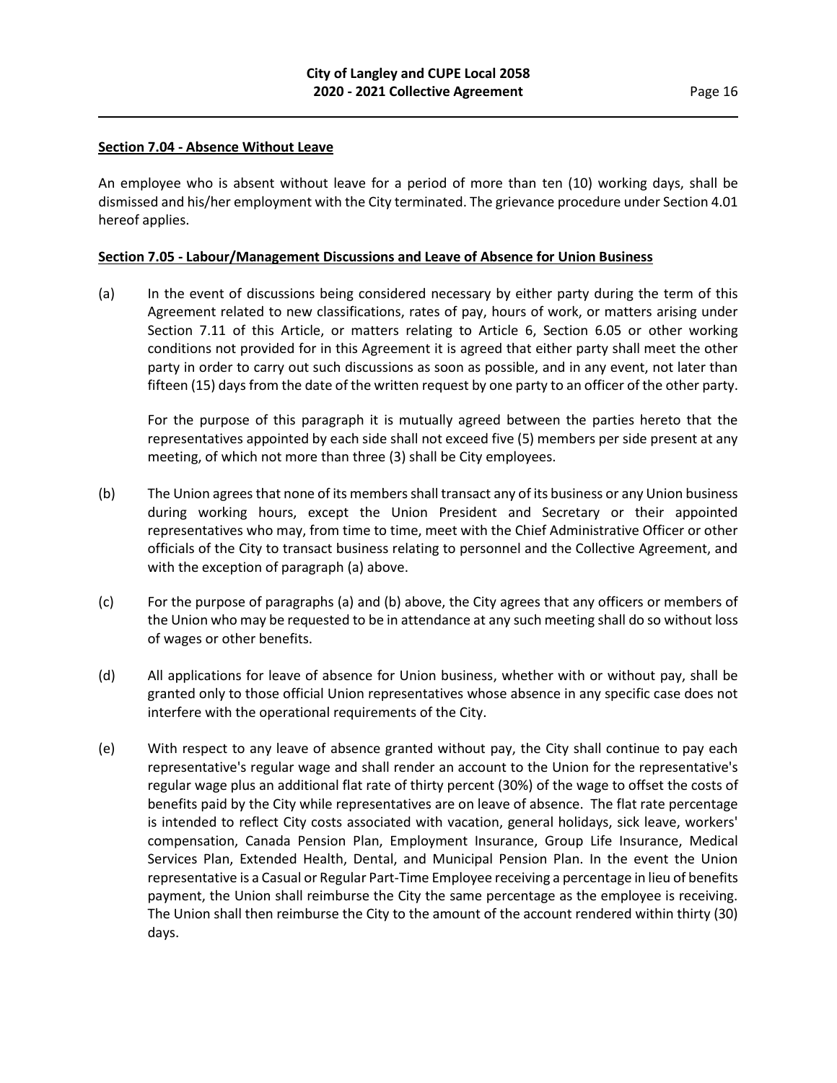#### **Section 7.04 - Absence Without Leave**

An employee who is absent without leave for a period of more than ten (10) working days, shall be dismissed and his/her employment with the City terminated. The grievance procedure under Section 4.01 hereof applies.

## **Section 7.05 - Labour/Management Discussions and Leave of Absence for Union Business**

(a) In the event of discussions being considered necessary by either party during the term of this Agreement related to new classifications, rates of pay, hours of work, or matters arising under Section 7.11 of this Article, or matters relating to Article 6, Section 6.05 or other working conditions not provided for in this Agreement it is agreed that either party shall meet the other party in order to carry out such discussions as soon as possible, and in any event, not later than fifteen (15) days from the date of the written request by one party to an officer of the other party.

For the purpose of this paragraph it is mutually agreed between the parties hereto that the representatives appointed by each side shall not exceed five (5) members per side present at any meeting, of which not more than three (3) shall be City employees.

- (b) The Union agrees that none of its members shall transact any of its business or any Union business during working hours, except the Union President and Secretary or their appointed representatives who may, from time to time, meet with the Chief Administrative Officer or other officials of the City to transact business relating to personnel and the Collective Agreement, and with the exception of paragraph (a) above.
- (c) For the purpose of paragraphs (a) and (b) above, the City agrees that any officers or members of the Union who may be requested to be in attendance at any such meeting shall do so without loss of wages or other benefits.
- (d) All applications for leave of absence for Union business, whether with or without pay, shall be granted only to those official Union representatives whose absence in any specific case does not interfere with the operational requirements of the City.
- (e) With respect to any leave of absence granted without pay, the City shall continue to pay each representative's regular wage and shall render an account to the Union for the representative's regular wage plus an additional flat rate of thirty percent (30%) of the wage to offset the costs of benefits paid by the City while representatives are on leave of absence. The flat rate percentage is intended to reflect City costs associated with vacation, general holidays, sick leave, workers' compensation, Canada Pension Plan, Employment Insurance, Group Life Insurance, Medical Services Plan, Extended Health, Dental, and Municipal Pension Plan. In the event the Union representative is a Casual or Regular Part-Time Employee receiving a percentage in lieu of benefits payment, the Union shall reimburse the City the same percentage as the employee is receiving. The Union shall then reimburse the City to the amount of the account rendered within thirty (30) days.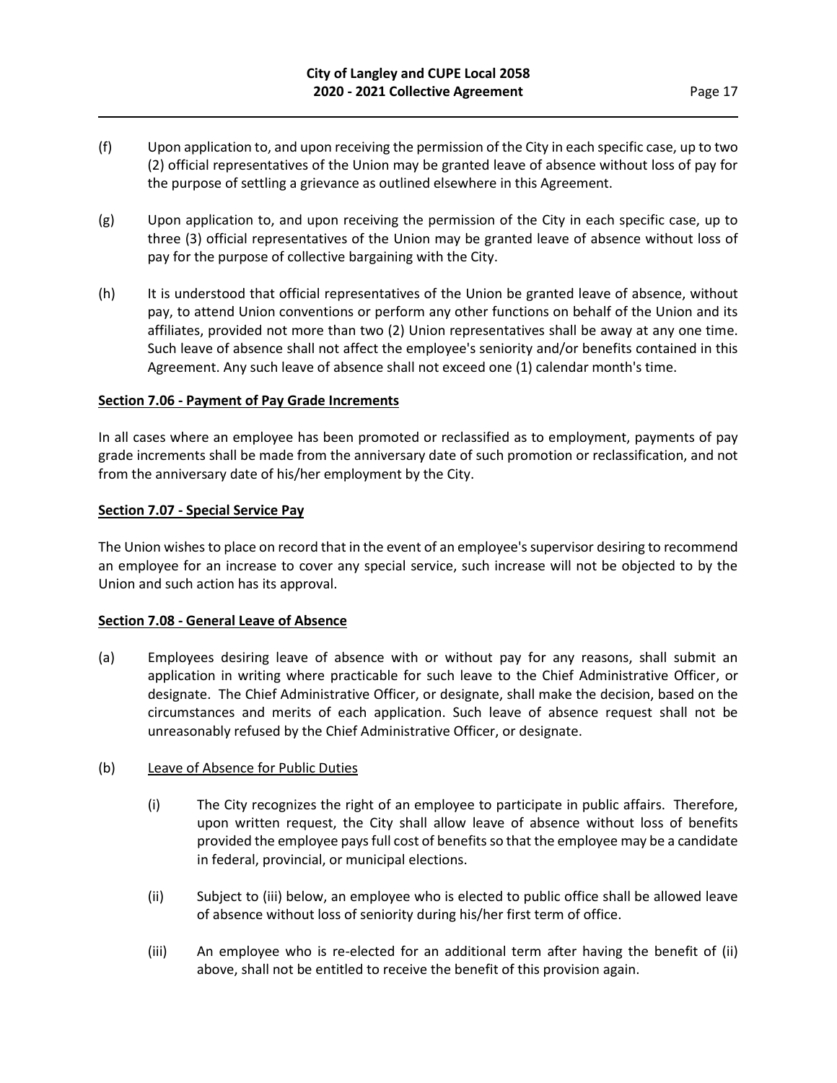- (f) Upon application to, and upon receiving the permission of the City in each specific case, up to two (2) official representatives of the Union may be granted leave of absence without loss of pay for the purpose of settling a grievance as outlined elsewhere in this Agreement.
- $(g)$  Upon application to, and upon receiving the permission of the City in each specific case, up to three (3) official representatives of the Union may be granted leave of absence without loss of pay for the purpose of collective bargaining with the City.
- (h) It is understood that official representatives of the Union be granted leave of absence, without pay, to attend Union conventions or perform any other functions on behalf of the Union and its affiliates, provided not more than two (2) Union representatives shall be away at any one time. Such leave of absence shall not affect the employee's seniority and/or benefits contained in this Agreement. Any such leave of absence shall not exceed one (1) calendar month's time.

## **Section 7.06 - Payment of Pay Grade Increments**

In all cases where an employee has been promoted or reclassified as to employment, payments of pay grade increments shall be made from the anniversary date of such promotion or reclassification, and not from the anniversary date of his/her employment by the City.

## **Section 7.07 - Special Service Pay**

The Union wishes to place on record that in the event of an employee's supervisor desiring to recommend an employee for an increase to cover any special service, such increase will not be objected to by the Union and such action has its approval.

## **Section 7.08 - General Leave of Absence**

(a) Employees desiring leave of absence with or without pay for any reasons, shall submit an application in writing where practicable for such leave to the Chief Administrative Officer, or designate. The Chief Administrative Officer, or designate, shall make the decision, based on the circumstances and merits of each application. Such leave of absence request shall not be unreasonably refused by the Chief Administrative Officer, or designate.

#### (b) Leave of Absence for Public Duties

- (i) The City recognizes the right of an employee to participate in public affairs. Therefore, upon written request, the City shall allow leave of absence without loss of benefits provided the employee pays full cost of benefits so that the employee may be a candidate in federal, provincial, or municipal elections.
- (ii) Subject to (iii) below, an employee who is elected to public office shall be allowed leave of absence without loss of seniority during his/her first term of office.
- (iii) An employee who is re-elected for an additional term after having the benefit of (ii) above, shall not be entitled to receive the benefit of this provision again.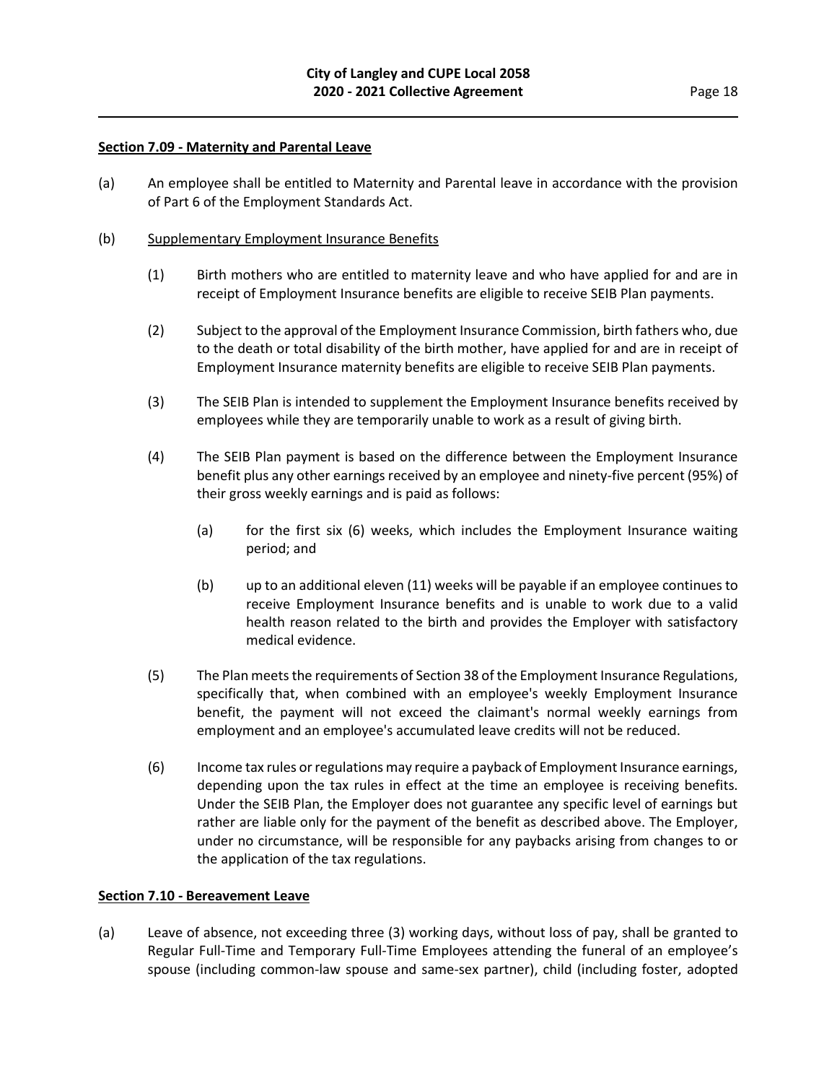#### **Section 7.09 - Maternity and Parental Leave**

(a) An employee shall be entitled to Maternity and Parental leave in accordance with the provision of Part 6 of the Employment Standards Act.

#### (b) Supplementary Employment Insurance Benefits

- (1) Birth mothers who are entitled to maternity leave and who have applied for and are in receipt of Employment Insurance benefits are eligible to receive SEIB Plan payments.
- (2) Subject to the approval of the Employment Insurance Commission, birth fathers who, due to the death or total disability of the birth mother, have applied for and are in receipt of Employment Insurance maternity benefits are eligible to receive SEIB Plan payments.
- (3) The SEIB Plan is intended to supplement the Employment Insurance benefits received by employees while they are temporarily unable to work as a result of giving birth.
- (4) The SEIB Plan payment is based on the difference between the Employment Insurance benefit plus any other earnings received by an employee and ninety-five percent (95%) of their gross weekly earnings and is paid as follows:
	- (a) for the first six (6) weeks, which includes the Employment Insurance waiting period; and
	- (b) up to an additional eleven (11) weeks will be payable if an employee continues to receive Employment Insurance benefits and is unable to work due to a valid health reason related to the birth and provides the Employer with satisfactory medical evidence.
- (5) The Plan meets the requirements of Section 38 of the Employment Insurance Regulations, specifically that, when combined with an employee's weekly Employment Insurance benefit, the payment will not exceed the claimant's normal weekly earnings from employment and an employee's accumulated leave credits will not be reduced.
- (6) Income tax rules or regulations may require a payback of Employment Insurance earnings, depending upon the tax rules in effect at the time an employee is receiving benefits. Under the SEIB Plan, the Employer does not guarantee any specific level of earnings but rather are liable only for the payment of the benefit as described above. The Employer, under no circumstance, will be responsible for any paybacks arising from changes to or the application of the tax regulations.

#### **Section 7.10 - Bereavement Leave**

(a) Leave of absence, not exceeding three (3) working days, without loss of pay, shall be granted to Regular Full-Time and Temporary Full-Time Employees attending the funeral of an employee's spouse (including common-law spouse and same-sex partner), child (including foster, adopted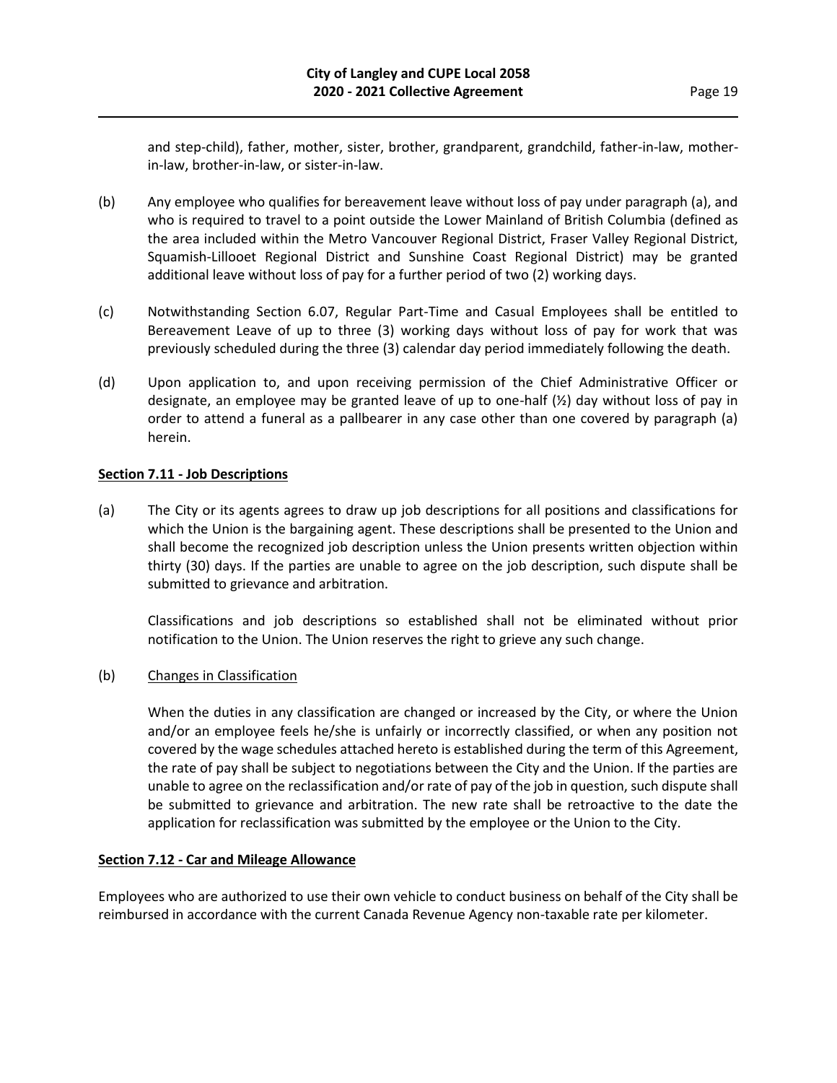and step-child), father, mother, sister, brother, grandparent, grandchild, father-in-law, motherin-law, brother-in-law, or sister-in-law.

- (b) Any employee who qualifies for bereavement leave without loss of pay under paragraph (a), and who is required to travel to a point outside the Lower Mainland of British Columbia (defined as the area included within the Metro Vancouver Regional District, Fraser Valley Regional District, Squamish-Lillooet Regional District and Sunshine Coast Regional District) may be granted additional leave without loss of pay for a further period of two (2) working days.
- (c) Notwithstanding Section 6.07, Regular Part-Time and Casual Employees shall be entitled to Bereavement Leave of up to three (3) working days without loss of pay for work that was previously scheduled during the three (3) calendar day period immediately following the death.
- (d) Upon application to, and upon receiving permission of the Chief Administrative Officer or designate, an employee may be granted leave of up to one-half (½) day without loss of pay in order to attend a funeral as a pallbearer in any case other than one covered by paragraph (a) herein.

## **Section 7.11 - Job Descriptions**

(a) The City or its agents agrees to draw up job descriptions for all positions and classifications for which the Union is the bargaining agent. These descriptions shall be presented to the Union and shall become the recognized job description unless the Union presents written objection within thirty (30) days. If the parties are unable to agree on the job description, such dispute shall be submitted to grievance and arbitration.

Classifications and job descriptions so established shall not be eliminated without prior notification to the Union. The Union reserves the right to grieve any such change.

## (b) Changes in Classification

When the duties in any classification are changed or increased by the City, or where the Union and/or an employee feels he/she is unfairly or incorrectly classified, or when any position not covered by the wage schedules attached hereto is established during the term of this Agreement, the rate of pay shall be subject to negotiations between the City and the Union. If the parties are unable to agree on the reclassification and/or rate of pay of the job in question, such dispute shall be submitted to grievance and arbitration. The new rate shall be retroactive to the date the application for reclassification was submitted by the employee or the Union to the City.

#### **Section 7.12 - Car and Mileage Allowance**

Employees who are authorized to use their own vehicle to conduct business on behalf of the City shall be reimbursed in accordance with the current Canada Revenue Agency non-taxable rate per kilometer.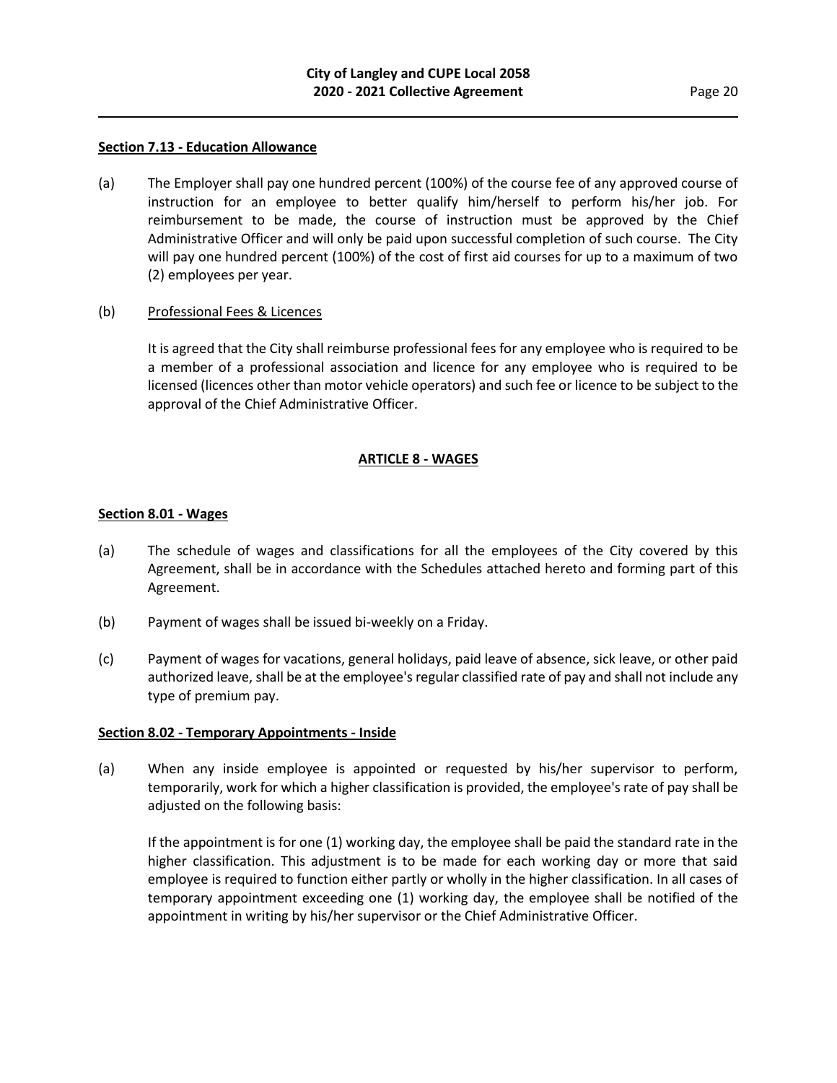#### **Section 7.13 - Education Allowance**

(a) The Employer shall pay one hundred percent (100%) of the course fee of any approved course of instruction for an employee to better qualify him/herself to perform his/her job. For reimbursement to be made, the course of instruction must be approved by the Chief Administrative Officer and will only be paid upon successful completion of such course. The City will pay one hundred percent (100%) of the cost of first aid courses for up to a maximum of two (2) employees per year.

#### (b) Professional Fees & Licences

It is agreed that the City shall reimburse professional fees for any employee who is required to be a member of a professional association and licence for any employee who is required to be licensed (licences other than motor vehicle operators) and such fee or licence to be subject to the approval of the Chief Administrative Officer.

## **ARTICLE 8 - WAGES**

#### **Section 8.01 - Wages**

- (a) The schedule of wages and classifications for all the employees of the City covered by this Agreement, shall be in accordance with the Schedules attached hereto and forming part of this Agreement.
- (b) Payment of wages shall be issued bi-weekly on a Friday.
- (c) Payment of wages for vacations, general holidays, paid leave of absence, sick leave, or other paid authorized leave, shall be at the employee's regular classified rate of pay and shall not include any type of premium pay.

#### **Section 8.02 - Temporary Appointments - Inside**

(a) When any inside employee is appointed or requested by his/her supervisor to perform, temporarily, work for which a higher classification is provided, the employee's rate of pay shall be adjusted on the following basis:

If the appointment is for one (1) working day, the employee shall be paid the standard rate in the higher classification. This adjustment is to be made for each working day or more that said employee is required to function either partly or wholly in the higher classification. In all cases of temporary appointment exceeding one (1) working day, the employee shall be notified of the appointment in writing by his/her supervisor or the Chief Administrative Officer.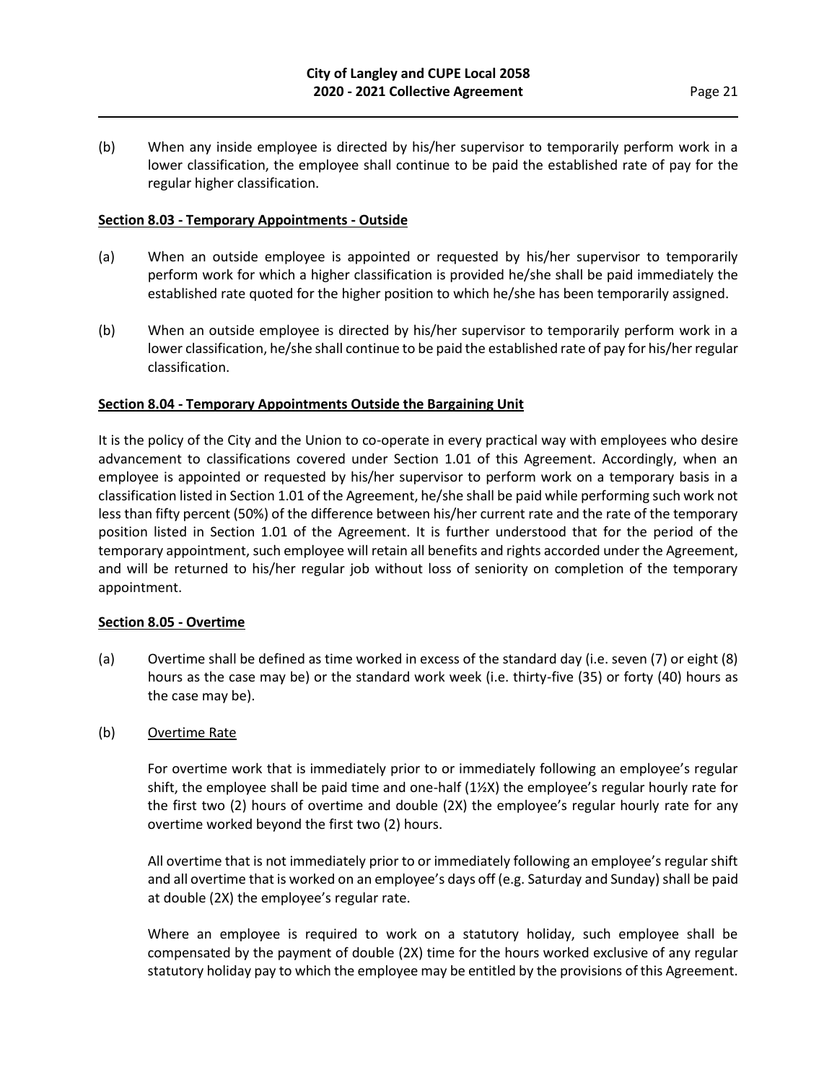(b) When any inside employee is directed by his/her supervisor to temporarily perform work in a lower classification, the employee shall continue to be paid the established rate of pay for the regular higher classification.

## **Section 8.03 - Temporary Appointments - Outside**

- (a) When an outside employee is appointed or requested by his/her supervisor to temporarily perform work for which a higher classification is provided he/she shall be paid immediately the established rate quoted for the higher position to which he/she has been temporarily assigned.
- (b) When an outside employee is directed by his/her supervisor to temporarily perform work in a lower classification, he/she shall continue to be paid the established rate of pay for his/her regular classification.

## **Section 8.04 - Temporary Appointments Outside the Bargaining Unit**

It is the policy of the City and the Union to co-operate in every practical way with employees who desire advancement to classifications covered under Section 1.01 of this Agreement. Accordingly, when an employee is appointed or requested by his/her supervisor to perform work on a temporary basis in a classification listed in Section 1.01 of the Agreement, he/she shall be paid while performing such work not less than fifty percent (50%) of the difference between his/her current rate and the rate of the temporary position listed in Section 1.01 of the Agreement. It is further understood that for the period of the temporary appointment, such employee will retain all benefits and rights accorded under the Agreement, and will be returned to his/her regular job without loss of seniority on completion of the temporary appointment.

#### **Section 8.05 - Overtime**

(a) Overtime shall be defined as time worked in excess of the standard day (i.e. seven (7) or eight (8) hours as the case may be) or the standard work week (i.e. thirty-five (35) or forty (40) hours as the case may be).

## (b) Overtime Rate

For overtime work that is immediately prior to or immediately following an employee's regular shift, the employee shall be paid time and one-half (1½X) the employee's regular hourly rate for the first two (2) hours of overtime and double (2X) the employee's regular hourly rate for any overtime worked beyond the first two (2) hours.

All overtime that is not immediately prior to or immediately following an employee's regular shift and all overtime that is worked on an employee's days off (e.g. Saturday and Sunday) shall be paid at double (2X) the employee's regular rate.

Where an employee is required to work on a statutory holiday, such employee shall be compensated by the payment of double (2X) time for the hours worked exclusive of any regular statutory holiday pay to which the employee may be entitled by the provisions of this Agreement.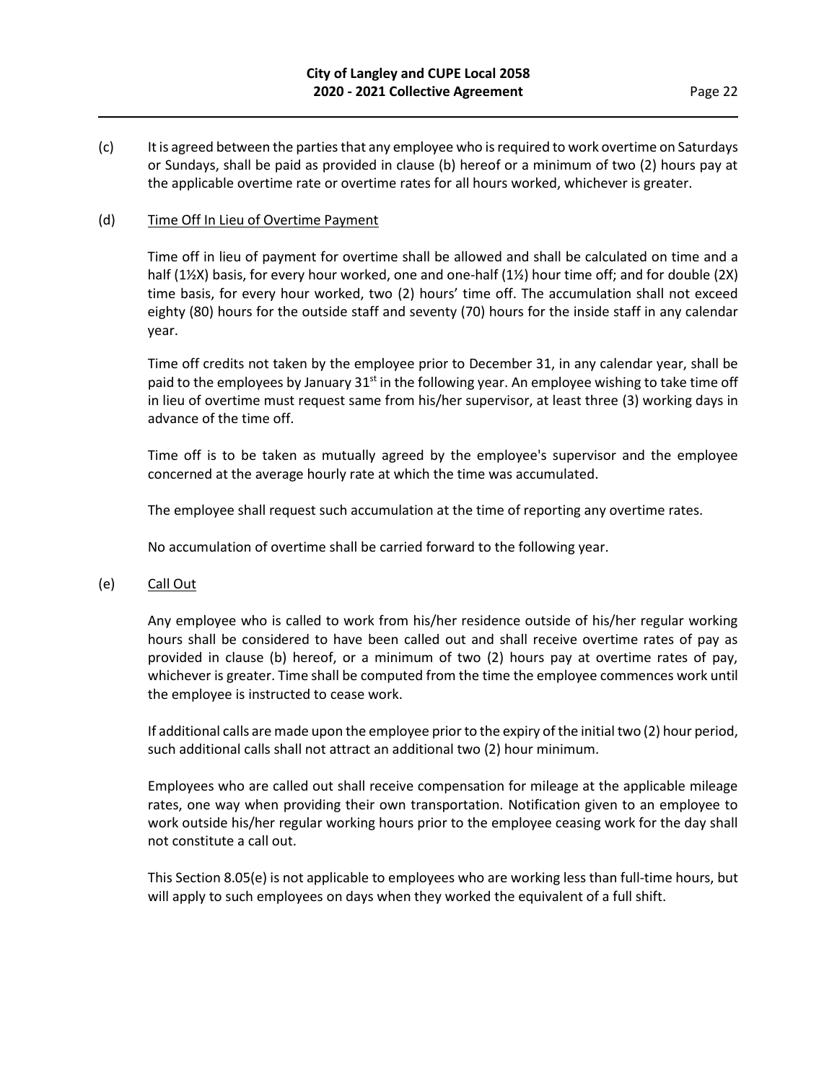(c) It is agreed between the parties that any employee who is required to work overtime on Saturdays or Sundays, shall be paid as provided in clause (b) hereof or a minimum of two (2) hours pay at the applicable overtime rate or overtime rates for all hours worked, whichever is greater.

#### (d) Time Off In Lieu of Overtime Payment

Time off in lieu of payment for overtime shall be allowed and shall be calculated on time and a half (1½X) basis, for every hour worked, one and one-half (1½) hour time off; and for double (2X) time basis, for every hour worked, two (2) hours' time off. The accumulation shall not exceed eighty (80) hours for the outside staff and seventy (70) hours for the inside staff in any calendar year.

Time off credits not taken by the employee prior to December 31, in any calendar year, shall be paid to the employees by January  $31^{st}$  in the following year. An employee wishing to take time off in lieu of overtime must request same from his/her supervisor, at least three (3) working days in advance of the time off.

Time off is to be taken as mutually agreed by the employee's supervisor and the employee concerned at the average hourly rate at which the time was accumulated.

The employee shall request such accumulation at the time of reporting any overtime rates.

No accumulation of overtime shall be carried forward to the following year.

(e) Call Out

Any employee who is called to work from his/her residence outside of his/her regular working hours shall be considered to have been called out and shall receive overtime rates of pay as provided in clause (b) hereof, or a minimum of two (2) hours pay at overtime rates of pay, whichever is greater. Time shall be computed from the time the employee commences work until the employee is instructed to cease work.

If additional calls are made upon the employee prior to the expiry of the initial two (2) hour period, such additional calls shall not attract an additional two (2) hour minimum.

Employees who are called out shall receive compensation for mileage at the applicable mileage rates, one way when providing their own transportation. Notification given to an employee to work outside his/her regular working hours prior to the employee ceasing work for the day shall not constitute a call out.

This Section 8.05(e) is not applicable to employees who are working less than full-time hours, but will apply to such employees on days when they worked the equivalent of a full shift.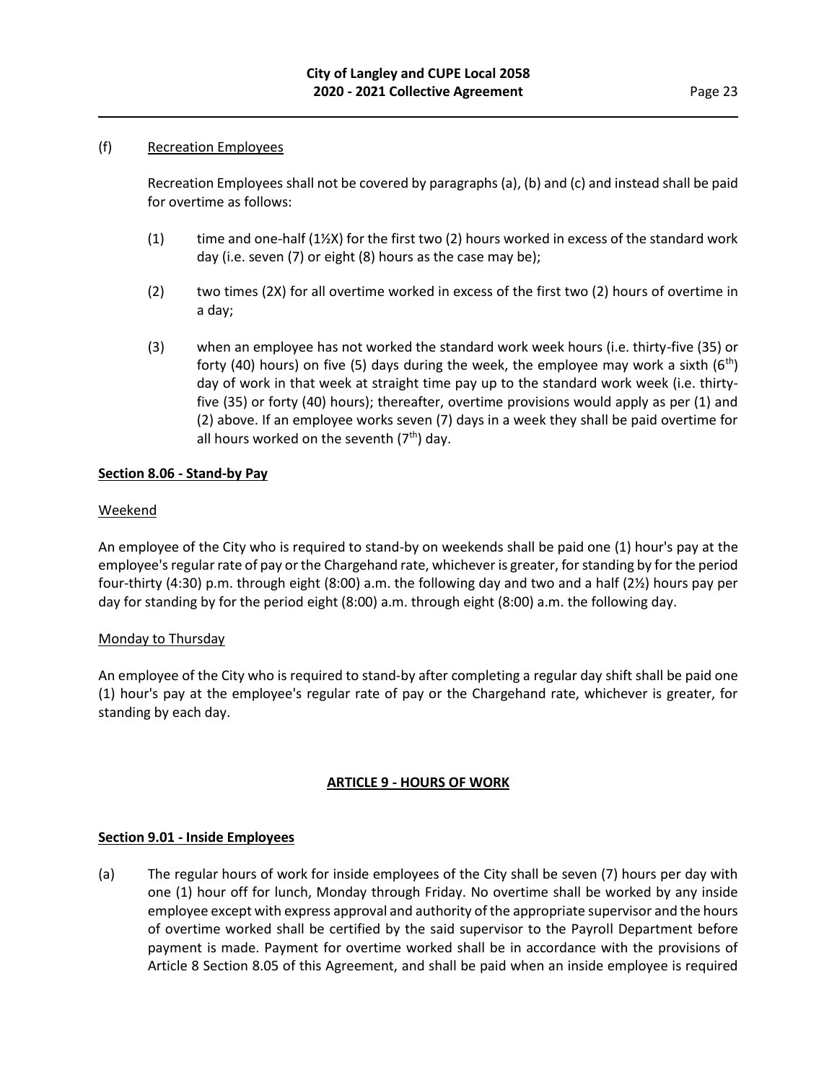## (f) Recreation Employees

Recreation Employees shall not be covered by paragraphs (a), (b) and (c) and instead shall be paid for overtime as follows:

- (1) time and one-half  $(1)/2$ X) for the first two (2) hours worked in excess of the standard work day (i.e. seven (7) or eight (8) hours as the case may be);
- (2) two times (2X) for all overtime worked in excess of the first two (2) hours of overtime in a day;
- (3) when an employee has not worked the standard work week hours (i.e. thirty-five (35) or forty (40) hours) on five (5) days during the week, the employee may work a sixth (6<sup>th</sup>) day of work in that week at straight time pay up to the standard work week (i.e. thirtyfive (35) or forty (40) hours); thereafter, overtime provisions would apply as per (1) and (2) above. If an employee works seven (7) days in a week they shall be paid overtime for all hours worked on the seventh  $(7<sup>th</sup>)$  day.

## **Section 8.06 - Stand-by Pay**

## Weekend

An employee of the City who is required to stand-by on weekends shall be paid one (1) hour's pay at the employee's regular rate of pay or the Chargehand rate, whichever is greater, for standing by for the period four-thirty (4:30) p.m. through eight (8:00) a.m. the following day and two and a half (2½) hours pay per day for standing by for the period eight (8:00) a.m. through eight (8:00) a.m. the following day.

#### Monday to Thursday

An employee of the City who is required to stand-by after completing a regular day shift shall be paid one (1) hour's pay at the employee's regular rate of pay or the Chargehand rate, whichever is greater, for standing by each day.

## **ARTICLE 9 - HOURS OF WORK**

#### **Section 9.01 - Inside Employees**

(a) The regular hours of work for inside employees of the City shall be seven (7) hours per day with one (1) hour off for lunch, Monday through Friday. No overtime shall be worked by any inside employee except with express approval and authority of the appropriate supervisor and the hours of overtime worked shall be certified by the said supervisor to the Payroll Department before payment is made. Payment for overtime worked shall be in accordance with the provisions of Article 8 Section 8.05 of this Agreement, and shall be paid when an inside employee is required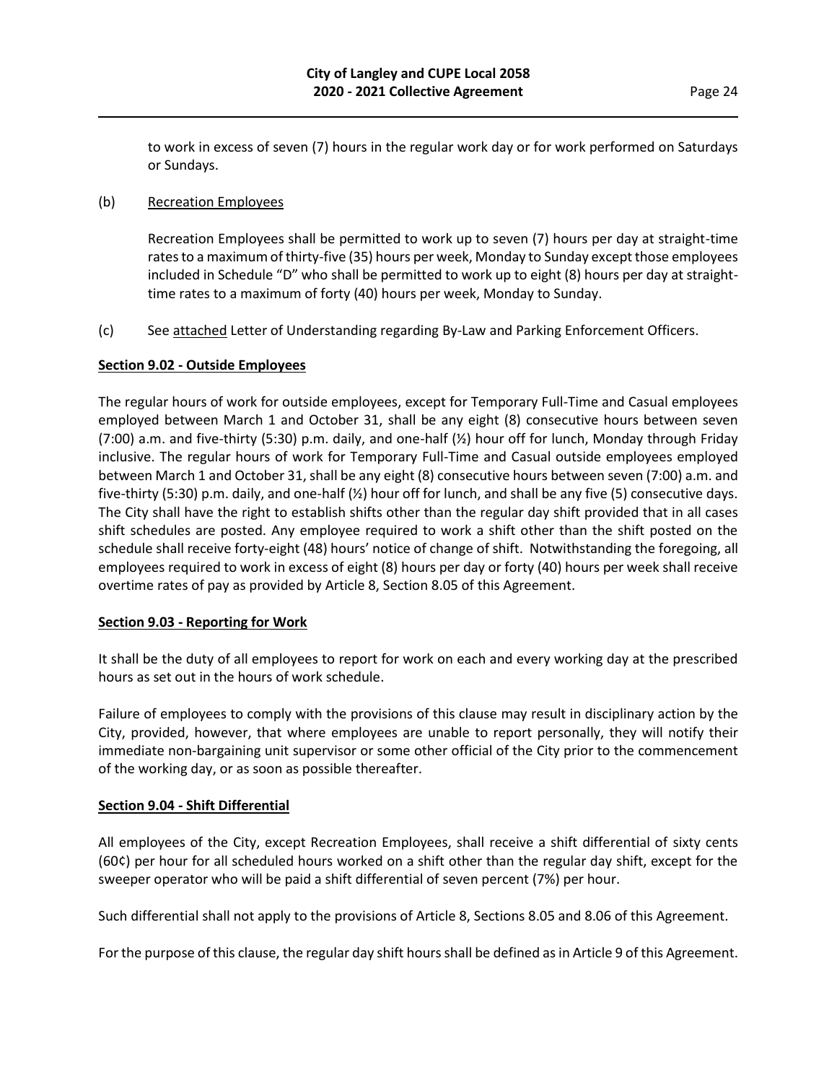to work in excess of seven (7) hours in the regular work day or for work performed on Saturdays or Sundays.

## (b) Recreation Employees

Recreation Employees shall be permitted to work up to seven (7) hours per day at straight-time rates to a maximum of thirty-five (35) hours per week, Monday to Sunday except those employees included in Schedule "D" who shall be permitted to work up to eight (8) hours per day at straighttime rates to a maximum of forty (40) hours per week, Monday to Sunday.

(c) See attached Letter of Understanding regarding By-Law and Parking Enforcement Officers.

## **Section 9.02 - Outside Employees**

The regular hours of work for outside employees, except for Temporary Full-Time and Casual employees employed between March 1 and October 31, shall be any eight (8) consecutive hours between seven (7:00) a.m. and five-thirty (5:30) p.m. daily, and one-half (½) hour off for lunch, Monday through Friday inclusive. The regular hours of work for Temporary Full-Time and Casual outside employees employed between March 1 and October 31, shall be any eight (8) consecutive hours between seven (7:00) a.m. and five-thirty (5:30) p.m. daily, and one-half (½) hour off for lunch, and shall be any five (5) consecutive days. The City shall have the right to establish shifts other than the regular day shift provided that in all cases shift schedules are posted. Any employee required to work a shift other than the shift posted on the schedule shall receive forty-eight (48) hours' notice of change of shift. Notwithstanding the foregoing, all employees required to work in excess of eight (8) hours per day or forty (40) hours per week shall receive overtime rates of pay as provided by Article 8, Section 8.05 of this Agreement.

#### **Section 9.03 - Reporting for Work**

It shall be the duty of all employees to report for work on each and every working day at the prescribed hours as set out in the hours of work schedule.

Failure of employees to comply with the provisions of this clause may result in disciplinary action by the City, provided, however, that where employees are unable to report personally, they will notify their immediate non-bargaining unit supervisor or some other official of the City prior to the commencement of the working day, or as soon as possible thereafter.

## **Section 9.04 - Shift Differential**

All employees of the City, except Recreation Employees, shall receive a shift differential of sixty cents (60¢) per hour for all scheduled hours worked on a shift other than the regular day shift, except for the sweeper operator who will be paid a shift differential of seven percent (7%) per hour.

Such differential shall not apply to the provisions of Article 8, Sections 8.05 and 8.06 of this Agreement.

For the purpose of this clause, the regular day shift hours shall be defined as in Article 9 of this Agreement.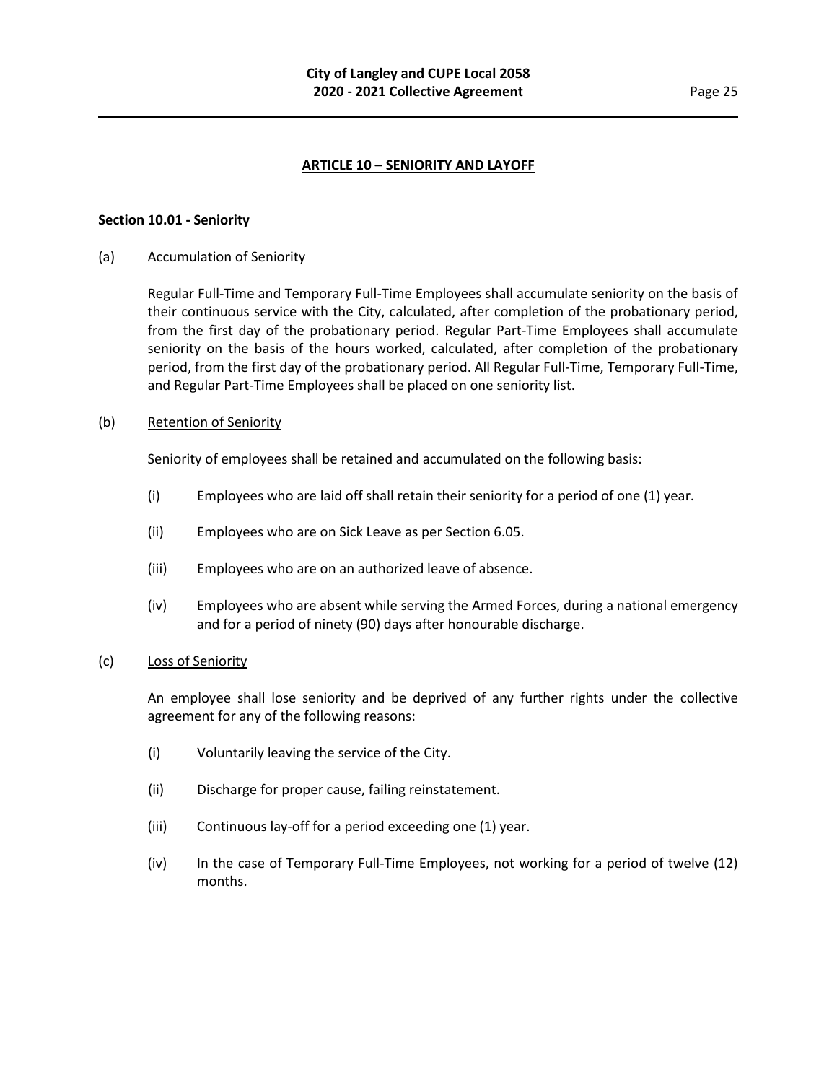## **ARTICLE 10 – SENIORITY AND LAYOFF**

#### **Section 10.01 - Seniority**

#### (a) Accumulation of Seniority

Regular Full-Time and Temporary Full-Time Employees shall accumulate seniority on the basis of their continuous service with the City, calculated, after completion of the probationary period, from the first day of the probationary period. Regular Part-Time Employees shall accumulate seniority on the basis of the hours worked, calculated, after completion of the probationary period, from the first day of the probationary period. All Regular Full-Time, Temporary Full-Time, and Regular Part-Time Employees shall be placed on one seniority list.

#### (b) Retention of Seniority

Seniority of employees shall be retained and accumulated on the following basis:

- (i) Employees who are laid off shall retain their seniority for a period of one (1) year.
- (ii) Employees who are on Sick Leave as per Section 6.05.
- (iii) Employees who are on an authorized leave of absence.
- (iv) Employees who are absent while serving the Armed Forces, during a national emergency and for a period of ninety (90) days after honourable discharge.

#### (c) Loss of Seniority

An employee shall lose seniority and be deprived of any further rights under the collective agreement for any of the following reasons:

- (i) Voluntarily leaving the service of the City.
- (ii) Discharge for proper cause, failing reinstatement.
- (iii) Continuous lay-off for a period exceeding one (1) year.
- (iv) In the case of Temporary Full-Time Employees, not working for a period of twelve (12) months.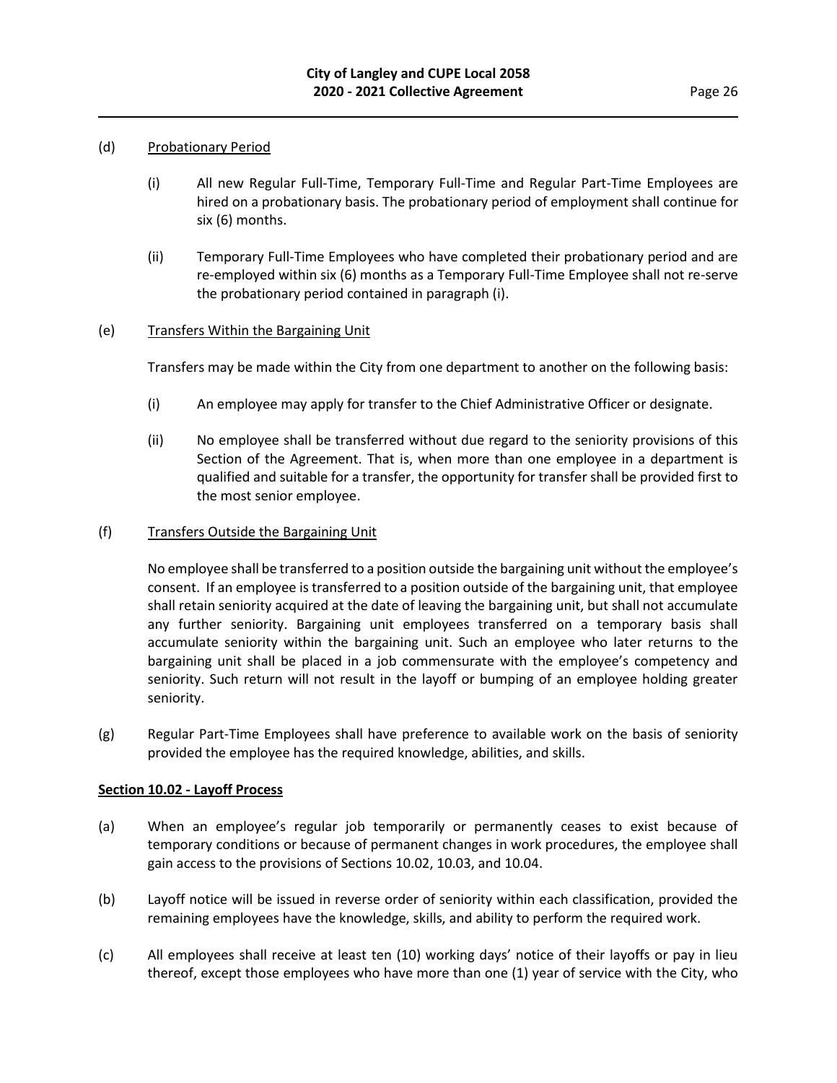#### (d) Probationary Period

- (i) All new Regular Full-Time, Temporary Full-Time and Regular Part-Time Employees are hired on a probationary basis. The probationary period of employment shall continue for six (6) months.
- (ii) Temporary Full-Time Employees who have completed their probationary period and are re-employed within six (6) months as a Temporary Full-Time Employee shall not re-serve the probationary period contained in paragraph (i).

## (e) Transfers Within the Bargaining Unit

Transfers may be made within the City from one department to another on the following basis:

- (i) An employee may apply for transfer to the Chief Administrative Officer or designate.
- (ii) No employee shall be transferred without due regard to the seniority provisions of this Section of the Agreement. That is, when more than one employee in a department is qualified and suitable for a transfer, the opportunity for transfer shall be provided first to the most senior employee.

#### (f) Transfers Outside the Bargaining Unit

No employee shall be transferred to a position outside the bargaining unit without the employee's consent. If an employee is transferred to a position outside of the bargaining unit, that employee shall retain seniority acquired at the date of leaving the bargaining unit, but shall not accumulate any further seniority. Bargaining unit employees transferred on a temporary basis shall accumulate seniority within the bargaining unit. Such an employee who later returns to the bargaining unit shall be placed in a job commensurate with the employee's competency and seniority. Such return will not result in the layoff or bumping of an employee holding greater seniority.

(g) Regular Part-Time Employees shall have preference to available work on the basis of seniority provided the employee has the required knowledge, abilities, and skills.

#### **Section 10.02 - Layoff Process**

- (a) When an employee's regular job temporarily or permanently ceases to exist because of temporary conditions or because of permanent changes in work procedures, the employee shall gain access to the provisions of Sections 10.02, 10.03, and 10.04.
- (b) Layoff notice will be issued in reverse order of seniority within each classification, provided the remaining employees have the knowledge, skills, and ability to perform the required work.
- (c) All employees shall receive at least ten (10) working days' notice of their layoffs or pay in lieu thereof, except those employees who have more than one (1) year of service with the City, who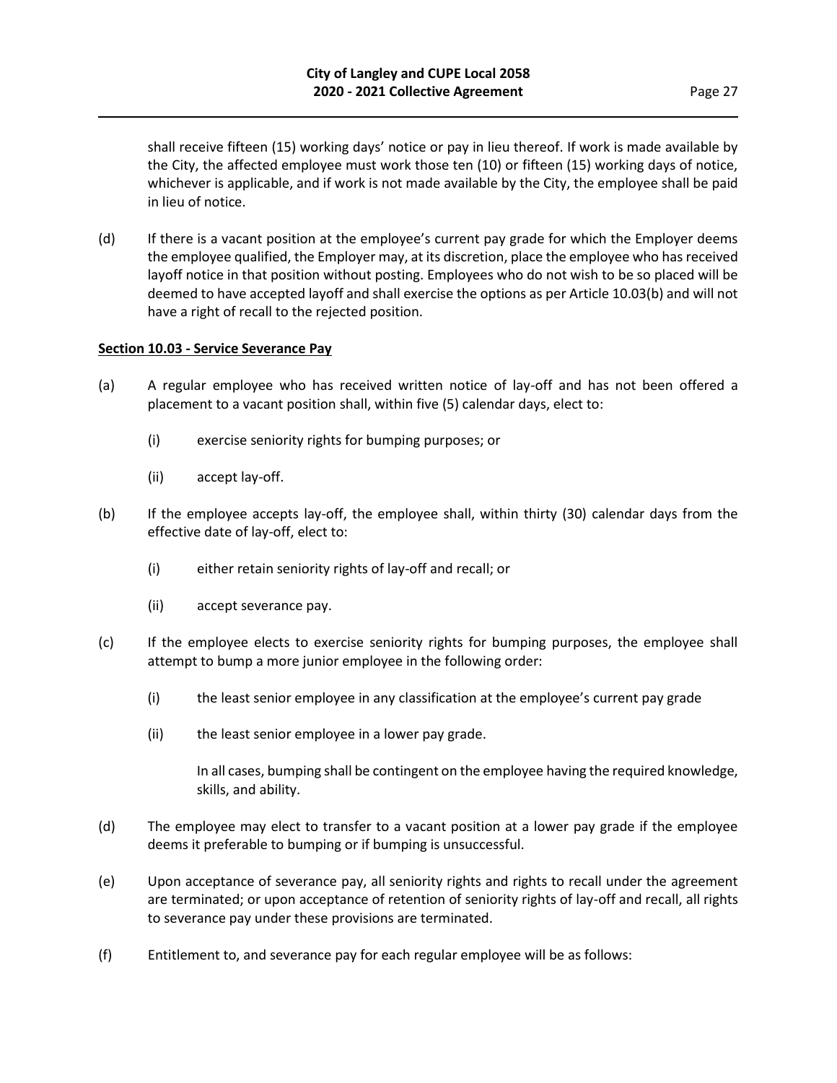shall receive fifteen (15) working days' notice or pay in lieu thereof. If work is made available by the City, the affected employee must work those ten (10) or fifteen (15) working days of notice, whichever is applicable, and if work is not made available by the City, the employee shall be paid in lieu of notice.

(d) If there is a vacant position at the employee's current pay grade for which the Employer deems the employee qualified, the Employer may, at its discretion, place the employee who has received layoff notice in that position without posting. Employees who do not wish to be so placed will be deemed to have accepted layoff and shall exercise the options as per Article 10.03(b) and will not have a right of recall to the rejected position.

#### **Section 10.03 - Service Severance Pay**

- (a) A regular employee who has received written notice of lay-off and has not been offered a placement to a vacant position shall, within five (5) calendar days, elect to:
	- (i) exercise seniority rights for bumping purposes; or
	- (ii) accept lay-off.
- (b) If the employee accepts lay-off, the employee shall, within thirty (30) calendar days from the effective date of lay-off, elect to:
	- (i) either retain seniority rights of lay-off and recall; or
	- (ii) accept severance pay.
- (c) If the employee elects to exercise seniority rights for bumping purposes, the employee shall attempt to bump a more junior employee in the following order:
	- (i) the least senior employee in any classification at the employee's current pay grade
	- (ii) the least senior employee in a lower pay grade.

In all cases, bumping shall be contingent on the employee having the required knowledge, skills, and ability.

- (d) The employee may elect to transfer to a vacant position at a lower pay grade if the employee deems it preferable to bumping or if bumping is unsuccessful.
- (e) Upon acceptance of severance pay, all seniority rights and rights to recall under the agreement are terminated; or upon acceptance of retention of seniority rights of lay-off and recall, all rights to severance pay under these provisions are terminated.
- (f) Entitlement to, and severance pay for each regular employee will be as follows: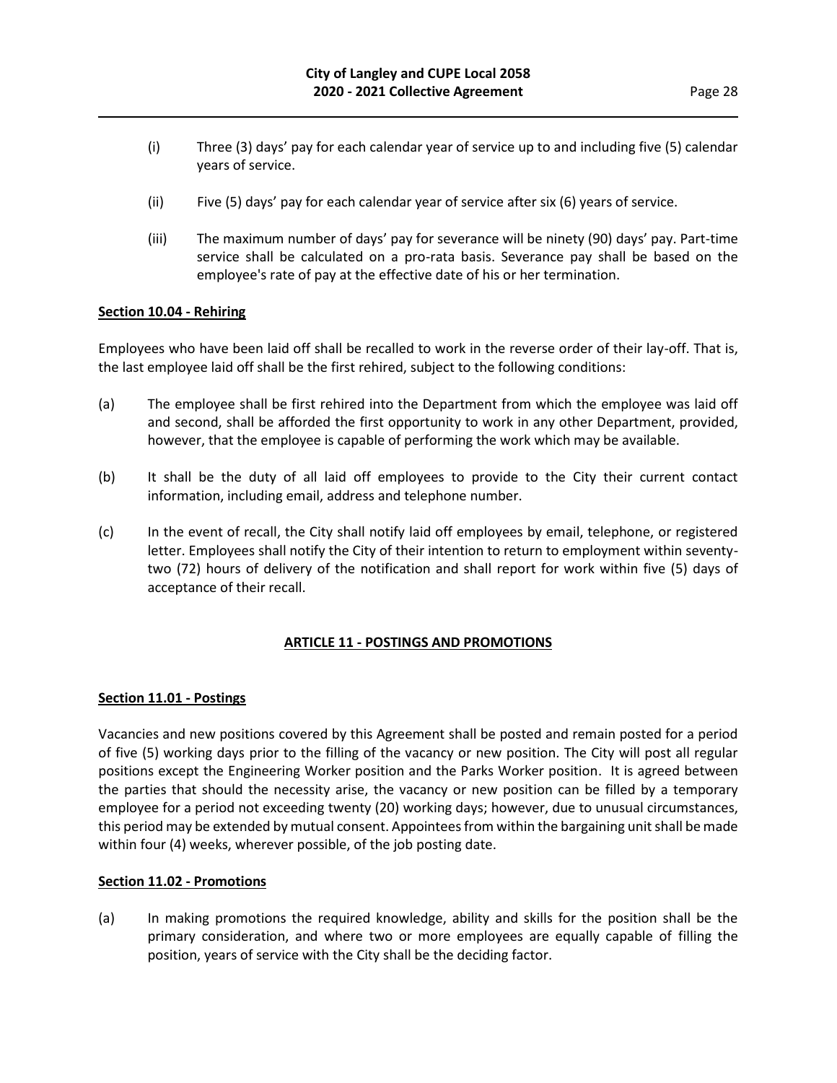- (i) Three (3) days' pay for each calendar year of service up to and including five (5) calendar years of service.
- (ii) Five (5) days' pay for each calendar year of service after six (6) years of service.
- (iii) The maximum number of days' pay for severance will be ninety (90) days' pay. Part-time service shall be calculated on a pro-rata basis. Severance pay shall be based on the employee's rate of pay at the effective date of his or her termination.

## **Section 10.04 - Rehiring**

Employees who have been laid off shall be recalled to work in the reverse order of their lay-off. That is, the last employee laid off shall be the first rehired, subject to the following conditions:

- (a) The employee shall be first rehired into the Department from which the employee was laid off and second, shall be afforded the first opportunity to work in any other Department, provided, however, that the employee is capable of performing the work which may be available.
- (b) It shall be the duty of all laid off employees to provide to the City their current contact information, including email, address and telephone number.
- (c) In the event of recall, the City shall notify laid off employees by email, telephone, or registered letter. Employees shall notify the City of their intention to return to employment within seventytwo (72) hours of delivery of the notification and shall report for work within five (5) days of acceptance of their recall.

## **ARTICLE 11 - POSTINGS AND PROMOTIONS**

## **Section 11.01 - Postings**

Vacancies and new positions covered by this Agreement shall be posted and remain posted for a period of five (5) working days prior to the filling of the vacancy or new position. The City will post all regular positions except the Engineering Worker position and the Parks Worker position. It is agreed between the parties that should the necessity arise, the vacancy or new position can be filled by a temporary employee for a period not exceeding twenty (20) working days; however, due to unusual circumstances, this period may be extended by mutual consent. Appointees from within the bargaining unit shall be made within four (4) weeks, wherever possible, of the job posting date.

#### **Section 11.02 - Promotions**

(a) In making promotions the required knowledge, ability and skills for the position shall be the primary consideration, and where two or more employees are equally capable of filling the position, years of service with the City shall be the deciding factor.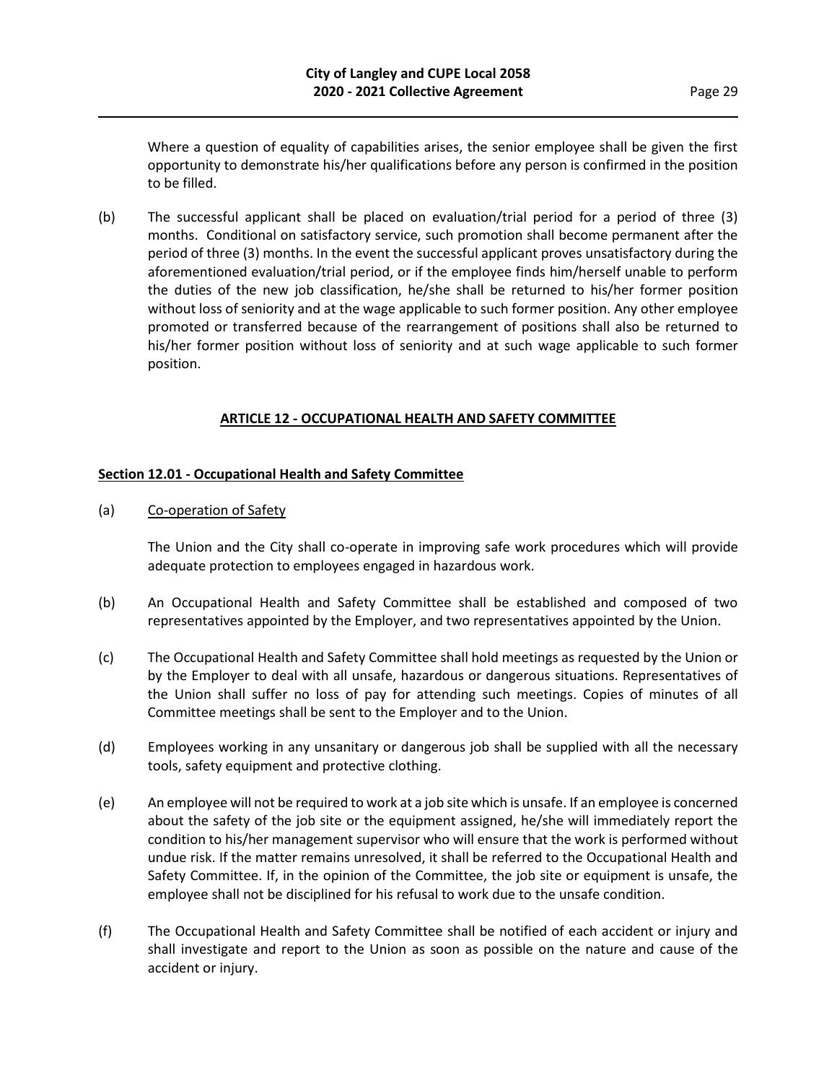Where a question of equality of capabilities arises, the senior employee shall be given the first opportunity to demonstrate his/her qualifications before any person is confirmed in the position to be filled.

(b) The successful applicant shall be placed on evaluation/trial period for a period of three (3) months. Conditional on satisfactory service, such promotion shall become permanent after the period of three (3) months. In the event the successful applicant proves unsatisfactory during the aforementioned evaluation/trial period, or if the employee finds him/herself unable to perform the duties of the new job classification, he/she shall be returned to his/her former position without loss of seniority and at the wage applicable to such former position. Any other employee promoted or transferred because of the rearrangement of positions shall also be returned to his/her former position without loss of seniority and at such wage applicable to such former position.

## **ARTICLE 12 - OCCUPATIONAL HEALTH AND SAFETY COMMITTEE**

## **Section 12.01 - Occupational Health and Safety Committee**

(a) Co-operation of Safety

The Union and the City shall co-operate in improving safe work procedures which will provide adequate protection to employees engaged in hazardous work.

- (b) An Occupational Health and Safety Committee shall be established and composed of two representatives appointed by the Employer, and two representatives appointed by the Union.
- (c) The Occupational Health and Safety Committee shall hold meetings as requested by the Union or by the Employer to deal with all unsafe, hazardous or dangerous situations. Representatives of the Union shall suffer no loss of pay for attending such meetings. Copies of minutes of all Committee meetings shall be sent to the Employer and to the Union.
- (d) Employees working in any unsanitary or dangerous job shall be supplied with all the necessary tools, safety equipment and protective clothing.
- (e) An employee will not be required to work at a job site which is unsafe. If an employee is concerned about the safety of the job site or the equipment assigned, he/she will immediately report the condition to his/her management supervisor who will ensure that the work is performed without undue risk. If the matter remains unresolved, it shall be referred to the Occupational Health and Safety Committee. If, in the opinion of the Committee, the job site or equipment is unsafe, the employee shall not be disciplined for his refusal to work due to the unsafe condition.
- (f) The Occupational Health and Safety Committee shall be notified of each accident or injury and shall investigate and report to the Union as soon as possible on the nature and cause of the accident or injury.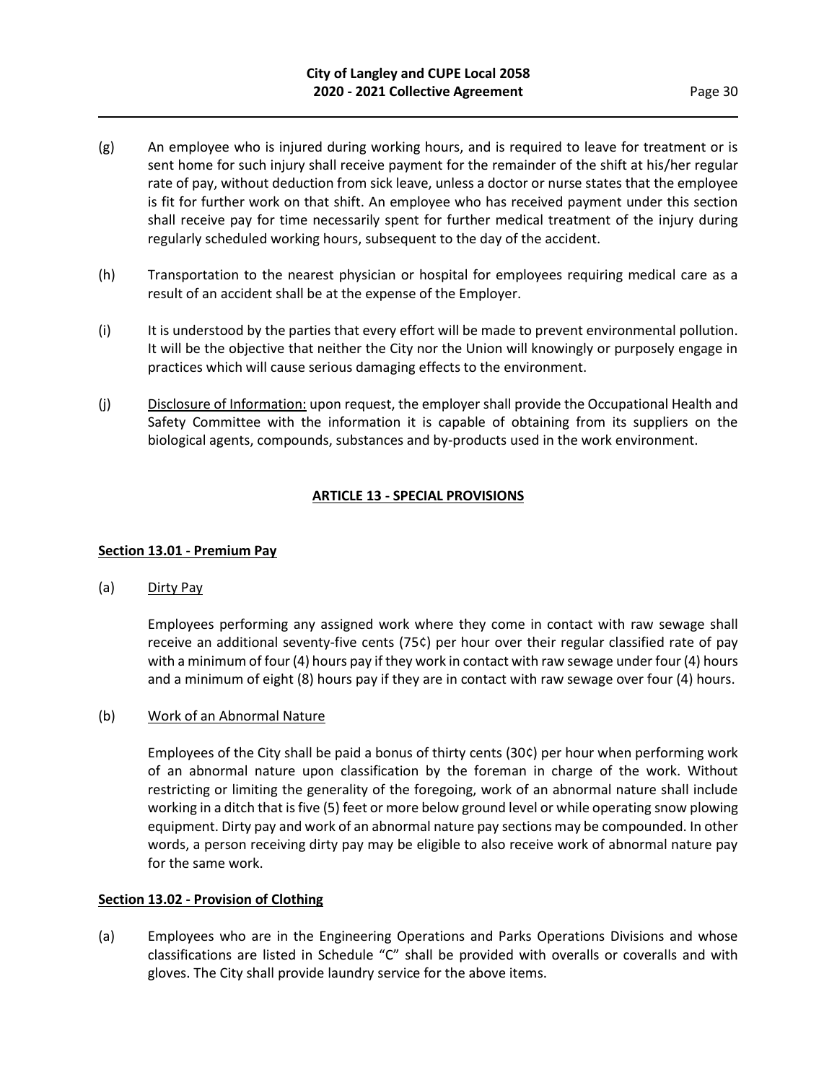- (g) An employee who is injured during working hours, and is required to leave for treatment or is sent home for such injury shall receive payment for the remainder of the shift at his/her regular rate of pay, without deduction from sick leave, unless a doctor or nurse states that the employee is fit for further work on that shift. An employee who has received payment under this section shall receive pay for time necessarily spent for further medical treatment of the injury during regularly scheduled working hours, subsequent to the day of the accident.
- (h) Transportation to the nearest physician or hospital for employees requiring medical care as a result of an accident shall be at the expense of the Employer.
- (i) It is understood by the parties that every effort will be made to prevent environmental pollution. It will be the objective that neither the City nor the Union will knowingly or purposely engage in practices which will cause serious damaging effects to the environment.
- (j) Disclosure of Information: upon request, the employer shall provide the Occupational Health and Safety Committee with the information it is capable of obtaining from its suppliers on the biological agents, compounds, substances and by-products used in the work environment.

## **ARTICLE 13 - SPECIAL PROVISIONS**

## **Section 13.01 - Premium Pay**

(a) Dirty Pay

Employees performing any assigned work where they come in contact with raw sewage shall receive an additional seventy-five cents (75¢) per hour over their regular classified rate of pay with a minimum of four (4) hours pay if they work in contact with raw sewage under four (4) hours and a minimum of eight (8) hours pay if they are in contact with raw sewage over four (4) hours.

#### (b) Work of an Abnormal Nature

Employees of the City shall be paid a bonus of thirty cents (30¢) per hour when performing work of an abnormal nature upon classification by the foreman in charge of the work. Without restricting or limiting the generality of the foregoing, work of an abnormal nature shall include working in a ditch that is five (5) feet or more below ground level or while operating snow plowing equipment. Dirty pay and work of an abnormal nature pay sections may be compounded. In other words, a person receiving dirty pay may be eligible to also receive work of abnormal nature pay for the same work.

#### **Section 13.02 - Provision of Clothing**

(a) Employees who are in the Engineering Operations and Parks Operations Divisions and whose classifications are listed in Schedule "C" shall be provided with overalls or coveralls and with gloves. The City shall provide laundry service for the above items.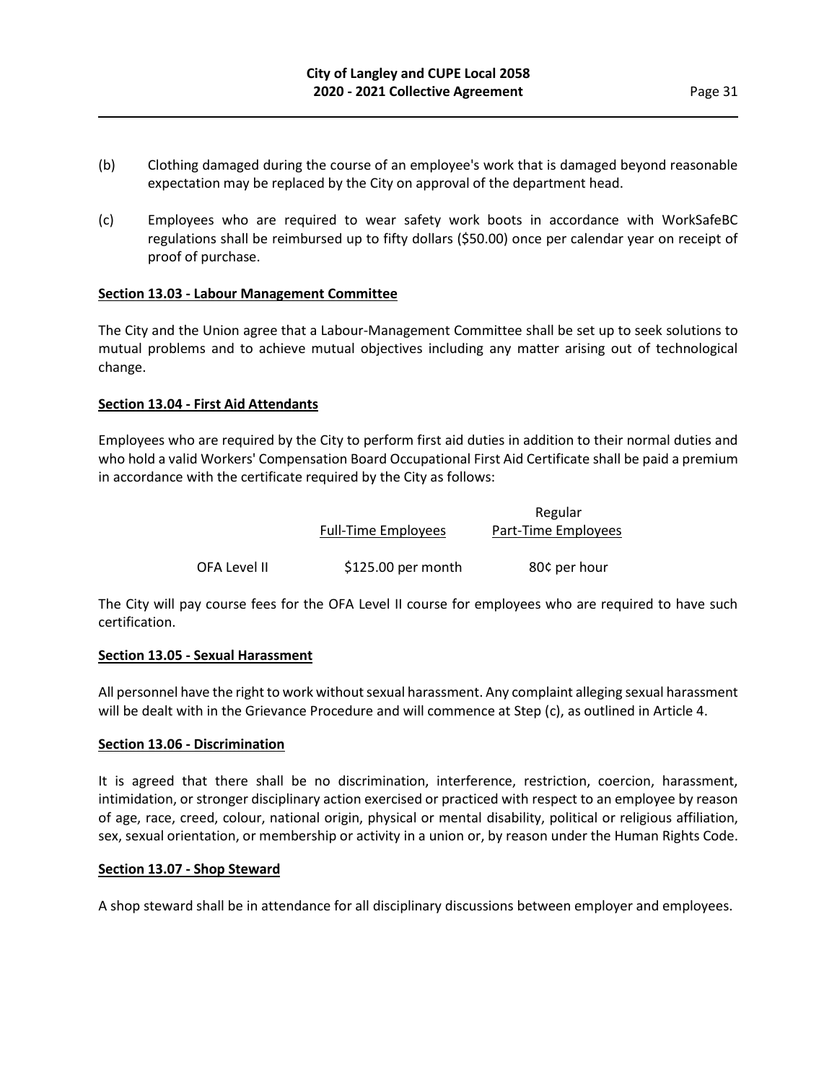- (b) Clothing damaged during the course of an employee's work that is damaged beyond reasonable expectation may be replaced by the City on approval of the department head.
- (c) Employees who are required to wear safety work boots in accordance with WorkSafeBC regulations shall be reimbursed up to fifty dollars (\$50.00) once per calendar year on receipt of proof of purchase.

## **Section 13.03 - Labour Management Committee**

The City and the Union agree that a Labour-Management Committee shall be set up to seek solutions to mutual problems and to achieve mutual objectives including any matter arising out of technological change.

## **Section 13.04 - First Aid Attendants**

Employees who are required by the City to perform first aid duties in addition to their normal duties and who hold a valid Workers' Compensation Board Occupational First Aid Certificate shall be paid a premium in accordance with the certificate required by the City as follows:

|              |                            | Regular             |
|--------------|----------------------------|---------------------|
|              | <b>Full-Time Employees</b> | Part-Time Employees |
| OFA Level II | $$125.00$ per month        | 80¢ per hour        |

The City will pay course fees for the OFA Level II course for employees who are required to have such certification.

#### **Section 13.05 - Sexual Harassment**

All personnel have the right to work without sexual harassment. Any complaint alleging sexual harassment will be dealt with in the Grievance Procedure and will commence at Step (c), as outlined in Article 4.

#### **Section 13.06 - Discrimination**

It is agreed that there shall be no discrimination, interference, restriction, coercion, harassment, intimidation, or stronger disciplinary action exercised or practiced with respect to an employee by reason of age, race, creed, colour, national origin, physical or mental disability, political or religious affiliation, sex, sexual orientation, or membership or activity in a union or, by reason under the Human Rights Code.

#### **Section 13.07 - Shop Steward**

A shop steward shall be in attendance for all disciplinary discussions between employer and employees.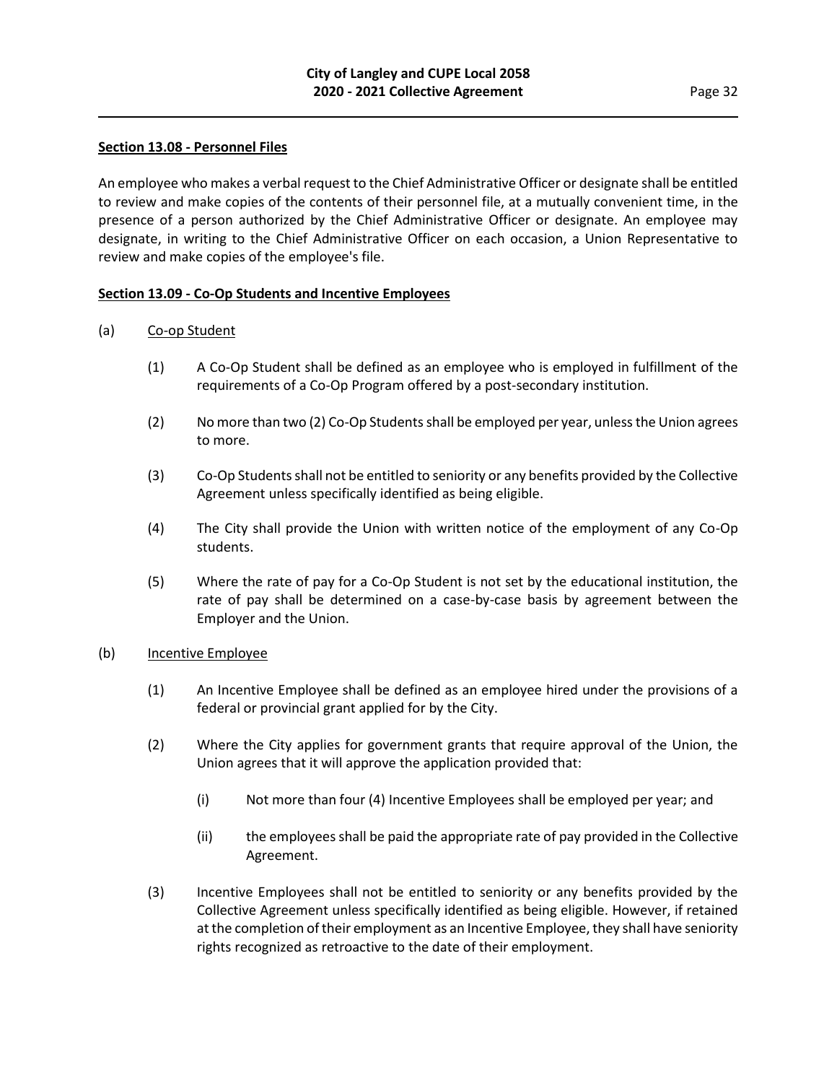## **Section 13.08 - Personnel Files**

An employee who makes a verbal request to the Chief Administrative Officer or designate shall be entitled to review and make copies of the contents of their personnel file, at a mutually convenient time, in the presence of a person authorized by the Chief Administrative Officer or designate. An employee may designate, in writing to the Chief Administrative Officer on each occasion, a Union Representative to review and make copies of the employee's file.

## **Section 13.09 - Co-Op Students and Incentive Employees**

## (a) Co-op Student

- (1) A Co-Op Student shall be defined as an employee who is employed in fulfillment of the requirements of a Co-Op Program offered by a post-secondary institution.
- (2) No more than two (2) Co-Op Students shall be employed per year, unless the Union agrees to more.
- (3) Co-Op Students shall not be entitled to seniority or any benefits provided by the Collective Agreement unless specifically identified as being eligible.
- (4) The City shall provide the Union with written notice of the employment of any Co-Op students.
- (5) Where the rate of pay for a Co-Op Student is not set by the educational institution, the rate of pay shall be determined on a case-by-case basis by agreement between the Employer and the Union.

#### (b) Incentive Employee

- (1) An Incentive Employee shall be defined as an employee hired under the provisions of a federal or provincial grant applied for by the City.
- (2) Where the City applies for government grants that require approval of the Union, the Union agrees that it will approve the application provided that:
	- (i) Not more than four (4) Incentive Employees shall be employed per year; and
	- (ii) the employees shall be paid the appropriate rate of pay provided in the Collective Agreement.
- (3) Incentive Employees shall not be entitled to seniority or any benefits provided by the Collective Agreement unless specifically identified as being eligible. However, if retained at the completion of their employment as an Incentive Employee, they shall have seniority rights recognized as retroactive to the date of their employment.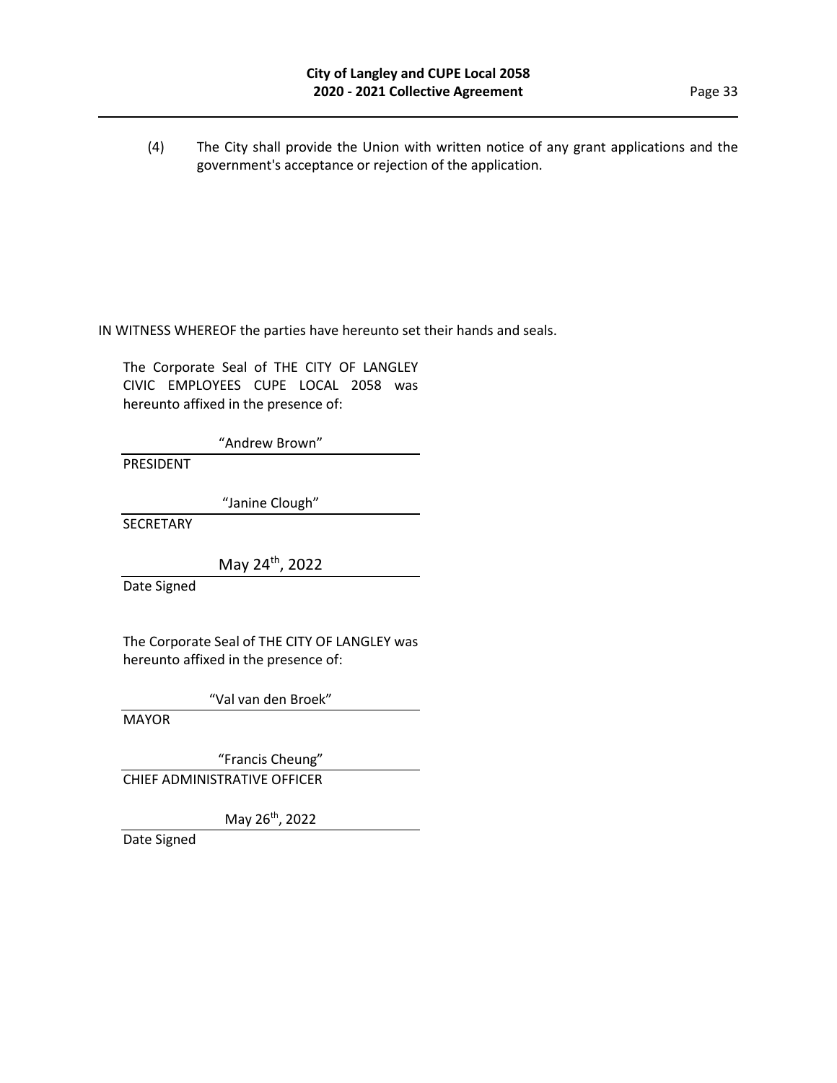(4) The City shall provide the Union with written notice of any grant applications and the government's acceptance or rejection of the application.

IN WITNESS WHEREOF the parties have hereunto set their hands and seals.

The Corporate Seal of THE CITY OF LANGLEY CIVIC EMPLOYEES CUPE LOCAL 2058 was hereunto affixed in the presence of:

"Andrew Brown"

PRESIDENT

"Janine Clough"

**SECRETARY** 

May 24<sup>th</sup>, 2022

Date Signed

The Corporate Seal of THE CITY OF LANGLEY was hereunto affixed in the presence of:

"Val van den Broek"

MAYOR

"Francis Cheung"

CHIEF ADMINISTRATIVE OFFICER

May 26th, 2022

Date Signed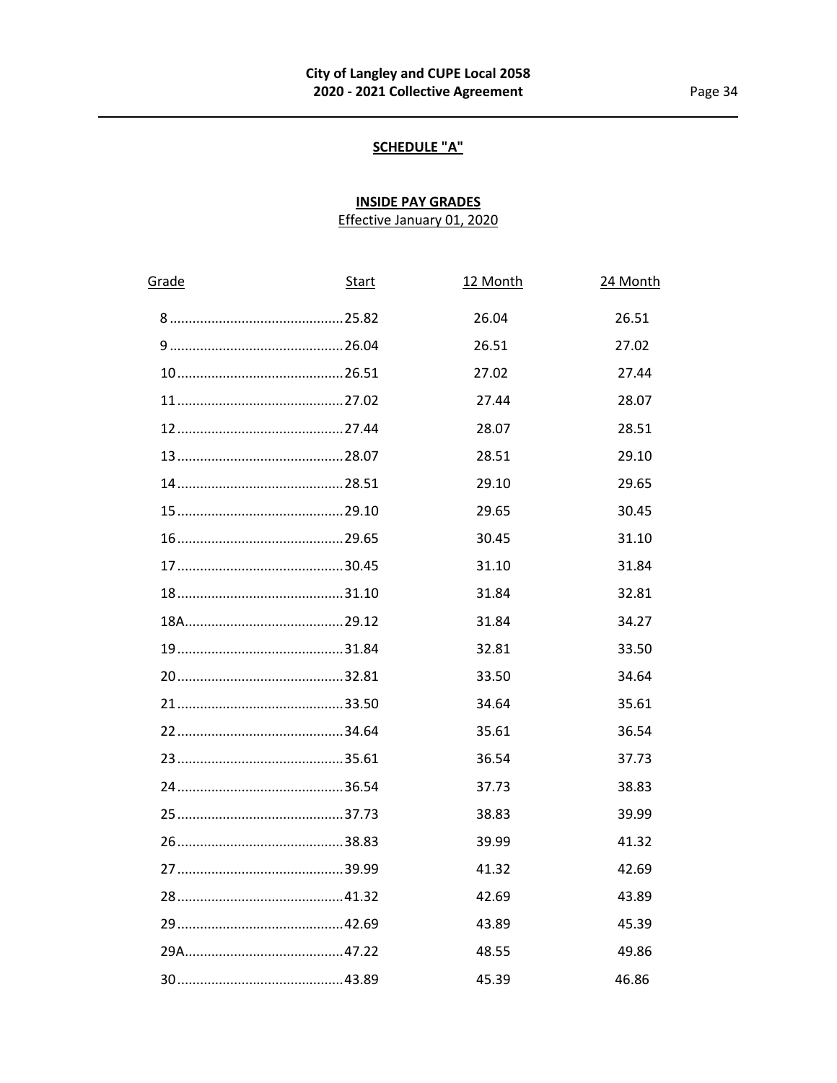# **SCHEDULE "A"**

# **INSIDE PAY GRADES** Effective January 01, 2020

| Grade | <b>Start</b> | 12 Month | 24 Month |
|-------|--------------|----------|----------|
|       |              | 26.04    | 26.51    |
|       |              | 26.51    | 27.02    |
|       |              | 27.02    | 27.44    |
|       |              | 27.44    | 28.07    |
|       |              | 28.07    | 28.51    |
|       |              | 28.51    | 29.10    |
|       |              | 29.10    | 29.65    |
|       |              | 29.65    | 30.45    |
|       |              | 30.45    | 31.10    |
|       |              | 31.10    | 31.84    |
|       |              | 31.84    | 32.81    |
|       |              | 31.84    | 34.27    |
|       |              | 32.81    | 33.50    |
|       |              | 33.50    | 34.64    |
|       |              | 34.64    | 35.61    |
|       |              | 35.61    | 36.54    |
|       |              | 36.54    | 37.73    |
|       |              | 37.73    | 38.83    |
|       |              | 38.83    | 39.99    |
|       |              | 39.99    | 41.32    |
|       |              | 41.32    | 42.69    |
|       |              | 42.69    | 43.89    |
|       |              | 43.89    | 45.39    |
|       |              | 48.55    | 49.86    |
|       |              | 45.39    | 46.86    |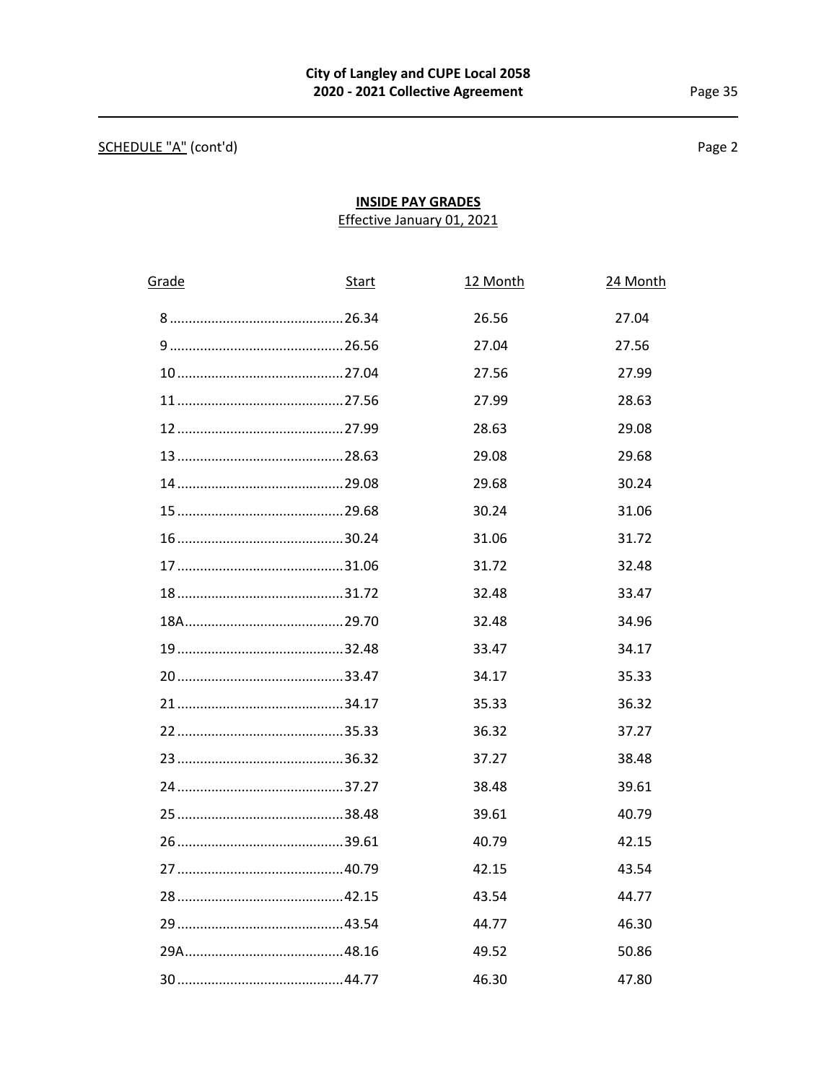# SCHEDULE "A" (cont'd)

Page 2

# **INSIDE PAY GRADES** Effective January 01, 2021

| Grade | <b>Start</b> | 12 Month | 24 Month |
|-------|--------------|----------|----------|
|       |              | 26.56    | 27.04    |
|       |              | 27.04    | 27.56    |
|       |              | 27.56    | 27.99    |
|       |              | 27.99    | 28.63    |
|       |              | 28.63    | 29.08    |
|       |              | 29.08    | 29.68    |
|       |              | 29.68    | 30.24    |
|       |              | 30.24    | 31.06    |
|       |              | 31.06    | 31.72    |
|       |              | 31.72    | 32.48    |
|       |              | 32.48    | 33.47    |
|       |              | 32.48    | 34.96    |
|       |              | 33.47    | 34.17    |
|       |              | 34.17    | 35.33    |
|       |              | 35.33    | 36.32    |
|       |              | 36.32    | 37.27    |
|       |              | 37.27    | 38.48    |
|       |              | 38.48    | 39.61    |
|       |              | 39.61    | 40.79    |
|       |              | 40.79    | 42.15    |
|       |              | 42.15    | 43.54    |
|       |              | 43.54    | 44.77    |
|       |              | 44.77    | 46.30    |
|       |              | 49.52    | 50.86    |
|       |              | 46.30    | 47.80    |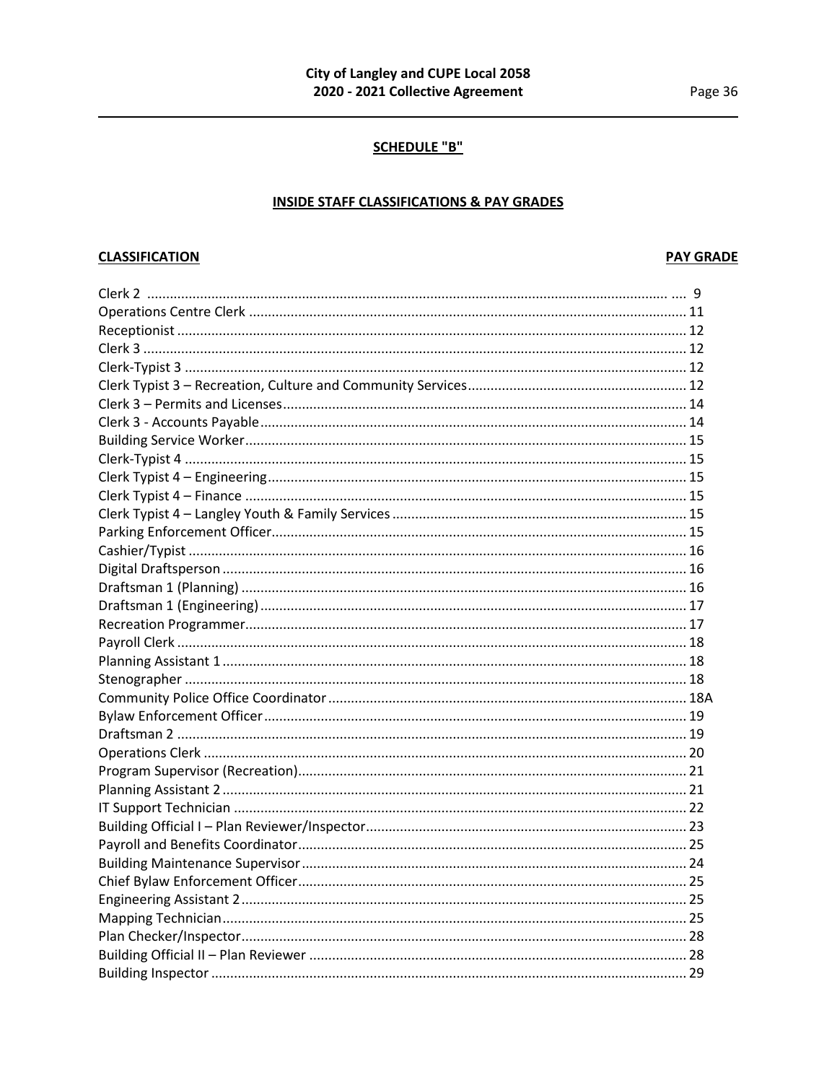## **SCHEDULE "B"**

# **INSIDE STAFF CLASSIFICATIONS & PAY GRADES**

## **CLASSIFICATION**

## **PAY GRADE**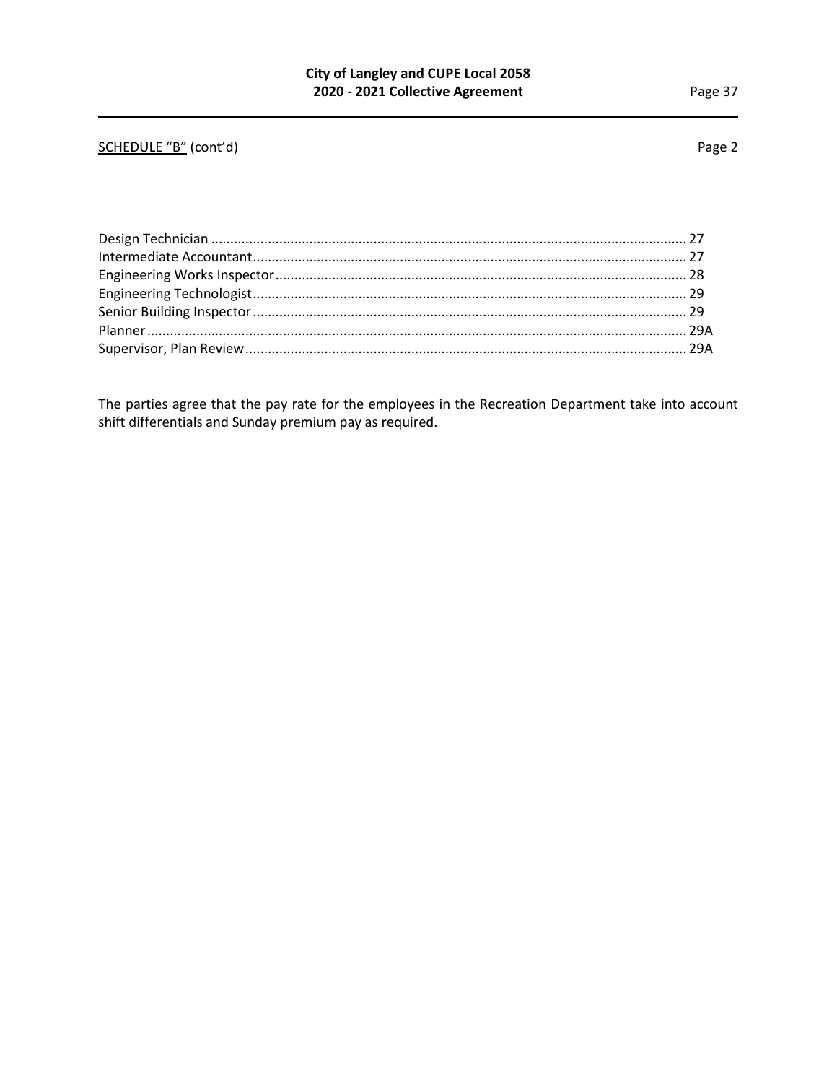# SCHEDULE "B" (cont'd) Page 2

The parties agree that the pay rate for the employees in the Recreation Department take into account shift differentials and Sunday premium pay as required.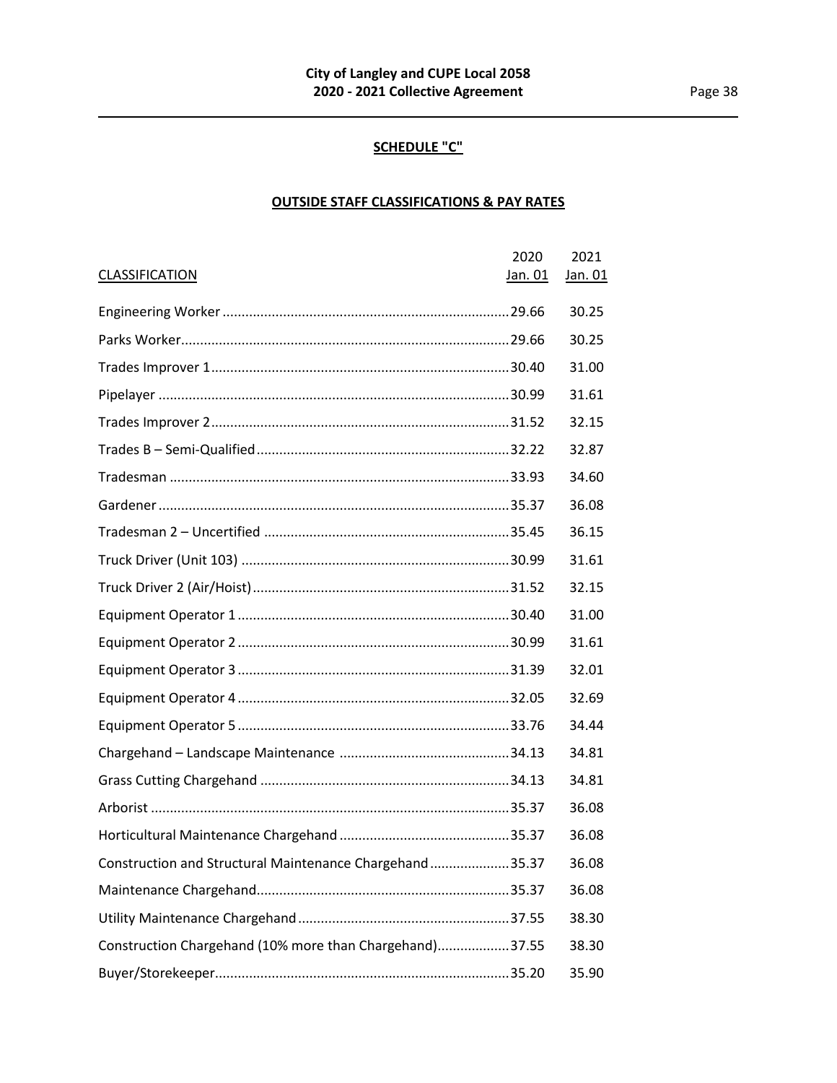# **SCHEDULE "C"**

# **OUTSIDE STAFF CLASSIFICATIONS & PAY RATES**

|                                                         | 2020    | 2021    |
|---------------------------------------------------------|---------|---------|
| <b>CLASSIFICATION</b>                                   | Jan. 01 | Jan. 01 |
|                                                         |         | 30.25   |
|                                                         |         | 30.25   |
|                                                         |         | 31.00   |
|                                                         |         | 31.61   |
|                                                         |         | 32.15   |
|                                                         |         | 32.87   |
|                                                         |         | 34.60   |
|                                                         |         | 36.08   |
|                                                         |         | 36.15   |
|                                                         |         | 31.61   |
|                                                         |         | 32.15   |
|                                                         |         | 31.00   |
|                                                         |         | 31.61   |
|                                                         |         | 32.01   |
|                                                         |         | 32.69   |
|                                                         |         | 34.44   |
|                                                         |         | 34.81   |
|                                                         |         | 34.81   |
|                                                         |         | 36.08   |
|                                                         |         | 36.08   |
| Construction and Structural Maintenance Chargehand35.37 |         | 36.08   |
|                                                         |         | 36.08   |
|                                                         |         | 38.30   |
| Construction Chargehand (10% more than Chargehand)37.55 |         | 38.30   |
|                                                         |         | 35.90   |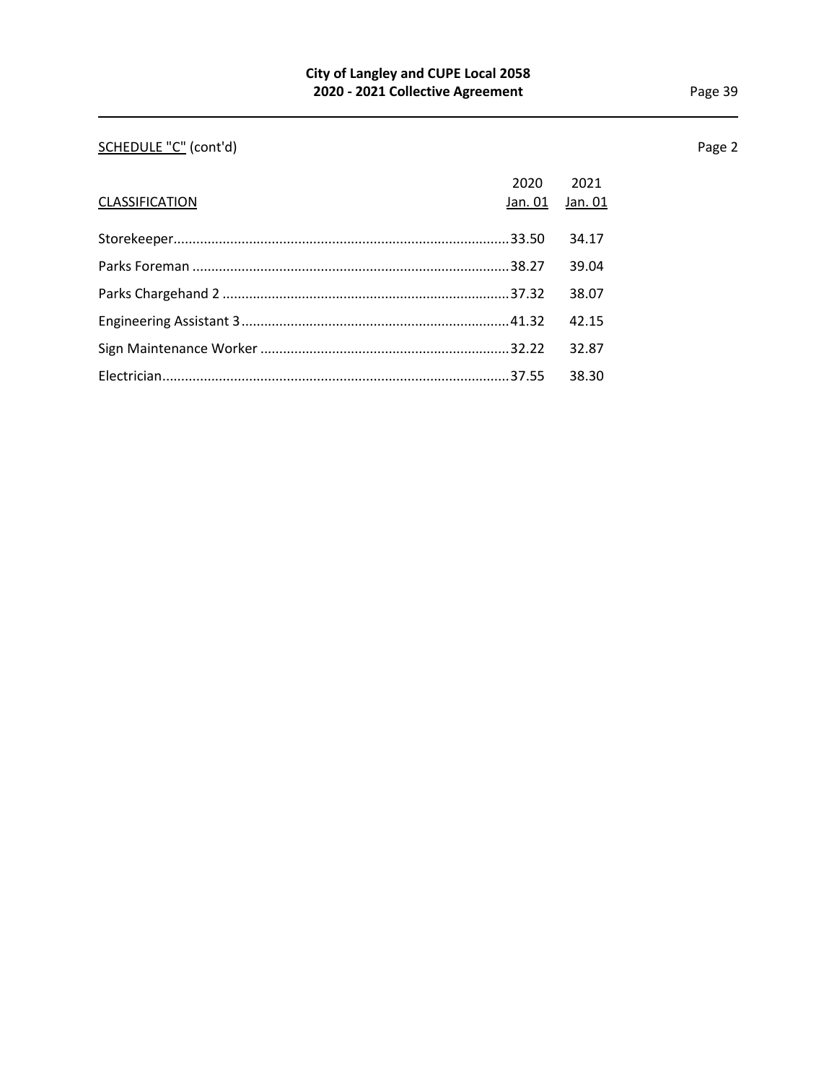# SCHEDULE "C" (cont'd) Page 2

|                | 2020    | 2021    |
|----------------|---------|---------|
| CLASSIFICATION | Jan. 01 | Jan. 01 |
|                |         |         |
|                |         | 34.17   |
|                |         | 39.04   |
|                |         | 38.07   |
|                |         | 42.15   |
|                |         | 32.87   |
|                |         | 38.30   |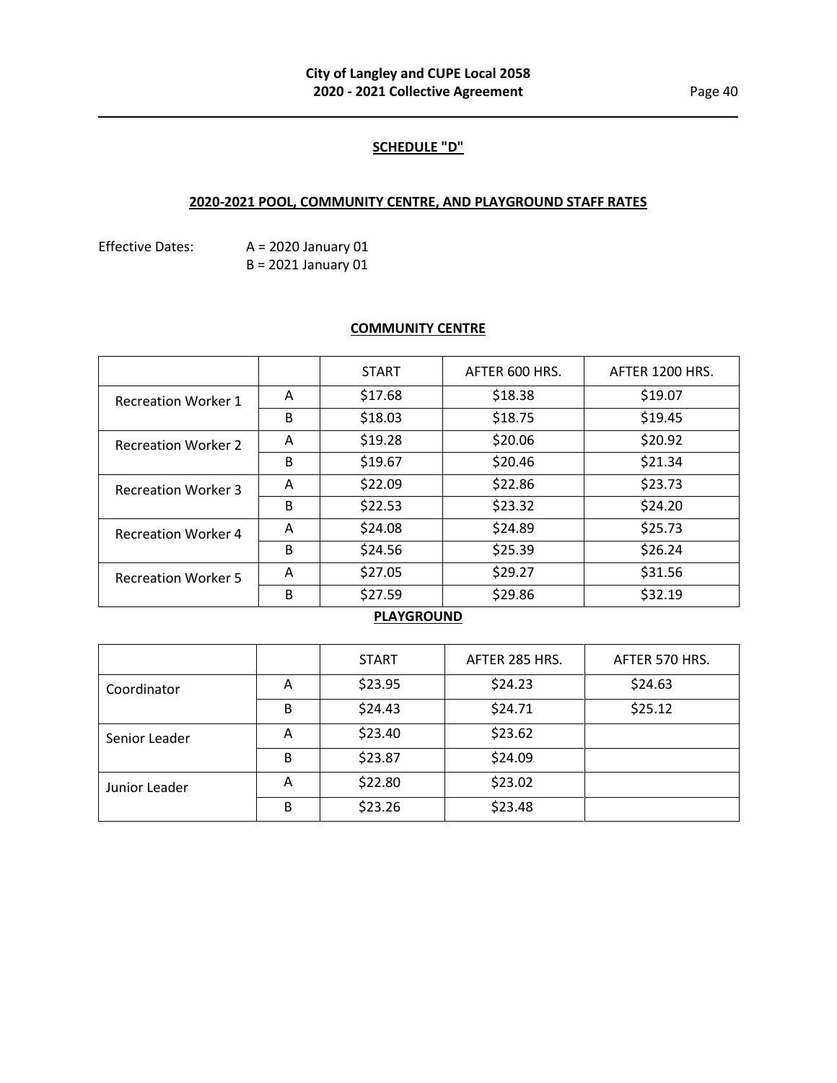## **SCHEDULE "D"**

# **2020-2021 POOL, COMMUNITY CENTRE, AND PLAYGROUND STAFF RATES**

Effective Dates: A = 2020 January 01 B = 2021 January 01

## **COMMUNITY CENTRE**

|                            |   | <b>START</b> | AFTER 600 HRS. | AFTER 1200 HRS. |
|----------------------------|---|--------------|----------------|-----------------|
| <b>Recreation Worker 1</b> | A | \$17.68      | \$18.38        | \$19.07         |
|                            | B | \$18.03      | \$18.75        | \$19.45         |
| <b>Recreation Worker 2</b> | A | \$19.28      | \$20.06        | \$20.92         |
|                            | B | \$19.67      | \$20.46        | \$21.34         |
| <b>Recreation Worker 3</b> | A | \$22.09      | \$22.86        | \$23.73         |
|                            | B | \$22.53      | \$23.32        | \$24.20         |
| <b>Recreation Worker 4</b> | A | \$24.08      | \$24.89        | \$25.73         |
|                            | B | \$24.56      | \$25.39        | \$26.24         |
| <b>Recreation Worker 5</b> | A | \$27.05      | \$29.27        | \$31.56         |
|                            | B | \$27.59      | \$29.86        | \$32.19         |

# **PLAYGROUND**

|               |   | <b>START</b> | AFTER 285 HRS. | AFTER 570 HRS. |
|---------------|---|--------------|----------------|----------------|
| Coordinator   | Α | \$23.95      | \$24.23        | \$24.63        |
|               | B | \$24.43      | \$24.71        | \$25.12        |
| Senior Leader | A | \$23.40      | \$23.62        |                |
|               | B | \$23.87      | \$24.09        |                |
| Junior Leader | A | \$22.80      | \$23.02        |                |
|               | B | \$23.26      | \$23.48        |                |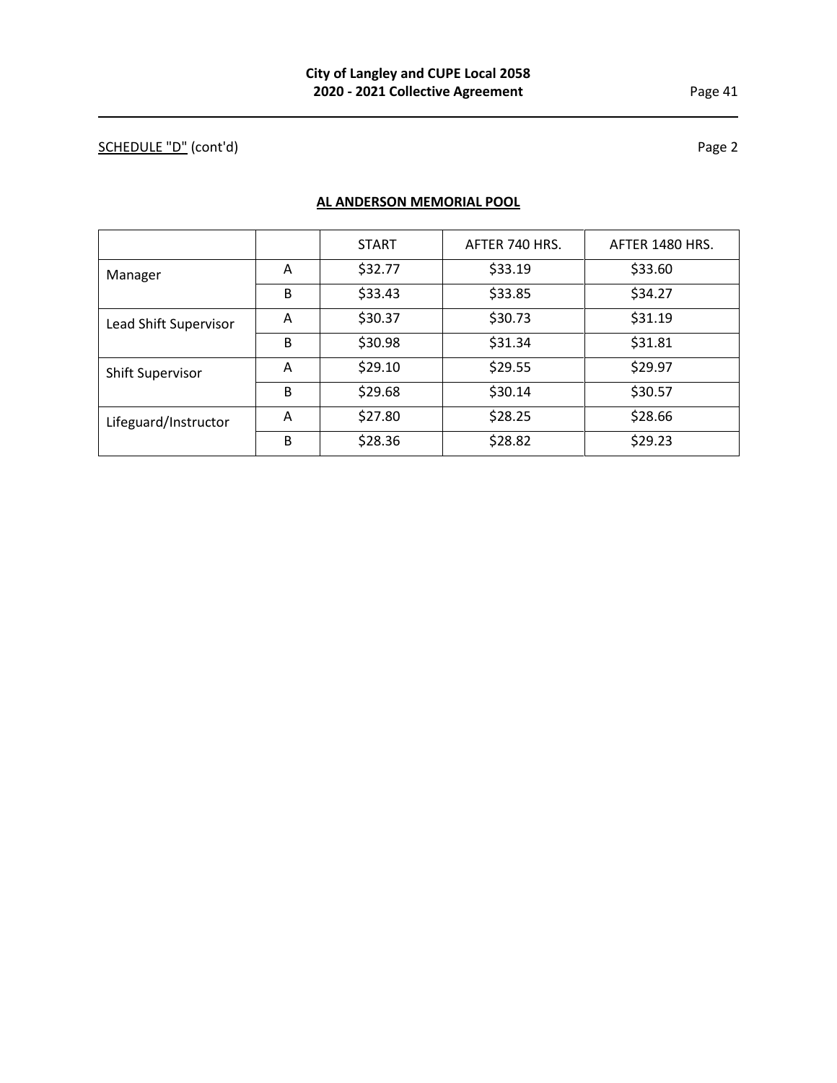# SCHEDULE "D" (cont'd) Page 2

**AL ANDERSON MEMORIAL POOL**

|                         |   | <b>START</b> | AFTER 740 HRS. | AFTER 1480 HRS. |
|-------------------------|---|--------------|----------------|-----------------|
| Manager                 | A | \$32.77      | \$33.19        | \$33.60         |
|                         | B | \$33.43      | \$33.85        | \$34.27         |
| Lead Shift Supervisor   | Α | \$30.37      | \$30.73        | \$31.19         |
|                         | B | \$30.98      | \$31.34        | \$31.81         |
| <b>Shift Supervisor</b> | A | \$29.10      | \$29.55        | \$29.97         |
|                         | B | \$29.68      | \$30.14        | \$30.57         |
| Lifeguard/Instructor    | A | \$27.80      | \$28.25        | \$28.66         |
|                         | B | \$28.36      | \$28.82        | \$29.23         |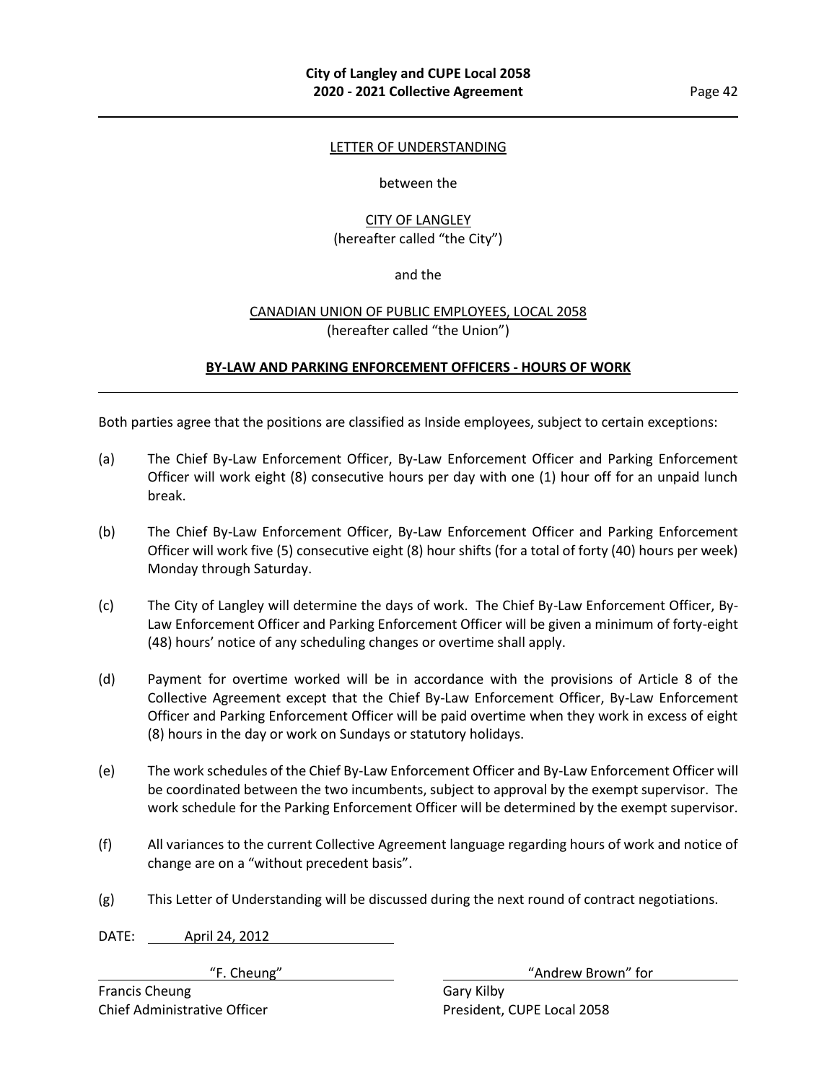#### LETTER OF UNDERSTANDING

#### between the

## CITY OF LANGLEY (hereafter called "the City")

#### and the

## CANADIAN UNION OF PUBLIC EMPLOYEES, LOCAL 2058 (hereafter called "the Union")

## **BY-LAW AND PARKING ENFORCEMENT OFFICERS - HOURS OF WORK**

Both parties agree that the positions are classified as Inside employees, subject to certain exceptions:

- (a) The Chief By-Law Enforcement Officer, By-Law Enforcement Officer and Parking Enforcement Officer will work eight (8) consecutive hours per day with one (1) hour off for an unpaid lunch break.
- (b) The Chief By-Law Enforcement Officer, By-Law Enforcement Officer and Parking Enforcement Officer will work five (5) consecutive eight (8) hour shifts (for a total of forty (40) hours per week) Monday through Saturday.
- (c) The City of Langley will determine the days of work. The Chief By-Law Enforcement Officer, By-Law Enforcement Officer and Parking Enforcement Officer will be given a minimum of forty-eight (48) hours' notice of any scheduling changes or overtime shall apply.
- (d) Payment for overtime worked will be in accordance with the provisions of Article 8 of the Collective Agreement except that the Chief By-Law Enforcement Officer, By-Law Enforcement Officer and Parking Enforcement Officer will be paid overtime when they work in excess of eight (8) hours in the day or work on Sundays or statutory holidays.
- (e) The work schedules of the Chief By-Law Enforcement Officer and By-Law Enforcement Officer will be coordinated between the two incumbents, subject to approval by the exempt supervisor. The work schedule for the Parking Enforcement Officer will be determined by the exempt supervisor.
- (f) All variances to the current Collective Agreement language regarding hours of work and notice of change are on a "without precedent basis".
- (g) This Letter of Understanding will be discussed during the next round of contract negotiations.

DATE: April 24, 2012

"F. Cheung" The Cheung Cheung Cheung Andrew Brown" for

Francis Cheung Gary Kilby

Chief Administrative Officer **President, CUPE Local 2058**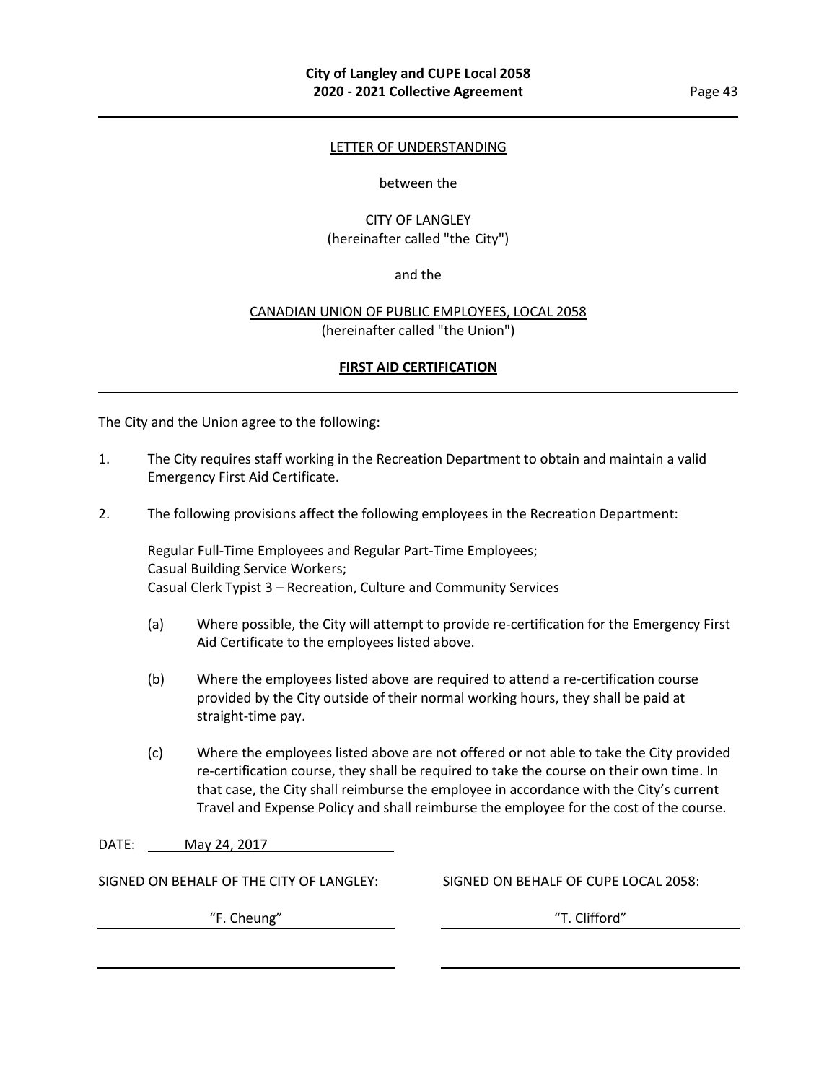#### LETTER OF UNDERSTANDING

#### between the

## CITY OF LANGLEY (hereinafter called "the City")

## and the

## CANADIAN UNION OF PUBLIC EMPLOYEES, LOCAL 2058 (hereinafter called "the Union")

## **FIRST AID CERTIFICATION**

The City and the Union agree to the following:

- 1. The City requires staff working in the Recreation Department to obtain and maintain a valid Emergency First Aid Certificate.
- 2. The following provisions affect the following employees in the Recreation Department:

Regular Full-Time Employees and Regular Part-Time Employees; Casual Building Service Workers; Casual Clerk Typist 3 – Recreation, Culture and Community Services

- (a) Where possible, the City will attempt to provide re-certification for the Emergency First Aid Certificate to the employees listed above.
- (b) Where the employees listed above are required to attend a re-certification course provided by the City outside of their normal working hours, they shall be paid at straight-time pay.
- (c) Where the employees listed above are not offered or not able to take the City provided re-certification course, they shall be required to take the course on their own time. In that case, the City shall reimburse the employee in accordance with the City's current Travel and Expense Policy and shall reimburse the employee for the cost of the course.
- DATE: May 24, 2017

SIGNED ON BEHALF OF THE CITY OF LANGLEY: SIGNED ON BEHALF OF CUPE LOCAL 2058:

"F. Cheung" "T. Clifford"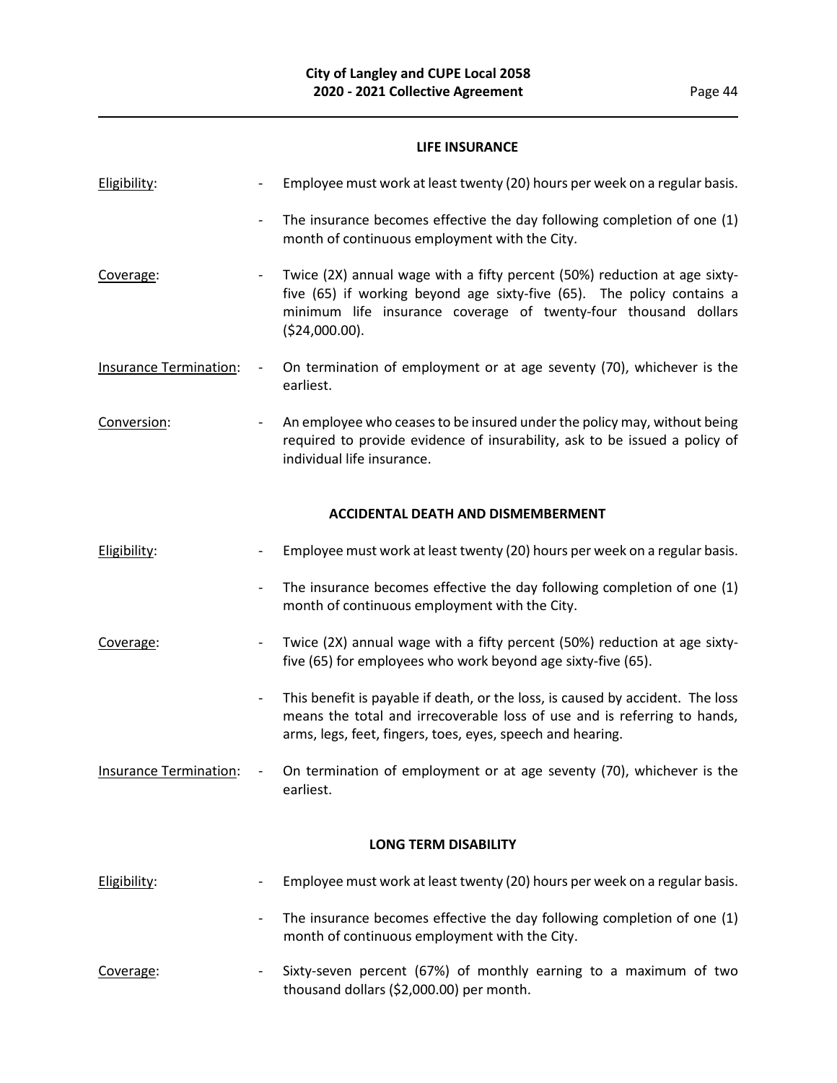## **LIFE INSURANCE**

| Eligibility:                  |                          | Employee must work at least twenty (20) hours per week on a regular basis.                                                                                                                                                               |
|-------------------------------|--------------------------|------------------------------------------------------------------------------------------------------------------------------------------------------------------------------------------------------------------------------------------|
|                               |                          | The insurance becomes effective the day following completion of one (1)<br>month of continuous employment with the City.                                                                                                                 |
| Coverage:                     |                          | Twice (2X) annual wage with a fifty percent (50%) reduction at age sixty-<br>five (65) if working beyond age sixty-five (65). The policy contains a<br>minimum life insurance coverage of twenty-four thousand dollars<br>(\$24,000.00). |
| <b>Insurance Termination:</b> |                          | On termination of employment or at age seventy (70), whichever is the<br>earliest.                                                                                                                                                       |
| Conversion:                   |                          | An employee who ceases to be insured under the policy may, without being<br>required to provide evidence of insurability, ask to be issued a policy of<br>individual life insurance.                                                     |
|                               |                          | <b>ACCIDENTAL DEATH AND DISMEMBERMENT</b>                                                                                                                                                                                                |
| Eligibility:                  |                          | Employee must work at least twenty (20) hours per week on a regular basis.                                                                                                                                                               |
|                               |                          | The insurance becomes effective the day following completion of one (1)<br>month of continuous employment with the City.                                                                                                                 |
| Coverage:                     |                          | Twice (2X) annual wage with a fifty percent (50%) reduction at age sixty-<br>five (65) for employees who work beyond age sixty-five (65).                                                                                                |
|                               | $\overline{\phantom{a}}$ | This benefit is payable if death, or the loss, is caused by accident. The loss<br>means the total and irrecoverable loss of use and is referring to hands,<br>arms, legs, feet, fingers, toes, eyes, speech and hearing.                 |
| <b>Insurance Termination:</b> | $\overline{\phantom{a}}$ | On termination of employment or at age seventy (70), whichever is the<br>earliest.                                                                                                                                                       |
|                               |                          | <b>LONG TERM DISABILITY</b>                                                                                                                                                                                                              |
| Eligibility:                  |                          | Employee must work at least twenty (20) hours per week on a regular basis.                                                                                                                                                               |
|                               |                          | The insurance becomes effective the day following completion of one (1)<br>month of continuous employment with the City.                                                                                                                 |
|                               |                          |                                                                                                                                                                                                                                          |

Coverage: - Sixty-seven percent (67%) of monthly earning to a maximum of two thousand dollars (\$2,000.00) per month.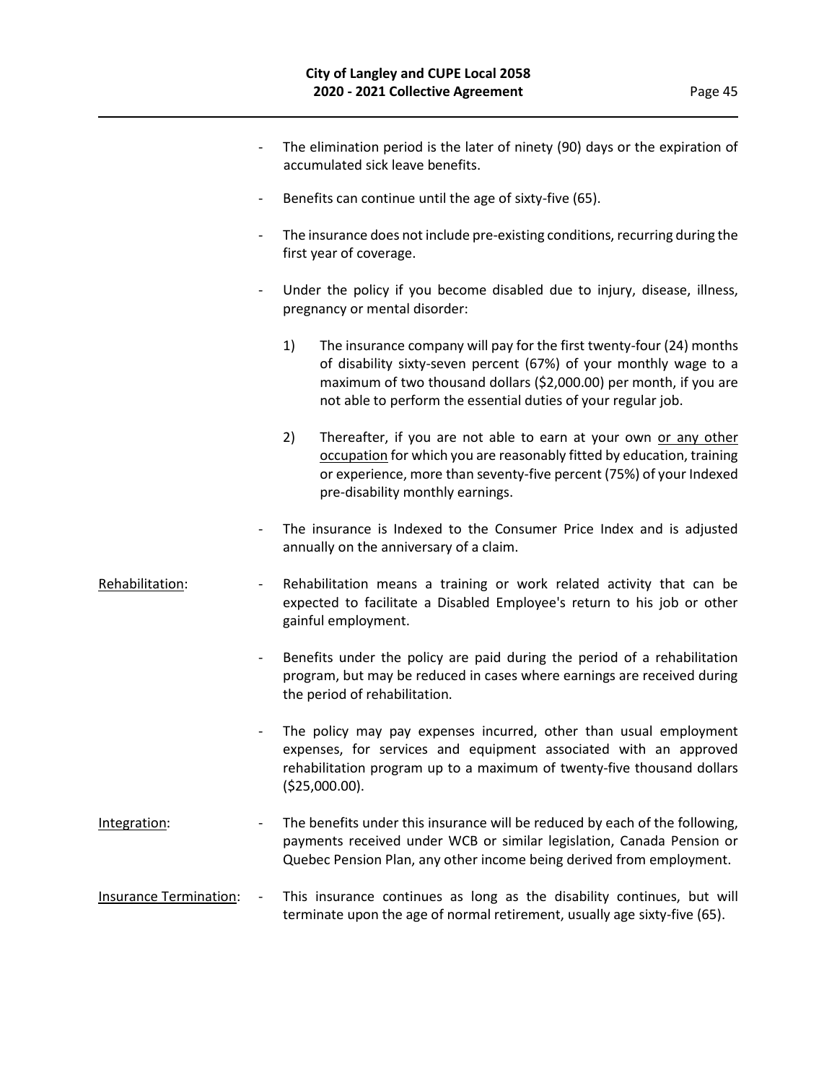|                               | $\overline{\phantom{a}}$ | The elimination period is the later of ninety (90) days or the expiration of<br>accumulated sick leave benefits.                                                                                                                                                                       |
|-------------------------------|--------------------------|----------------------------------------------------------------------------------------------------------------------------------------------------------------------------------------------------------------------------------------------------------------------------------------|
|                               | $\overline{\phantom{a}}$ | Benefits can continue until the age of sixty-five (65).                                                                                                                                                                                                                                |
|                               | $\overline{\phantom{a}}$ | The insurance does not include pre-existing conditions, recurring during the<br>first year of coverage.                                                                                                                                                                                |
|                               | $\overline{\phantom{a}}$ | Under the policy if you become disabled due to injury, disease, illness,<br>pregnancy or mental disorder:                                                                                                                                                                              |
|                               |                          | 1)<br>The insurance company will pay for the first twenty-four (24) months<br>of disability sixty-seven percent (67%) of your monthly wage to a<br>maximum of two thousand dollars (\$2,000.00) per month, if you are<br>not able to perform the essential duties of your regular job. |
|                               |                          | Thereafter, if you are not able to earn at your own or any other<br>2)<br>occupation for which you are reasonably fitted by education, training<br>or experience, more than seventy-five percent (75%) of your Indexed<br>pre-disability monthly earnings.                             |
|                               | $\overline{\phantom{a}}$ | The insurance is Indexed to the Consumer Price Index and is adjusted<br>annually on the anniversary of a claim.                                                                                                                                                                        |
| Rehabilitation:               | $\overline{\phantom{a}}$ | Rehabilitation means a training or work related activity that can be<br>expected to facilitate a Disabled Employee's return to his job or other<br>gainful employment.                                                                                                                 |
|                               | $\overline{\phantom{a}}$ | Benefits under the policy are paid during the period of a rehabilitation<br>program, but may be reduced in cases where earnings are received during<br>the period of rehabilitation.                                                                                                   |
|                               | -                        | The policy may pay expenses incurred, other than usual employment<br>expenses, for services and equipment associated with an approved<br>rehabilitation program up to a maximum of twenty-five thousand dollars<br>(\$25,000.00).                                                      |
| Integration:                  |                          | The benefits under this insurance will be reduced by each of the following,<br>payments received under WCB or similar legislation, Canada Pension or<br>Quebec Pension Plan, any other income being derived from employment.                                                           |
| <b>Insurance Termination:</b> |                          | This insurance continues as long as the disability continues, but will<br>terminate upon the age of normal retirement, usually age sixty-five (65).                                                                                                                                    |